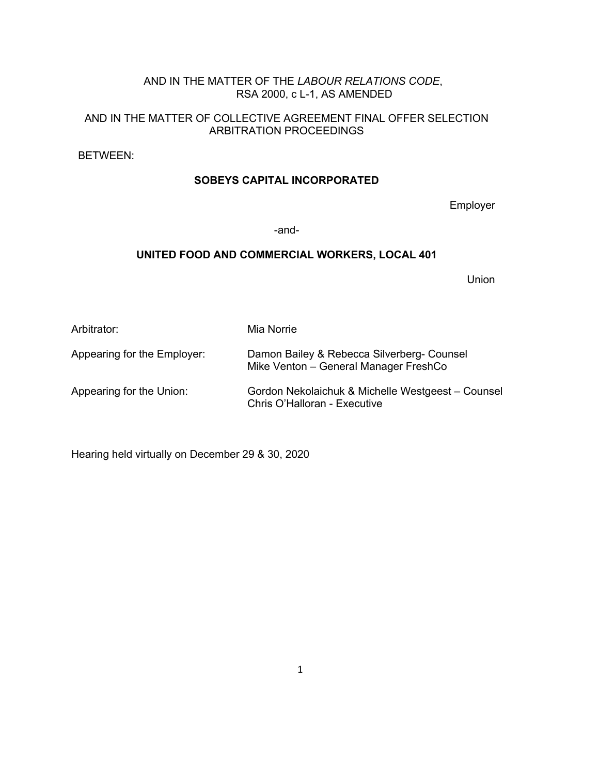# AND IN THE MATTER OF THE *LABOUR RELATIONS CODE*, RSA 2000, c L-1, AS AMENDED

# AND IN THE MATTER OF COLLECTIVE AGREEMENT FINAL OFFER SELECTION ARBITRATION PROCEEDINGS

BETWEEN:

# **SOBEYS CAPITAL INCORPORATED**

Employer

-and-

## **UNITED FOOD AND COMMERCIAL WORKERS, LOCAL 401**

Union

| Arbitrator:                 | Mia Norrie                                                                          |
|-----------------------------|-------------------------------------------------------------------------------------|
| Appearing for the Employer: | Damon Bailey & Rebecca Silverberg- Counsel<br>Mike Venton - General Manager FreshCo |
| Appearing for the Union:    | Gordon Nekolaichuk & Michelle Westgeest - Counsel<br>Chris O'Halloran - Executive   |

Hearing held virtually on December 29 & 30, 2020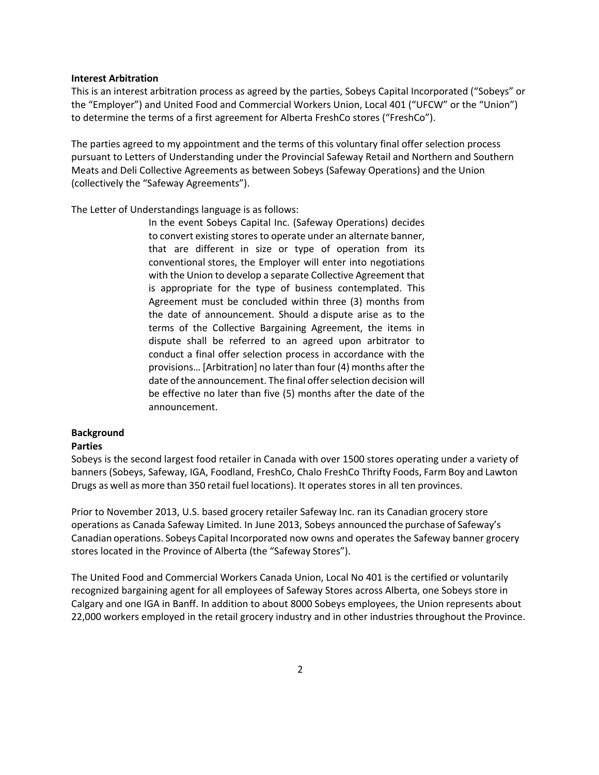### **Interest Arbitration**

This is an interest arbitration process as agreed by the parties, Sobeys Capital Incorporated ("Sobeys" or the "Employer") and United Food and Commercial Workers Union, Local 401 ("UFCW" or the "Union") to determine the terms of a first agreement for Alberta FreshCo stores ("FreshCo").

The parties agreed to my appointment and the terms of this voluntary final offer selection process pursuant to Letters of Understanding under the Provincial Safeway Retail and Northern and Southern Meats and Deli Collective Agreements as between Sobeys (Safeway Operations) and the Union (collectively the "Safeway Agreements").

The Letter of Understandings language is as follows:

In the event Sobeys Capital Inc. (Safeway Operations) decides to convert existing stores to operate under an alternate banner, that are different in size or type of operation from its conventional stores, the Employer will enter into negotiations with the Union to develop a separate Collective Agreement that is appropriate for the type of business contemplated. This Agreement must be concluded within three (3) months from the date of announcement. Should a dispute arise as to the terms of the Collective Bargaining Agreement, the items in dispute shall be referred to an agreed upon arbitrator to conduct a final offer selection process in accordance with the provisions… [Arbitration] no later than four (4) months after the date of the announcement. The final offer selection decision will be effective no later than five (5) months after the date of the announcement.

## **Background**

## **Parties**

Sobeys is the second largest food retailer in Canada with over 1500 stores operating under a variety of banners (Sobeys, Safeway, IGA, Foodland, FreshCo, Chalo FreshCo Thrifty Foods, Farm Boy and Lawton Drugs as well as more than 350 retail fuel locations). It operates stores in all ten provinces.

Prior to November 2013, U.S. based grocery retailer Safeway Inc. ran its Canadian grocery store operations as Canada Safeway Limited. In June 2013, Sobeys announced the purchase of Safeway's Canadian operations. Sobeys Capital Incorporated now owns and operates the Safeway banner grocery stores located in the Province of Alberta (the "Safeway Stores").

The United Food and Commercial Workers Canada Union, Local No 401 is the certified or voluntarily recognized bargaining agent for all employees of Safeway Stores across Alberta, one Sobeys store in Calgary and one IGA in Banff. In addition to about 8000 Sobeys employees, the Union represents about 22,000 workers employed in the retail grocery industry and in other industries throughout the Province.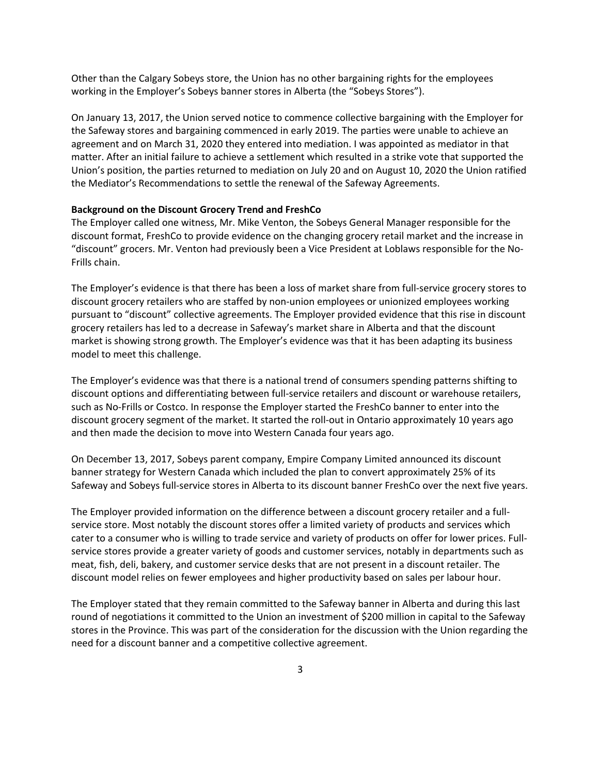Other than the Calgary Sobeys store, the Union has no other bargaining rights for the employees working in the Employer's Sobeys banner stores in Alberta (the "Sobeys Stores").

On January 13, 2017, the Union served notice to commence collective bargaining with the Employer for the Safeway stores and bargaining commenced in early 2019. The parties were unable to achieve an agreement and on March 31, 2020 they entered into mediation. I was appointed as mediator in that matter. After an initial failure to achieve a settlement which resulted in a strike vote that supported the Union's position, the parties returned to mediation on July 20 and on August 10, 2020 the Union ratified the Mediator's Recommendations to settle the renewal of the Safeway Agreements.

### **Background on the Discount Grocery Trend and FreshCo**

The Employer called one witness, Mr. Mike Venton, the Sobeys General Manager responsible for the discount format, FreshCo to provide evidence on the changing grocery retail market and the increase in "discount" grocers. Mr. Venton had previously been a Vice President at Loblaws responsible for the No-Frills chain.

The Employer's evidence is that there has been a loss of market share from full-service grocery stores to discount grocery retailers who are staffed by non-union employees or unionized employees working pursuant to "discount" collective agreements. The Employer provided evidence that this rise in discount grocery retailers has led to a decrease in Safeway's market share in Alberta and that the discount market is showing strong growth. The Employer's evidence was that it has been adapting its business model to meet this challenge.

The Employer's evidence was that there is a national trend of consumers spending patterns shifting to discount options and differentiating between full-service retailers and discount or warehouse retailers, such as No-Frills or Costco. In response the Employer started the FreshCo banner to enter into the discount grocery segment of the market. It started the roll-out in Ontario approximately 10 years ago and then made the decision to move into Western Canada four years ago.

On December 13, 2017, Sobeys parent company, Empire Company Limited announced its discount banner strategy for Western Canada which included the plan to convert approximately 25% of its Safeway and Sobeys full-service stores in Alberta to its discount banner FreshCo over the next five years.

The Employer provided information on the difference between a discount grocery retailer and a fullservice store. Most notably the discount stores offer a limited variety of products and services which cater to a consumer who is willing to trade service and variety of products on offer for lower prices. Fullservice stores provide a greater variety of goods and customer services, notably in departments such as meat, fish, deli, bakery, and customer service desks that are not present in a discount retailer. The discount model relies on fewer employees and higher productivity based on sales per labour hour.

The Employer stated that they remain committed to the Safeway banner in Alberta and during this last round of negotiations it committed to the Union an investment of \$200 million in capital to the Safeway stores in the Province. This was part of the consideration for the discussion with the Union regarding the need for a discount banner and a competitive collective agreement.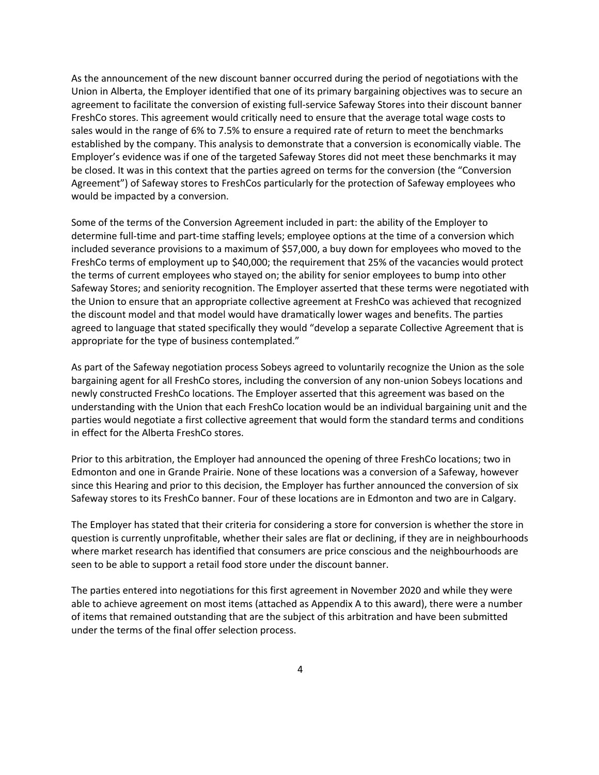As the announcement of the new discount banner occurred during the period of negotiations with the Union in Alberta, the Employer identified that one of its primary bargaining objectives was to secure an agreement to facilitate the conversion of existing full-service Safeway Stores into their discount banner FreshCo stores. This agreement would critically need to ensure that the average total wage costs to sales would in the range of 6% to 7.5% to ensure a required rate of return to meet the benchmarks established by the company. This analysis to demonstrate that a conversion is economically viable. The Employer's evidence was if one of the targeted Safeway Stores did not meet these benchmarks it may be closed. It was in this context that the parties agreed on terms for the conversion (the "Conversion Agreement") of Safeway stores to FreshCos particularly for the protection of Safeway employees who would be impacted by a conversion.

Some of the terms of the Conversion Agreement included in part: the ability of the Employer to determine full-time and part-time staffing levels; employee options at the time of a conversion which included severance provisions to a maximum of \$57,000, a buy down for employees who moved to the FreshCo terms of employment up to \$40,000; the requirement that 25% of the vacancies would protect the terms of current employees who stayed on; the ability for senior employees to bump into other Safeway Stores; and seniority recognition. The Employer asserted that these terms were negotiated with the Union to ensure that an appropriate collective agreement at FreshCo was achieved that recognized the discount model and that model would have dramatically lower wages and benefits. The parties agreed to language that stated specifically they would "develop a separate Collective Agreement that is appropriate for the type of business contemplated."

As part of the Safeway negotiation process Sobeys agreed to voluntarily recognize the Union as the sole bargaining agent for all FreshCo stores, including the conversion of any non-union Sobeys locations and newly constructed FreshCo locations. The Employer asserted that this agreement was based on the understanding with the Union that each FreshCo location would be an individual bargaining unit and the parties would negotiate a first collective agreement that would form the standard terms and conditions in effect for the Alberta FreshCo stores.

Prior to this arbitration, the Employer had announced the opening of three FreshCo locations; two in Edmonton and one in Grande Prairie. None of these locations was a conversion of a Safeway, however since this Hearing and prior to this decision, the Employer has further announced the conversion of six Safeway stores to its FreshCo banner. Four of these locations are in Edmonton and two are in Calgary.

The Employer has stated that their criteria for considering a store for conversion is whether the store in question is currently unprofitable, whether their sales are flat or declining, if they are in neighbourhoods where market research has identified that consumers are price conscious and the neighbourhoods are seen to be able to support a retail food store under the discount banner.

The parties entered into negotiations for this first agreement in November 2020 and while they were able to achieve agreement on most items (attached as Appendix A to this award), there were a number of items that remained outstanding that are the subject of this arbitration and have been submitted under the terms of the final offer selection process.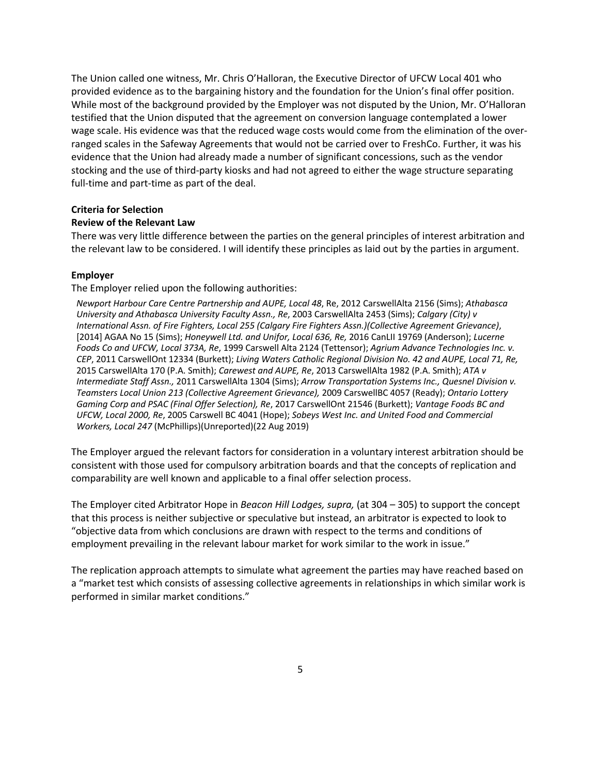The Union called one witness, Mr. Chris O'Halloran, the Executive Director of UFCW Local 401 who provided evidence as to the bargaining history and the foundation for the Union's final offer position. While most of the background provided by the Employer was not disputed by the Union, Mr. O'Halloran testified that the Union disputed that the agreement on conversion language contemplated a lower wage scale. His evidence was that the reduced wage costs would come from the elimination of the overranged scales in the Safeway Agreements that would not be carried over to FreshCo. Further, it was his evidence that the Union had already made a number of significant concessions, such as the vendor stocking and the use of third-party kiosks and had not agreed to either the wage structure separating full-time and part-time as part of the deal.

#### **Criteria for Selection**

### **Review of the Relevant Law**

There was very little difference between the parties on the general principles of interest arbitration and the relevant law to be considered. I will identify these principles as laid out by the parties in argument.

### **Employer**

The Employer relied upon the following authorities:

*Newport Harbour Care Centre Partnership and AUPE, Local 48*, Re, 2012 CarswellAlta 2156 (Sims); *Athabasca University and Athabasca University Faculty Assn., Re*, 2003 CarswellAlta 2453 (Sims); *Calgary (City) v International Assn. of Fire Fighters, Local 255 (Calgary Fire Fighters Assn.)(Collective Agreement Grievance)*, [2014] AGAA No 15 (Sims); *Honeywell Ltd. and Unifor, Local 636, Re,* 2016 CanLII 19769 (Anderson); *Lucerne Foods Co and UFCW, Local 373A, Re*, 1999 Carswell Alta 2124 (Tettensor); *Agrium Advance Technologies Inc. v. CEP*, 2011 CarswellOnt 12334 (Burkett); *Living Waters Catholic Regional Division No. 42 and AUPE, Local 71, Re,*  2015 CarswellAlta 170 (P.A. Smith); *Carewest and AUPE, Re*, 2013 CarswellAlta 1982 (P.A. Smith); *ATA v Intermediate Staff Assn.,* 2011 CarswellAlta 1304 (Sims); *Arrow Transportation Systems Inc., Quesnel Division v. Teamsters Local Union 213 (Collective Agreement Grievance),* 2009 CarswellBC 4057 (Ready); *Ontario Lottery Gaming Corp and PSAC (Final Offer Selection), Re*, 2017 CarswellOnt 21546 (Burkett); *Vantage Foods BC and UFCW, Local 2000, Re*, 2005 Carswell BC 4041 (Hope); *Sobeys West Inc. and United Food and Commercial Workers, Local 247* (McPhillips)(Unreported)(22 Aug 2019)

The Employer argued the relevant factors for consideration in a voluntary interest arbitration should be consistent with those used for compulsory arbitration boards and that the concepts of replication and comparability are well known and applicable to a final offer selection process.

The Employer cited Arbitrator Hope in *Beacon Hill Lodges, supra,* (at 304 – 305) to support the concept that this process is neither subjective or speculative but instead, an arbitrator is expected to look to "objective data from which conclusions are drawn with respect to the terms and conditions of employment prevailing in the relevant labour market for work similar to the work in issue."

The replication approach attempts to simulate what agreement the parties may have reached based on a "market test which consists of assessing collective agreements in relationships in which similar work is performed in similar market conditions."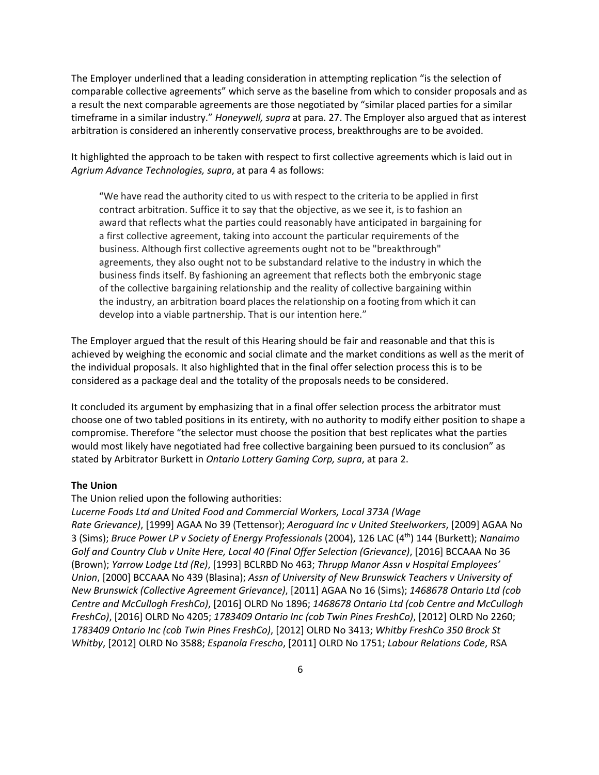The Employer underlined that a leading consideration in attempting replication "is the selection of comparable collective agreements" which serve as the baseline from which to consider proposals and as a result the next comparable agreements are those negotiated by "similar placed parties for a similar timeframe in a similar industry." *Honeywell, supra* at para. 27. The Employer also argued that as interest arbitration is considered an inherently conservative process, breakthroughs are to be avoided.

It highlighted the approach to be taken with respect to first collective agreements which is laid out in *Agrium Advance Technologies, supra*, at para 4 as follows:

"We have read the authority cited to us with respect to the criteria to be applied in first contract arbitration. Suffice it to say that the objective, as we see it, is to fashion an award that reflects what the parties could reasonably have anticipated in bargaining for a first collective agreement, taking into account the particular requirements of the business. Although first collective agreements ought not to be "breakthrough" agreements, they also ought not to be substandard relative to the industry in which the business finds itself. By fashioning an agreement that reflects both the embryonic stage of the collective bargaining relationship and the reality of collective bargaining within the industry, an arbitration board placesthe relationship on a footing from which it can develop into a viable partnership. That is our intention here."

The Employer argued that the result of this Hearing should be fair and reasonable and that this is achieved by weighing the economic and social climate and the market conditions as well as the merit of the individual proposals. It also highlighted that in the final offer selection process this is to be considered as a package deal and the totality of the proposals needs to be considered.

It concluded its argument by emphasizing that in a final offer selection process the arbitrator must choose one of two tabled positions in its entirety, with no authority to modify either position to shape a compromise. Therefore "the selector must choose the position that best replicates what the parties would most likely have negotiated had free collective bargaining been pursued to its conclusion" as stated by Arbitrator Burkett in *Ontario Lottery Gaming Corp, supra*, at para 2.

## **The Union**

#### The Union relied upon the following authorities:

*Lucerne Foods Ltd and United Food and Commercial Workers, Local 373A (Wage Rate Grievance)*, [1999] AGAA No 39 (Tettensor); *Aeroguard Inc v United Steelworkers*, [2009] AGAA No 3 (Sims); *Bruce Power LP v Society of Energy Professionals* (2004), 126 LAC (4th) 144 (Burkett); *Nanaimo Golf and Country Club v Unite Here, Local 40 (Final Offer Selection (Grievance)*, [2016] BCCAAA No 36 (Brown); *Yarrow Lodge Ltd (Re)*, [1993] BCLRBD No 463; *Thrupp Manor Assn v Hospital Employees' Union*, [2000] BCCAAA No 439 (Blasina); *Assn of University of New Brunswick Teachers v University of New Brunswick (Collective Agreement Grievance)*, [2011] AGAA No 16 (Sims); *1468678 Ontario Ltd (cob Centre and McCullogh FreshCo)*, [2016] OLRD No 1896; *1468678 Ontario Ltd (cob Centre and McCullogh FreshCo)*, [2016] OLRD No 4205; *1783409 Ontario Inc (cob Twin Pines FreshCo)*, [2012] OLRD No 2260; *1783409 Ontario Inc (cob Twin Pines FreshCo)*, [2012] OLRD No 3413; *Whitby FreshCo 350 Brock St Whitby*, [2012] OLRD No 3588; *Espanola Frescho*, [2011] OLRD No 1751; *Labour Relations Code*, RSA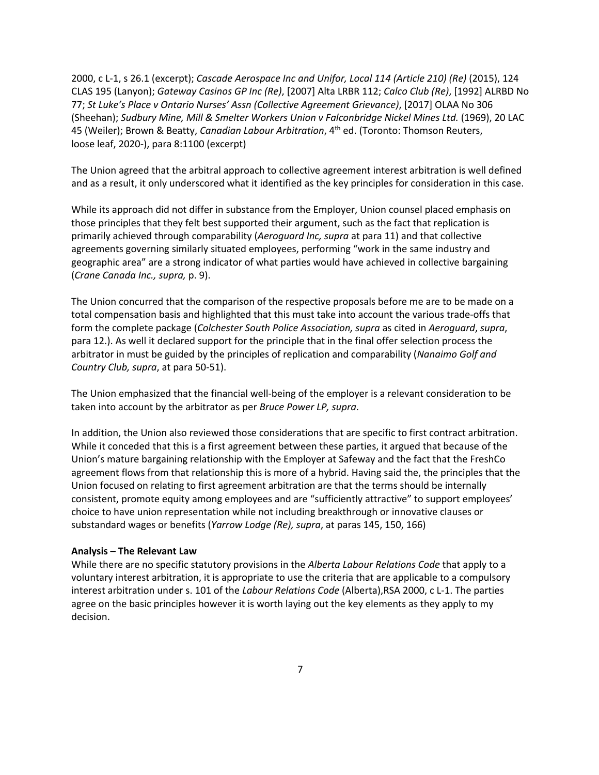2000, c L-1, s 26.1 (excerpt); *Cascade Aerospace Inc and Unifor, Local 114 (Article 210) (Re)* (2015), 124 CLAS 195 (Lanyon); *Gateway Casinos GP Inc (Re)*, [2007] Alta LRBR 112; *Calco Club (Re)*, [1992] ALRBD No 77; *St Luke's Place v Ontario Nurses' Assn (Collective Agreement Grievance)*, [2017] OLAA No 306 (Sheehan); *Sudbury Mine, Mill & Smelter Workers Union v Falconbridge Nickel Mines Ltd.* (1969), 20 LAC 45 (Weiler); Brown & Beatty, *Canadian Labour Arbitration*, 4th ed. (Toronto: Thomson Reuters, loose leaf, 2020-), para 8:1100 (excerpt)

The Union agreed that the arbitral approach to collective agreement interest arbitration is well defined and as a result, it only underscored what it identified as the key principles for consideration in this case.

While its approach did not differ in substance from the Employer, Union counsel placed emphasis on those principles that they felt best supported their argument, such as the fact that replication is primarily achieved through comparability (*Aeroguard Inc, supra* at para 11) and that collective agreements governing similarly situated employees, performing "work in the same industry and geographic area" are a strong indicator of what parties would have achieved in collective bargaining (*Crane Canada Inc., supra,* p. 9).

The Union concurred that the comparison of the respective proposals before me are to be made on a total compensation basis and highlighted that this must take into account the various trade-offs that form the complete package (*Colchester South Police Association, supra* as cited in *Aeroguard*, *supra*, para 12.). As well it declared support for the principle that in the final offer selection process the arbitrator in must be guided by the principles of replication and comparability (*Nanaimo Golf and Country Club, supra*, at para 50-51).

The Union emphasized that the financial well-being of the employer is a relevant consideration to be taken into account by the arbitrator as per *Bruce Power LP, supra*.

In addition, the Union also reviewed those considerations that are specific to first contract arbitration. While it conceded that this is a first agreement between these parties, it argued that because of the Union's mature bargaining relationship with the Employer at Safeway and the fact that the FreshCo agreement flows from that relationship this is more of a hybrid. Having said the, the principles that the Union focused on relating to first agreement arbitration are that the terms should be internally consistent, promote equity among employees and are "sufficiently attractive" to support employees' choice to have union representation while not including breakthrough or innovative clauses or substandard wages or benefits (*Yarrow Lodge (Re), supra*, at paras 145, 150, 166)

#### **Analysis – The Relevant Law**

While there are no specific statutory provisions in the *Alberta Labour Relations Code* that apply to a voluntary interest arbitration, it is appropriate to use the criteria that are applicable to a compulsory interest arbitration under s. 101 of the *Labour Relations Code* (Alberta),RSA 2000, c L-1. The parties agree on the basic principles however it is worth laying out the key elements as they apply to my decision.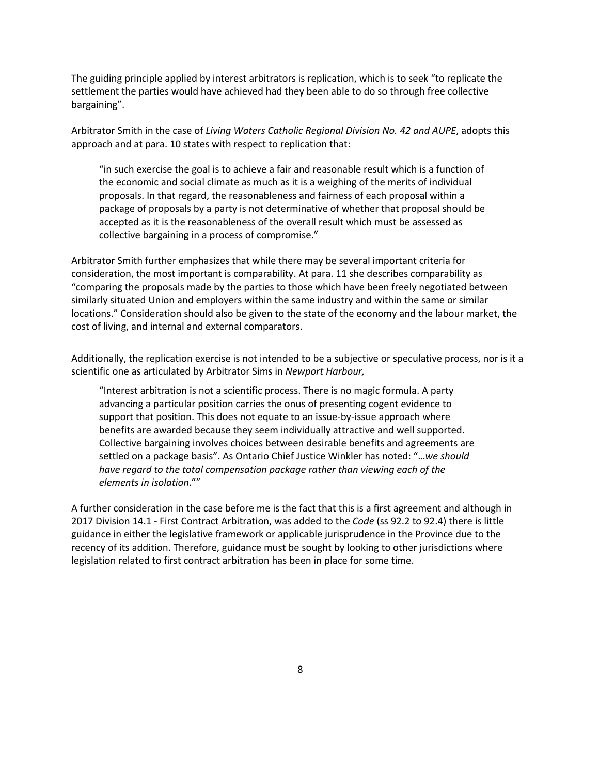The guiding principle applied by interest arbitrators is replication, which is to seek "to replicate the settlement the parties would have achieved had they been able to do so through free collective bargaining".

Arbitrator Smith in the case of *Living Waters Catholic Regional Division No. 42 and AUPE*, adopts this approach and at para. 10 states with respect to replication that:

"in such exercise the goal is to achieve a fair and reasonable result which is a function of the economic and social climate as much as it is a weighing of the merits of individual proposals. In that regard, the reasonableness and fairness of each proposal within a package of proposals by a party is not determinative of whether that proposal should be accepted as it is the reasonableness of the overall result which must be assessed as collective bargaining in a process of compromise."

Arbitrator Smith further emphasizes that while there may be several important criteria for consideration, the most important is comparability. At para. 11 she describes comparability as "comparing the proposals made by the parties to those which have been freely negotiated between similarly situated Union and employers within the same industry and within the same or similar locations." Consideration should also be given to the state of the economy and the labour market, the cost of living, and internal and external comparators.

Additionally, the replication exercise is not intended to be a subjective or speculative process, nor is it a scientific one as articulated by Arbitrator Sims in *Newport Harbour,*

"Interest arbitration is not a scientific process. There is no magic formula. A party advancing a particular position carries the onus of presenting cogent evidence to support that position. This does not equate to an issue-by-issue approach where benefits are awarded because they seem individually attractive and well supported. Collective bargaining involves choices between desirable benefits and agreements are settled on a package basis". As Ontario Chief Justice Winkler has noted: "…*we should have regard to the total compensation package rather than viewing each of the elements in isolation*.""

A further consideration in the case before me is the fact that this is a first agreement and although in 2017 Division 14.1 - First Contract Arbitration, was added to the *Code* (ss 92.2 to 92.4) there is little guidance in either the legislative framework or applicable jurisprudence in the Province due to the recency of its addition. Therefore, guidance must be sought by looking to other jurisdictions where legislation related to first contract arbitration has been in place for some time.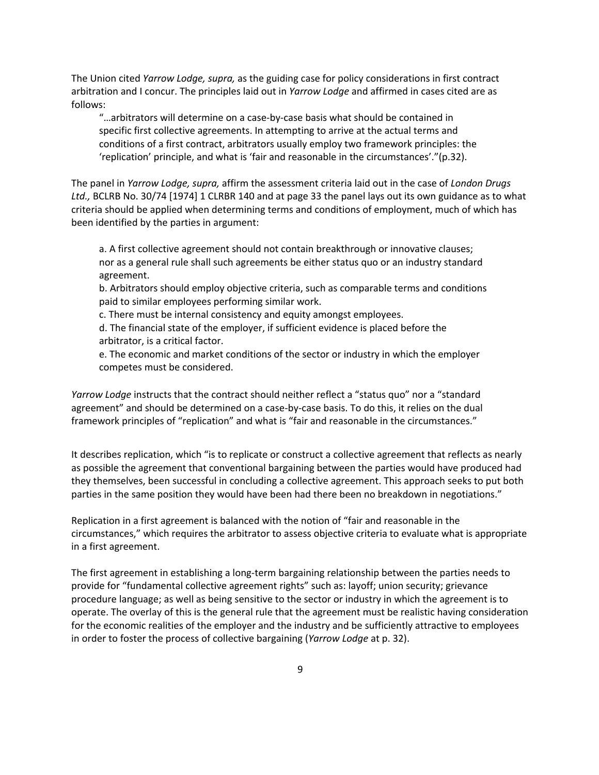The Union cited *Yarrow Lodge, supra,* as the guiding case for policy considerations in first contract arbitration and I concur. The principles laid out in *Yarrow Lodge* and affirmed in cases cited are as follows:

"…arbitrators will determine on a case-by-case basis what should be contained in specific first collective agreements. In attempting to arrive at the actual terms and conditions of a first contract, arbitrators usually employ two framework principles: the 'replication' principle, and what is 'fair and reasonable in the circumstances'."(p.32).

The panel in *Yarrow Lodge, supra,* affirm the assessment criteria laid out in the case of *London Drugs Ltd.,* BCLRB No. 30/74 [1974] 1 CLRBR 140 and at page 33 the panel lays out its own guidance as to what criteria should be applied when determining terms and conditions of employment, much of which has been identified by the parties in argument:

a. A first collective agreement should not contain breakthrough or innovative clauses; nor as a general rule shall such agreements be either status quo or an industry standard agreement.

b. Arbitrators should employ objective criteria, such as comparable terms and conditions paid to similar employees performing similar work.

c. There must be internal consistency and equity amongst employees.

d. The financial state of the employer, if sufficient evidence is placed before the arbitrator, is a critical factor.

e. The economic and market conditions of the sector or industry in which the employer competes must be considered.

*Yarrow Lodge* instructs that the contract should neither reflect a "status quo" nor a "standard agreement" and should be determined on a case-by-case basis. To do this, it relies on the dual framework principles of "replication" and what is "fair and reasonable in the circumstances."

It describes replication, which "is to replicate or construct a collective agreement that reflects as nearly as possible the agreement that conventional bargaining between the parties would have produced had they themselves, been successful in concluding a collective agreement. This approach seeks to put both parties in the same position they would have been had there been no breakdown in negotiations."

Replication in a first agreement is balanced with the notion of "fair and reasonable in the circumstances," which requires the arbitrator to assess objective criteria to evaluate what is appropriate in a first agreement.

The first agreement in establishing a long-term bargaining relationship between the parties needs to provide for "fundamental collective agreement rights" such as: layoff; union security; grievance procedure language; as well as being sensitive to the sector or industry in which the agreement is to operate. The overlay of this is the general rule that the agreement must be realistic having consideration for the economic realities of the employer and the industry and be sufficiently attractive to employees in order to foster the process of collective bargaining (*Yarrow Lodge* at p. 32).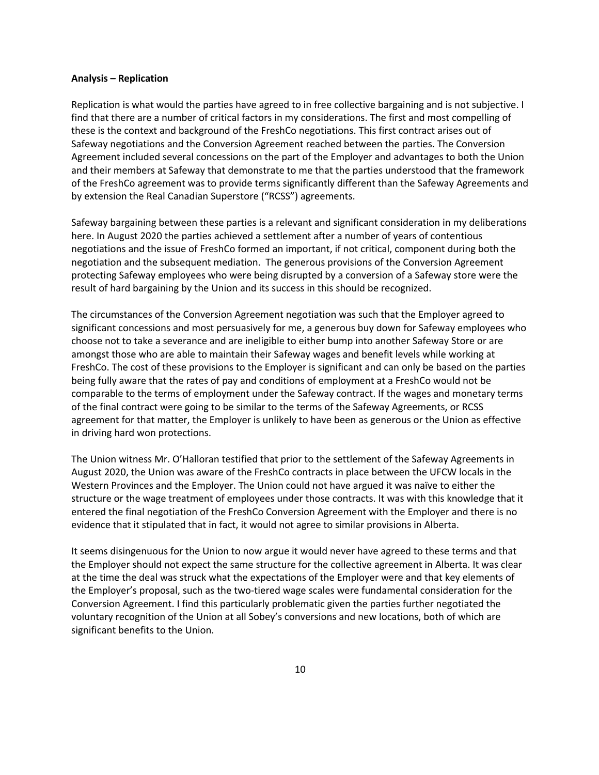#### **Analysis – Replication**

Replication is what would the parties have agreed to in free collective bargaining and is not subjective. I find that there are a number of critical factors in my considerations. The first and most compelling of these is the context and background of the FreshCo negotiations. This first contract arises out of Safeway negotiations and the Conversion Agreement reached between the parties. The Conversion Agreement included several concessions on the part of the Employer and advantages to both the Union and their members at Safeway that demonstrate to me that the parties understood that the framework of the FreshCo agreement was to provide terms significantly different than the Safeway Agreements and by extension the Real Canadian Superstore ("RCSS") agreements.

Safeway bargaining between these parties is a relevant and significant consideration in my deliberations here. In August 2020 the parties achieved a settlement after a number of years of contentious negotiations and the issue of FreshCo formed an important, if not critical, component during both the negotiation and the subsequent mediation. The generous provisions of the Conversion Agreement protecting Safeway employees who were being disrupted by a conversion of a Safeway store were the result of hard bargaining by the Union and its success in this should be recognized.

The circumstances of the Conversion Agreement negotiation was such that the Employer agreed to significant concessions and most persuasively for me, a generous buy down for Safeway employees who choose not to take a severance and are ineligible to either bump into another Safeway Store or are amongst those who are able to maintain their Safeway wages and benefit levels while working at FreshCo. The cost of these provisions to the Employer is significant and can only be based on the parties being fully aware that the rates of pay and conditions of employment at a FreshCo would not be comparable to the terms of employment under the Safeway contract. If the wages and monetary terms of the final contract were going to be similar to the terms of the Safeway Agreements, or RCSS agreement for that matter, the Employer is unlikely to have been as generous or the Union as effective in driving hard won protections.

The Union witness Mr. O'Halloran testified that prior to the settlement of the Safeway Agreements in August 2020, the Union was aware of the FreshCo contracts in place between the UFCW locals in the Western Provinces and the Employer. The Union could not have argued it was naïve to either the structure or the wage treatment of employees under those contracts. It was with this knowledge that it entered the final negotiation of the FreshCo Conversion Agreement with the Employer and there is no evidence that it stipulated that in fact, it would not agree to similar provisions in Alberta.

It seems disingenuous for the Union to now argue it would never have agreed to these terms and that the Employer should not expect the same structure for the collective agreement in Alberta. It was clear at the time the deal was struck what the expectations of the Employer were and that key elements of the Employer's proposal, such as the two-tiered wage scales were fundamental consideration for the Conversion Agreement. I find this particularly problematic given the parties further negotiated the voluntary recognition of the Union at all Sobey's conversions and new locations, both of which are significant benefits to the Union.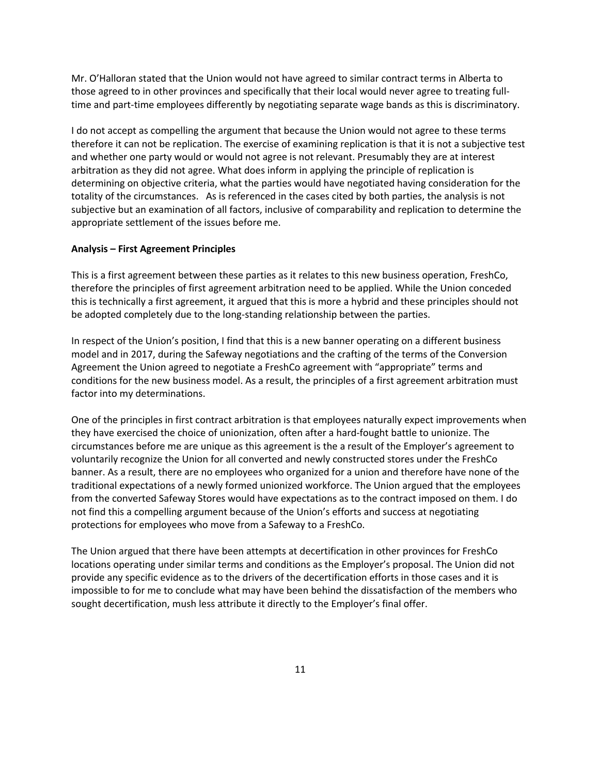Mr. O'Halloran stated that the Union would not have agreed to similar contract terms in Alberta to those agreed to in other provinces and specifically that their local would never agree to treating fulltime and part-time employees differently by negotiating separate wage bands as this is discriminatory.

I do not accept as compelling the argument that because the Union would not agree to these terms therefore it can not be replication. The exercise of examining replication is that it is not a subjective test and whether one party would or would not agree is not relevant. Presumably they are at interest arbitration as they did not agree. What does inform in applying the principle of replication is determining on objective criteria, what the parties would have negotiated having consideration for the totality of the circumstances. As is referenced in the cases cited by both parties, the analysis is not subjective but an examination of all factors, inclusive of comparability and replication to determine the appropriate settlement of the issues before me.

### **Analysis – First Agreement Principles**

This is a first agreement between these parties as it relates to this new business operation, FreshCo, therefore the principles of first agreement arbitration need to be applied. While the Union conceded this is technically a first agreement, it argued that this is more a hybrid and these principles should not be adopted completely due to the long-standing relationship between the parties.

In respect of the Union's position, I find that this is a new banner operating on a different business model and in 2017, during the Safeway negotiations and the crafting of the terms of the Conversion Agreement the Union agreed to negotiate a FreshCo agreement with "appropriate" terms and conditions for the new business model. As a result, the principles of a first agreement arbitration must factor into my determinations.

One of the principles in first contract arbitration is that employees naturally expect improvements when they have exercised the choice of unionization, often after a hard-fought battle to unionize. The circumstances before me are unique as this agreement is the a result of the Employer's agreement to voluntarily recognize the Union for all converted and newly constructed stores under the FreshCo banner. As a result, there are no employees who organized for a union and therefore have none of the traditional expectations of a newly formed unionized workforce. The Union argued that the employees from the converted Safeway Stores would have expectations as to the contract imposed on them. I do not find this a compelling argument because of the Union's efforts and success at negotiating protections for employees who move from a Safeway to a FreshCo.

The Union argued that there have been attempts at decertification in other provinces for FreshCo locations operating under similar terms and conditions as the Employer's proposal. The Union did not provide any specific evidence as to the drivers of the decertification efforts in those cases and it is impossible to for me to conclude what may have been behind the dissatisfaction of the members who sought decertification, mush less attribute it directly to the Employer's final offer.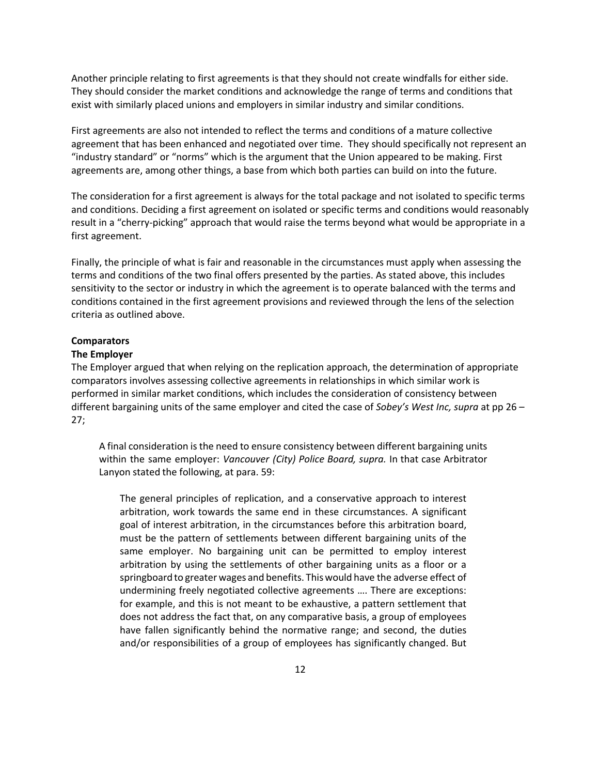Another principle relating to first agreements is that they should not create windfalls for either side. They should consider the market conditions and acknowledge the range of terms and conditions that exist with similarly placed unions and employers in similar industry and similar conditions.

First agreements are also not intended to reflect the terms and conditions of a mature collective agreement that has been enhanced and negotiated over time. They should specifically not represent an "industry standard" or "norms" which is the argument that the Union appeared to be making. First agreements are, among other things, a base from which both parties can build on into the future.

The consideration for a first agreement is always for the total package and not isolated to specific terms and conditions. Deciding a first agreement on isolated or specific terms and conditions would reasonably result in a "cherry-picking" approach that would raise the terms beyond what would be appropriate in a first agreement.

Finally, the principle of what is fair and reasonable in the circumstances must apply when assessing the terms and conditions of the two final offers presented by the parties. As stated above, this includes sensitivity to the sector or industry in which the agreement is to operate balanced with the terms and conditions contained in the first agreement provisions and reviewed through the lens of the selection criteria as outlined above.

#### **Comparators**

### **The Employer**

The Employer argued that when relying on the replication approach, the determination of appropriate comparators involves assessing collective agreements in relationships in which similar work is performed in similar market conditions, which includes the consideration of consistency between different bargaining units of the same employer and cited the case of *Sobey's West Inc, supra* at pp 26 – 27;

A final consideration is the need to ensure consistency between different bargaining units within the same employer: *Vancouver (City) Police Board, supra.* In that case Arbitrator Lanyon stated the following, at para. 59:

The general principles of replication, and a conservative approach to interest arbitration, work towards the same end in these circumstances. A significant goal of interest arbitration, in the circumstances before this arbitration board, must be the pattern of settlements between different bargaining units of the same employer. No bargaining unit can be permitted to employ interest arbitration by using the settlements of other bargaining units as a floor or a springboard to greater wages and benefits. Thiswould have the adverse effect of undermining freely negotiated collective agreements …. There are exceptions: for example, and this is not meant to be exhaustive, a pattern settlement that does not address the fact that, on any comparative basis, a group of employees have fallen significantly behind the normative range; and second, the duties and/or responsibilities of a group of employees has significantly changed. But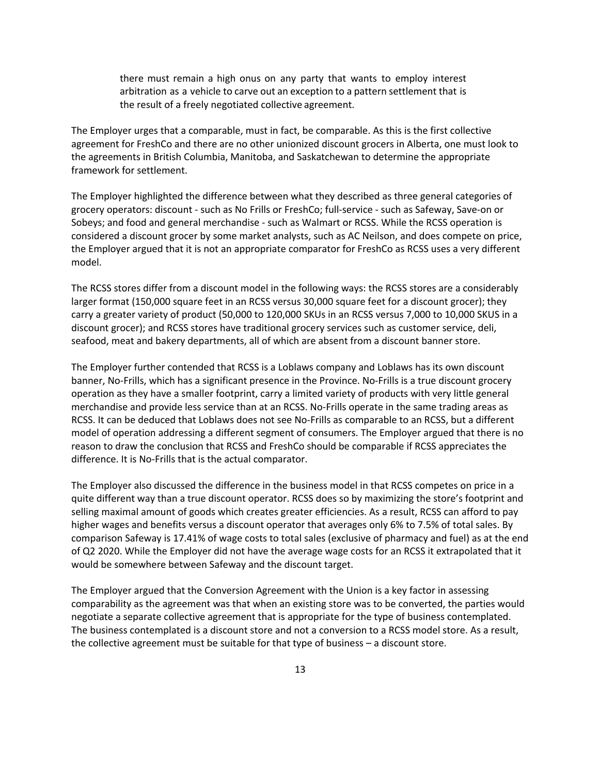there must remain a high onus on any party that wants to employ interest arbitration as a vehicle to carve out an exception to a pattern settlement that is the result of a freely negotiated collective agreement.

The Employer urges that a comparable, must in fact, be comparable. As this is the first collective agreement for FreshCo and there are no other unionized discount grocers in Alberta, one must look to the agreements in British Columbia, Manitoba, and Saskatchewan to determine the appropriate framework for settlement.

The Employer highlighted the difference between what they described as three general categories of grocery operators: discount - such as No Frills or FreshCo; full-service - such as Safeway, Save-on or Sobeys; and food and general merchandise - such as Walmart or RCSS. While the RCSS operation is considered a discount grocer by some market analysts, such as AC Neilson, and does compete on price, the Employer argued that it is not an appropriate comparator for FreshCo as RCSS uses a very different model.

The RCSS stores differ from a discount model in the following ways: the RCSS stores are a considerably larger format (150,000 square feet in an RCSS versus 30,000 square feet for a discount grocer); they carry a greater variety of product (50,000 to 120,000 SKUs in an RCSS versus 7,000 to 10,000 SKUS in a discount grocer); and RCSS stores have traditional grocery services such as customer service, deli, seafood, meat and bakery departments, all of which are absent from a discount banner store.

The Employer further contended that RCSS is a Loblaws company and Loblaws has its own discount banner, No-Frills, which has a significant presence in the Province. No-Frills is a true discount grocery operation as they have a smaller footprint, carry a limited variety of products with very little general merchandise and provide less service than at an RCSS. No-Frills operate in the same trading areas as RCSS. It can be deduced that Loblaws does not see No-Frills as comparable to an RCSS, but a different model of operation addressing a different segment of consumers. The Employer argued that there is no reason to draw the conclusion that RCSS and FreshCo should be comparable if RCSS appreciates the difference. It is No-Frills that is the actual comparator.

The Employer also discussed the difference in the business model in that RCSS competes on price in a quite different way than a true discount operator. RCSS does so by maximizing the store's footprint and selling maximal amount of goods which creates greater efficiencies. As a result, RCSS can afford to pay higher wages and benefits versus a discount operator that averages only 6% to 7.5% of total sales. By comparison Safeway is 17.41% of wage costs to total sales (exclusive of pharmacy and fuel) as at the end of Q2 2020. While the Employer did not have the average wage costs for an RCSS it extrapolated that it would be somewhere between Safeway and the discount target.

The Employer argued that the Conversion Agreement with the Union is a key factor in assessing comparability as the agreement was that when an existing store was to be converted, the parties would negotiate a separate collective agreement that is appropriate for the type of business contemplated. The business contemplated is a discount store and not a conversion to a RCSS model store. As a result, the collective agreement must be suitable for that type of business – a discount store.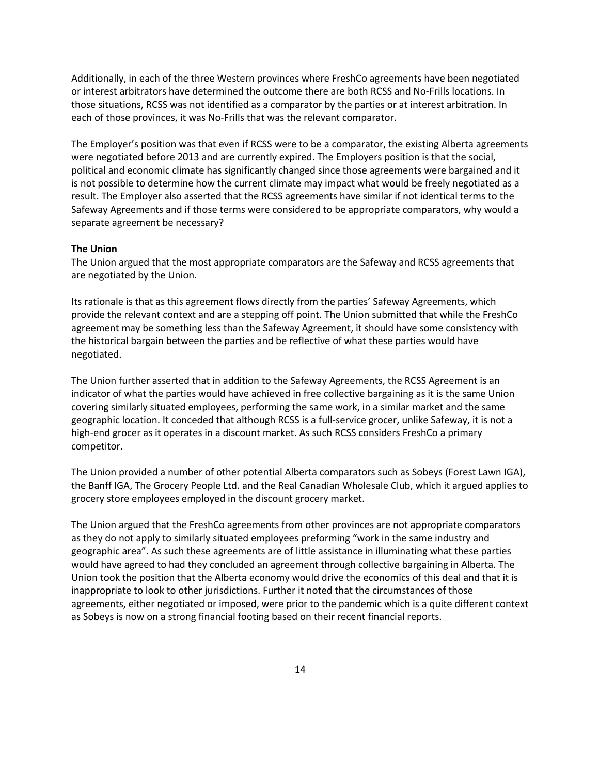Additionally, in each of the three Western provinces where FreshCo agreements have been negotiated or interest arbitrators have determined the outcome there are both RCSS and No-Frills locations. In those situations, RCSS was not identified as a comparator by the parties or at interest arbitration. In each of those provinces, it was No-Frills that was the relevant comparator.

The Employer's position was that even if RCSS were to be a comparator, the existing Alberta agreements were negotiated before 2013 and are currently expired. The Employers position is that the social, political and economic climate has significantly changed since those agreements were bargained and it is not possible to determine how the current climate may impact what would be freely negotiated as a result. The Employer also asserted that the RCSS agreements have similar if not identical terms to the Safeway Agreements and if those terms were considered to be appropriate comparators, why would a separate agreement be necessary?

### **The Union**

The Union argued that the most appropriate comparators are the Safeway and RCSS agreements that are negotiated by the Union.

Its rationale is that as this agreement flows directly from the parties' Safeway Agreements, which provide the relevant context and are a stepping off point. The Union submitted that while the FreshCo agreement may be something less than the Safeway Agreement, it should have some consistency with the historical bargain between the parties and be reflective of what these parties would have negotiated.

The Union further asserted that in addition to the Safeway Agreements, the RCSS Agreement is an indicator of what the parties would have achieved in free collective bargaining as it is the same Union covering similarly situated employees, performing the same work, in a similar market and the same geographic location. It conceded that although RCSS is a full-service grocer, unlike Safeway, it is not a high-end grocer as it operates in a discount market. As such RCSS considers FreshCo a primary competitor.

The Union provided a number of other potential Alberta comparators such as Sobeys (Forest Lawn IGA), the Banff IGA, The Grocery People Ltd. and the Real Canadian Wholesale Club, which it argued applies to grocery store employees employed in the discount grocery market.

The Union argued that the FreshCo agreements from other provinces are not appropriate comparators as they do not apply to similarly situated employees preforming "work in the same industry and geographic area". As such these agreements are of little assistance in illuminating what these parties would have agreed to had they concluded an agreement through collective bargaining in Alberta. The Union took the position that the Alberta economy would drive the economics of this deal and that it is inappropriate to look to other jurisdictions. Further it noted that the circumstances of those agreements, either negotiated or imposed, were prior to the pandemic which is a quite different context as Sobeys is now on a strong financial footing based on their recent financial reports.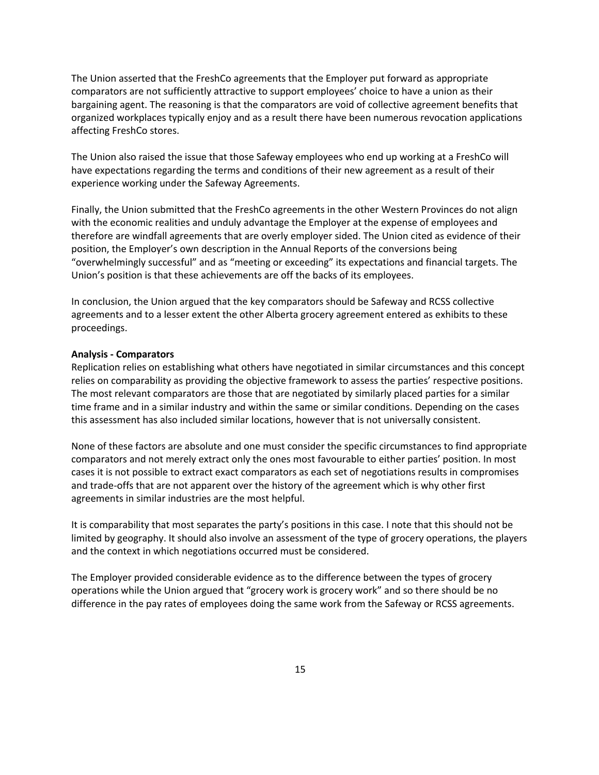The Union asserted that the FreshCo agreements that the Employer put forward as appropriate comparators are not sufficiently attractive to support employees' choice to have a union as their bargaining agent. The reasoning is that the comparators are void of collective agreement benefits that organized workplaces typically enjoy and as a result there have been numerous revocation applications affecting FreshCo stores.

The Union also raised the issue that those Safeway employees who end up working at a FreshCo will have expectations regarding the terms and conditions of their new agreement as a result of their experience working under the Safeway Agreements.

Finally, the Union submitted that the FreshCo agreements in the other Western Provinces do not align with the economic realities and unduly advantage the Employer at the expense of employees and therefore are windfall agreements that are overly employer sided. The Union cited as evidence of their position, the Employer's own description in the Annual Reports of the conversions being "overwhelmingly successful" and as "meeting or exceeding" its expectations and financial targets. The Union's position is that these achievements are off the backs of its employees.

In conclusion, the Union argued that the key comparators should be Safeway and RCSS collective agreements and to a lesser extent the other Alberta grocery agreement entered as exhibits to these proceedings.

### **Analysis - Comparators**

Replication relies on establishing what others have negotiated in similar circumstances and this concept relies on comparability as providing the objective framework to assess the parties' respective positions. The most relevant comparators are those that are negotiated by similarly placed parties for a similar time frame and in a similar industry and within the same or similar conditions. Depending on the cases this assessment has also included similar locations, however that is not universally consistent.

None of these factors are absolute and one must consider the specific circumstances to find appropriate comparators and not merely extract only the ones most favourable to either parties' position. In most cases it is not possible to extract exact comparators as each set of negotiations results in compromises and trade-offs that are not apparent over the history of the agreement which is why other first agreements in similar industries are the most helpful.

It is comparability that most separates the party's positions in this case. I note that this should not be limited by geography. It should also involve an assessment of the type of grocery operations, the players and the context in which negotiations occurred must be considered.

The Employer provided considerable evidence as to the difference between the types of grocery operations while the Union argued that "grocery work is grocery work" and so there should be no difference in the pay rates of employees doing the same work from the Safeway or RCSS agreements.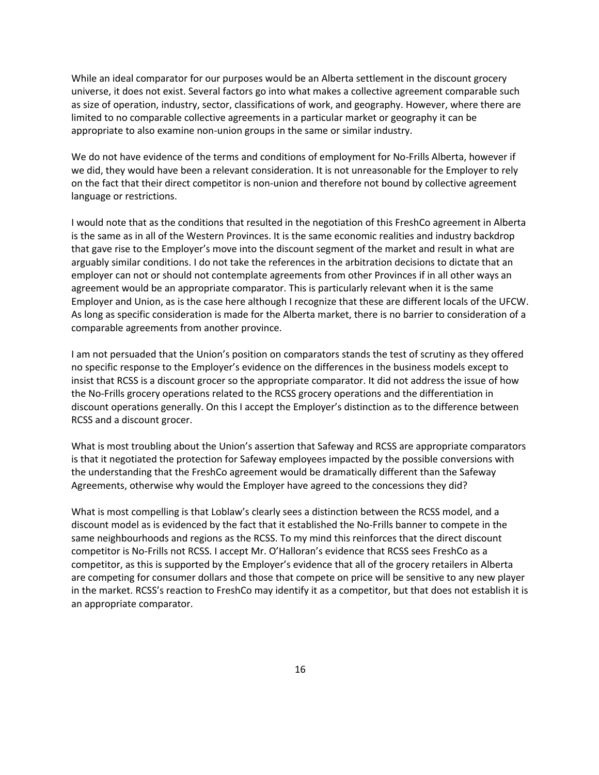While an ideal comparator for our purposes would be an Alberta settlement in the discount grocery universe, it does not exist. Several factors go into what makes a collective agreement comparable such as size of operation, industry, sector, classifications of work, and geography. However, where there are limited to no comparable collective agreements in a particular market or geography it can be appropriate to also examine non-union groups in the same or similar industry.

We do not have evidence of the terms and conditions of employment for No-Frills Alberta, however if we did, they would have been a relevant consideration. It is not unreasonable for the Employer to rely on the fact that their direct competitor is non-union and therefore not bound by collective agreement language or restrictions.

I would note that as the conditions that resulted in the negotiation of this FreshCo agreement in Alberta is the same as in all of the Western Provinces. It is the same economic realities and industry backdrop that gave rise to the Employer's move into the discount segment of the market and result in what are arguably similar conditions. I do not take the references in the arbitration decisions to dictate that an employer can not or should not contemplate agreements from other Provinces if in all other ways an agreement would be an appropriate comparator. This is particularly relevant when it is the same Employer and Union, as is the case here although I recognize that these are different locals of the UFCW. As long as specific consideration is made for the Alberta market, there is no barrier to consideration of a comparable agreements from another province.

I am not persuaded that the Union's position on comparators stands the test of scrutiny as they offered no specific response to the Employer's evidence on the differences in the business models except to insist that RCSS is a discount grocer so the appropriate comparator. It did not address the issue of how the No-Frills grocery operations related to the RCSS grocery operations and the differentiation in discount operations generally. On this I accept the Employer's distinction as to the difference between RCSS and a discount grocer.

What is most troubling about the Union's assertion that Safeway and RCSS are appropriate comparators is that it negotiated the protection for Safeway employees impacted by the possible conversions with the understanding that the FreshCo agreement would be dramatically different than the Safeway Agreements, otherwise why would the Employer have agreed to the concessions they did?

What is most compelling is that Loblaw's clearly sees a distinction between the RCSS model, and a discount model as is evidenced by the fact that it established the No-Frills banner to compete in the same neighbourhoods and regions as the RCSS. To my mind this reinforces that the direct discount competitor is No-Frills not RCSS. I accept Mr. O'Halloran's evidence that RCSS sees FreshCo as a competitor, as this is supported by the Employer's evidence that all of the grocery retailers in Alberta are competing for consumer dollars and those that compete on price will be sensitive to any new player in the market. RCSS's reaction to FreshCo may identify it as a competitor, but that does not establish it is an appropriate comparator.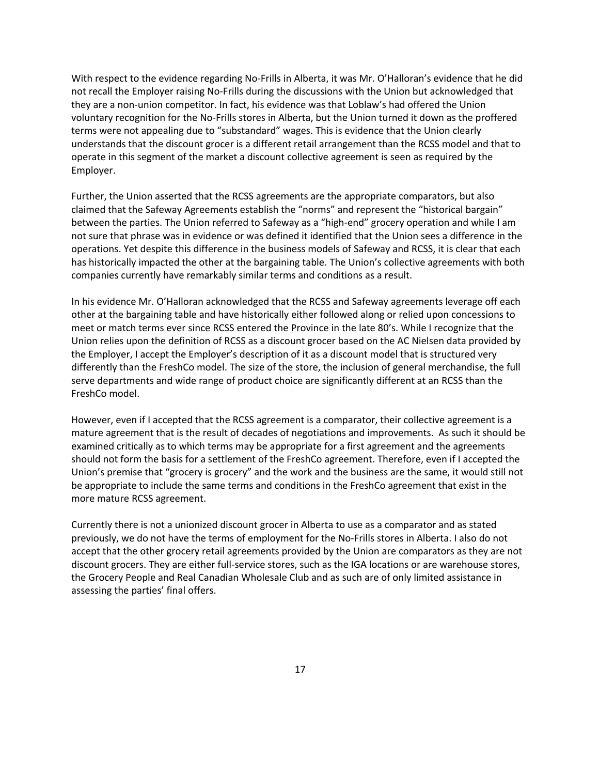With respect to the evidence regarding No-Frills in Alberta, it was Mr. O'Halloran's evidence that he did not recall the Employer raising No-Frills during the discussions with the Union but acknowledged that they are a non-union competitor. In fact, his evidence was that Loblaw's had offered the Union voluntary recognition for the No-Frills stores in Alberta, but the Union turned it down as the proffered terms were not appealing due to "substandard" wages. This is evidence that the Union clearly understands that the discount grocer is a different retail arrangement than the RCSS model and that to operate in this segment of the market a discount collective agreement is seen as required by the Employer.

Further, the Union asserted that the RCSS agreements are the appropriate comparators, but also claimed that the Safeway Agreements establish the "norms" and represent the "historical bargain" between the parties. The Union referred to Safeway as a "high-end" grocery operation and while I am not sure that phrase was in evidence or was defined it identified that the Union sees a difference in the operations. Yet despite this difference in the business models of Safeway and RCSS, it is clear that each has historically impacted the other at the bargaining table. The Union's collective agreements with both companies currently have remarkably similar terms and conditions as a result.

In his evidence Mr. O'Halloran acknowledged that the RCSS and Safeway agreements leverage off each other at the bargaining table and have historically either followed along or relied upon concessions to meet or match terms ever since RCSS entered the Province in the late 80's. While I recognize that the Union relies upon the definition of RCSS as a discount grocer based on the AC Nielsen data provided by the Employer, I accept the Employer's description of it as a discount model that is structured very differently than the FreshCo model. The size of the store, the inclusion of general merchandise, the full serve departments and wide range of product choice are significantly different at an RCSS than the FreshCo model.

However, even if I accepted that the RCSS agreement is a comparator, their collective agreement is a mature agreement that is the result of decades of negotiations and improvements. As such it should be examined critically as to which terms may be appropriate for a first agreement and the agreements should not form the basis for a settlement of the FreshCo agreement. Therefore, even if I accepted the Union's premise that "grocery is grocery" and the work and the business are the same, it would still not be appropriate to include the same terms and conditions in the FreshCo agreement that exist in the more mature RCSS agreement.

Currently there is not a unionized discount grocer in Alberta to use as a comparator and as stated previously, we do not have the terms of employment for the No-Frills stores in Alberta. I also do not accept that the other grocery retail agreements provided by the Union are comparators as they are not discount grocers. They are either full-service stores, such as the IGA locations or are warehouse stores, the Grocery People and Real Canadian Wholesale Club and as such are of only limited assistance in assessing the parties' final offers.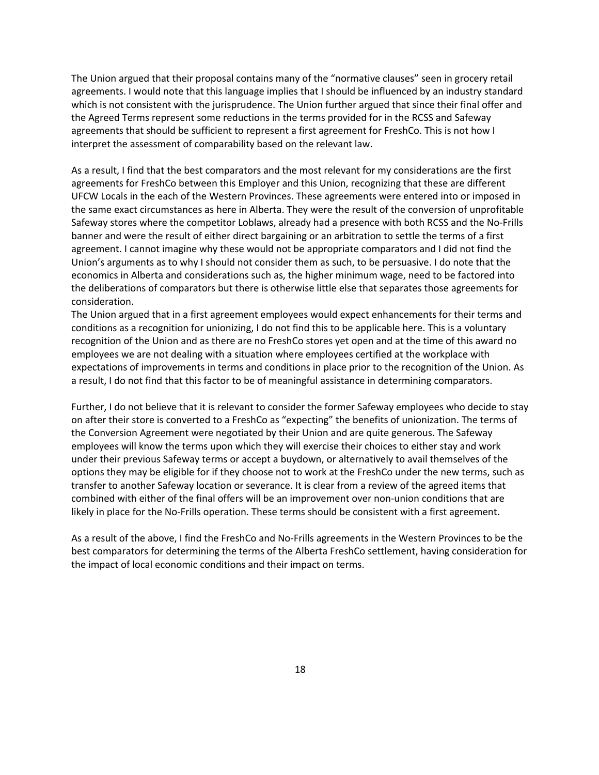The Union argued that their proposal contains many of the "normative clauses" seen in grocery retail agreements. I would note that this language implies that I should be influenced by an industry standard which is not consistent with the jurisprudence. The Union further argued that since their final offer and the Agreed Terms represent some reductions in the terms provided for in the RCSS and Safeway agreements that should be sufficient to represent a first agreement for FreshCo. This is not how I interpret the assessment of comparability based on the relevant law.

As a result, I find that the best comparators and the most relevant for my considerations are the first agreements for FreshCo between this Employer and this Union, recognizing that these are different UFCW Locals in the each of the Western Provinces. These agreements were entered into or imposed in the same exact circumstances as here in Alberta. They were the result of the conversion of unprofitable Safeway stores where the competitor Loblaws, already had a presence with both RCSS and the No-Frills banner and were the result of either direct bargaining or an arbitration to settle the terms of a first agreement. I cannot imagine why these would not be appropriate comparators and I did not find the Union's arguments as to why I should not consider them as such, to be persuasive. I do note that the economics in Alberta and considerations such as, the higher minimum wage, need to be factored into the deliberations of comparators but there is otherwise little else that separates those agreements for consideration.

The Union argued that in a first agreement employees would expect enhancements for their terms and conditions as a recognition for unionizing, I do not find this to be applicable here. This is a voluntary recognition of the Union and as there are no FreshCo stores yet open and at the time of this award no employees we are not dealing with a situation where employees certified at the workplace with expectations of improvements in terms and conditions in place prior to the recognition of the Union. As a result, I do not find that this factor to be of meaningful assistance in determining comparators.

Further, I do not believe that it is relevant to consider the former Safeway employees who decide to stay on after their store is converted to a FreshCo as "expecting" the benefits of unionization. The terms of the Conversion Agreement were negotiated by their Union and are quite generous. The Safeway employees will know the terms upon which they will exercise their choices to either stay and work under their previous Safeway terms or accept a buydown, or alternatively to avail themselves of the options they may be eligible for if they choose not to work at the FreshCo under the new terms, such as transfer to another Safeway location or severance. It is clear from a review of the agreed items that combined with either of the final offers will be an improvement over non-union conditions that are likely in place for the No-Frills operation. These terms should be consistent with a first agreement.

As a result of the above, I find the FreshCo and No-Frills agreements in the Western Provinces to be the best comparators for determining the terms of the Alberta FreshCo settlement, having consideration for the impact of local economic conditions and their impact on terms.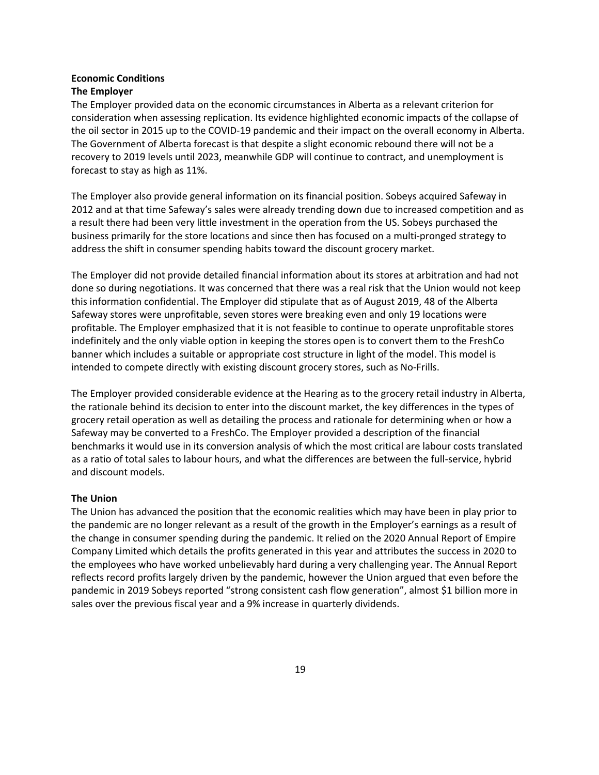## **Economic Conditions The Employer**

The Employer provided data on the economic circumstances in Alberta as a relevant criterion for consideration when assessing replication. Its evidence highlighted economic impacts of the collapse of the oil sector in 2015 up to the COVID-19 pandemic and their impact on the overall economy in Alberta. The Government of Alberta forecast is that despite a slight economic rebound there will not be a recovery to 2019 levels until 2023, meanwhile GDP will continue to contract, and unemployment is forecast to stay as high as 11%.

The Employer also provide general information on its financial position. Sobeys acquired Safeway in 2012 and at that time Safeway's sales were already trending down due to increased competition and as a result there had been very little investment in the operation from the US. Sobeys purchased the business primarily for the store locations and since then has focused on a multi-pronged strategy to address the shift in consumer spending habits toward the discount grocery market.

The Employer did not provide detailed financial information about its stores at arbitration and had not done so during negotiations. It was concerned that there was a real risk that the Union would not keep this information confidential. The Employer did stipulate that as of August 2019, 48 of the Alberta Safeway stores were unprofitable, seven stores were breaking even and only 19 locations were profitable. The Employer emphasized that it is not feasible to continue to operate unprofitable stores indefinitely and the only viable option in keeping the stores open is to convert them to the FreshCo banner which includes a suitable or appropriate cost structure in light of the model. This model is intended to compete directly with existing discount grocery stores, such as No-Frills.

The Employer provided considerable evidence at the Hearing as to the grocery retail industry in Alberta, the rationale behind its decision to enter into the discount market, the key differences in the types of grocery retail operation as well as detailing the process and rationale for determining when or how a Safeway may be converted to a FreshCo. The Employer provided a description of the financial benchmarks it would use in its conversion analysis of which the most critical are labour costs translated as a ratio of total sales to labour hours, and what the differences are between the full-service, hybrid and discount models.

## **The Union**

The Union has advanced the position that the economic realities which may have been in play prior to the pandemic are no longer relevant as a result of the growth in the Employer's earnings as a result of the change in consumer spending during the pandemic. It relied on the 2020 Annual Report of Empire Company Limited which details the profits generated in this year and attributes the success in 2020 to the employees who have worked unbelievably hard during a very challenging year. The Annual Report reflects record profits largely driven by the pandemic, however the Union argued that even before the pandemic in 2019 Sobeys reported "strong consistent cash flow generation", almost \$1 billion more in sales over the previous fiscal year and a 9% increase in quarterly dividends.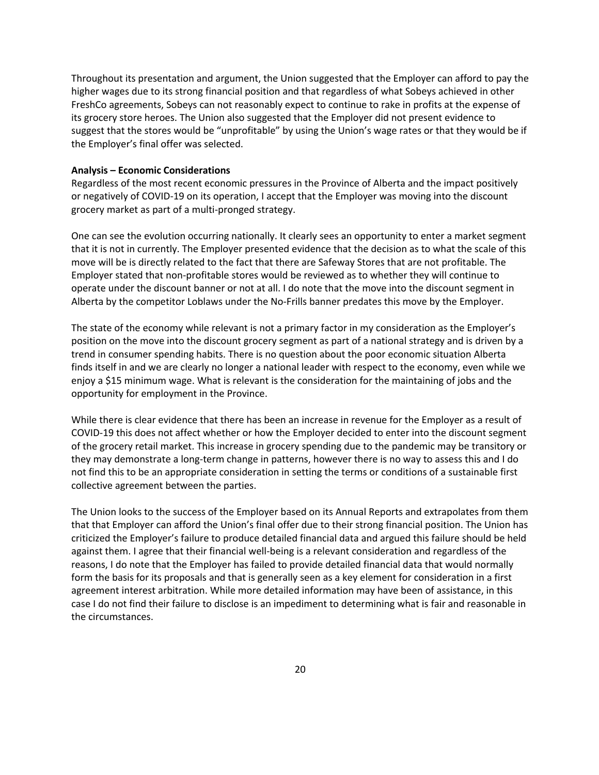Throughout its presentation and argument, the Union suggested that the Employer can afford to pay the higher wages due to its strong financial position and that regardless of what Sobeys achieved in other FreshCo agreements, Sobeys can not reasonably expect to continue to rake in profits at the expense of its grocery store heroes. The Union also suggested that the Employer did not present evidence to suggest that the stores would be "unprofitable" by using the Union's wage rates or that they would be if the Employer's final offer was selected.

#### **Analysis – Economic Considerations**

Regardless of the most recent economic pressures in the Province of Alberta and the impact positively or negatively of COVID-19 on its operation, I accept that the Employer was moving into the discount grocery market as part of a multi-pronged strategy.

One can see the evolution occurring nationally. It clearly sees an opportunity to enter a market segment that it is not in currently. The Employer presented evidence that the decision as to what the scale of this move will be is directly related to the fact that there are Safeway Stores that are not profitable. The Employer stated that non-profitable stores would be reviewed as to whether they will continue to operate under the discount banner or not at all. I do note that the move into the discount segment in Alberta by the competitor Loblaws under the No-Frills banner predates this move by the Employer.

The state of the economy while relevant is not a primary factor in my consideration as the Employer's position on the move into the discount grocery segment as part of a national strategy and is driven by a trend in consumer spending habits. There is no question about the poor economic situation Alberta finds itself in and we are clearly no longer a national leader with respect to the economy, even while we enjoy a \$15 minimum wage. What is relevant is the consideration for the maintaining of jobs and the opportunity for employment in the Province.

While there is clear evidence that there has been an increase in revenue for the Employer as a result of COVID-19 this does not affect whether or how the Employer decided to enter into the discount segment of the grocery retail market. This increase in grocery spending due to the pandemic may be transitory or they may demonstrate a long-term change in patterns, however there is no way to assess this and I do not find this to be an appropriate consideration in setting the terms or conditions of a sustainable first collective agreement between the parties.

The Union looks to the success of the Employer based on its Annual Reports and extrapolates from them that that Employer can afford the Union's final offer due to their strong financial position. The Union has criticized the Employer's failure to produce detailed financial data and argued this failure should be held against them. I agree that their financial well-being is a relevant consideration and regardless of the reasons, I do note that the Employer has failed to provide detailed financial data that would normally form the basis for its proposals and that is generally seen as a key element for consideration in a first agreement interest arbitration. While more detailed information may have been of assistance, in this case I do not find their failure to disclose is an impediment to determining what is fair and reasonable in the circumstances.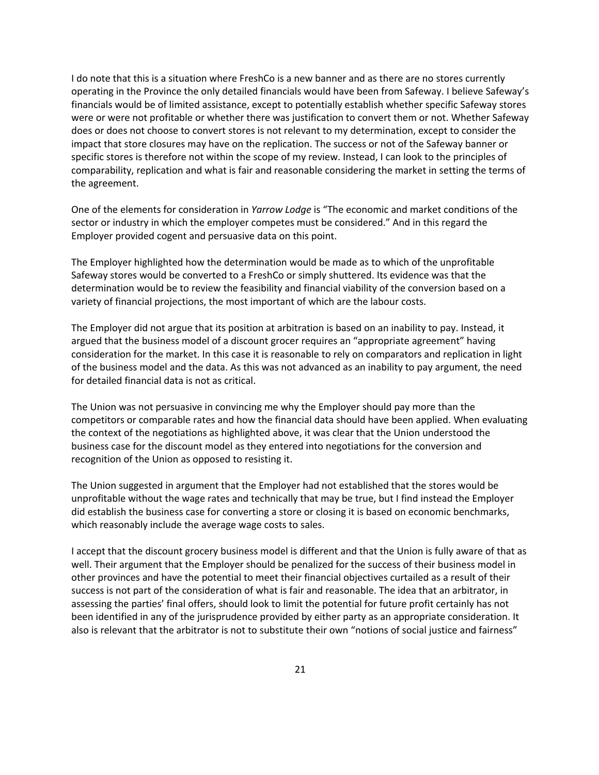I do note that this is a situation where FreshCo is a new banner and as there are no stores currently operating in the Province the only detailed financials would have been from Safeway. I believe Safeway's financials would be of limited assistance, except to potentially establish whether specific Safeway stores were or were not profitable or whether there was justification to convert them or not. Whether Safeway does or does not choose to convert stores is not relevant to my determination, except to consider the impact that store closures may have on the replication. The success or not of the Safeway banner or specific stores is therefore not within the scope of my review. Instead, I can look to the principles of comparability, replication and what is fair and reasonable considering the market in setting the terms of the agreement.

One of the elements for consideration in *Yarrow Lodge* is "The economic and market conditions of the sector or industry in which the employer competes must be considered." And in this regard the Employer provided cogent and persuasive data on this point.

The Employer highlighted how the determination would be made as to which of the unprofitable Safeway stores would be converted to a FreshCo or simply shuttered. Its evidence was that the determination would be to review the feasibility and financial viability of the conversion based on a variety of financial projections, the most important of which are the labour costs.

The Employer did not argue that its position at arbitration is based on an inability to pay. Instead, it argued that the business model of a discount grocer requires an "appropriate agreement" having consideration for the market. In this case it is reasonable to rely on comparators and replication in light of the business model and the data. As this was not advanced as an inability to pay argument, the need for detailed financial data is not as critical.

The Union was not persuasive in convincing me why the Employer should pay more than the competitors or comparable rates and how the financial data should have been applied. When evaluating the context of the negotiations as highlighted above, it was clear that the Union understood the business case for the discount model as they entered into negotiations for the conversion and recognition of the Union as opposed to resisting it.

The Union suggested in argument that the Employer had not established that the stores would be unprofitable without the wage rates and technically that may be true, but I find instead the Employer did establish the business case for converting a store or closing it is based on economic benchmarks, which reasonably include the average wage costs to sales.

I accept that the discount grocery business model is different and that the Union is fully aware of that as well. Their argument that the Employer should be penalized for the success of their business model in other provinces and have the potential to meet their financial objectives curtailed as a result of their success is not part of the consideration of what is fair and reasonable. The idea that an arbitrator, in assessing the parties' final offers, should look to limit the potential for future profit certainly has not been identified in any of the jurisprudence provided by either party as an appropriate consideration. It also is relevant that the arbitrator is not to substitute their own "notions of social justice and fairness"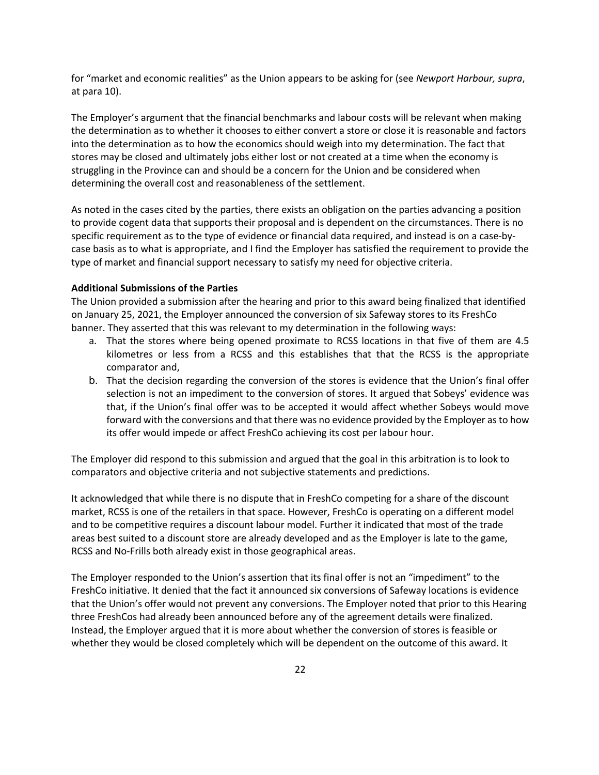for "market and economic realities" as the Union appears to be asking for (see *Newport Harbour, supra*, at para 10).

The Employer's argument that the financial benchmarks and labour costs will be relevant when making the determination as to whether it chooses to either convert a store or close it is reasonable and factors into the determination as to how the economics should weigh into my determination. The fact that stores may be closed and ultimately jobs either lost or not created at a time when the economy is struggling in the Province can and should be a concern for the Union and be considered when determining the overall cost and reasonableness of the settlement.

As noted in the cases cited by the parties, there exists an obligation on the parties advancing a position to provide cogent data that supports their proposal and is dependent on the circumstances. There is no specific requirement as to the type of evidence or financial data required, and instead is on a case-bycase basis as to what is appropriate, and I find the Employer has satisfied the requirement to provide the type of market and financial support necessary to satisfy my need for objective criteria.

#### **Additional Submissions of the Parties**

The Union provided a submission after the hearing and prior to this award being finalized that identified on January 25, 2021, the Employer announced the conversion of six Safeway stores to its FreshCo banner. They asserted that this was relevant to my determination in the following ways:

- a. That the stores where being opened proximate to RCSS locations in that five of them are 4.5 kilometres or less from a RCSS and this establishes that that the RCSS is the appropriate comparator and,
- b. That the decision regarding the conversion of the stores is evidence that the Union's final offer selection is not an impediment to the conversion of stores. It argued that Sobeys' evidence was that, if the Union's final offer was to be accepted it would affect whether Sobeys would move forward with the conversions and that there was no evidence provided by the Employer as to how its offer would impede or affect FreshCo achieving its cost per labour hour.

The Employer did respond to this submission and argued that the goal in this arbitration is to look to comparators and objective criteria and not subjective statements and predictions.

It acknowledged that while there is no dispute that in FreshCo competing for a share of the discount market, RCSS is one of the retailers in that space. However, FreshCo is operating on a different model and to be competitive requires a discount labour model. Further it indicated that most of the trade areas best suited to a discount store are already developed and as the Employer is late to the game, RCSS and No-Frills both already exist in those geographical areas.

The Employer responded to the Union's assertion that its final offer is not an "impediment" to the FreshCo initiative. It denied that the fact it announced six conversions of Safeway locations is evidence that the Union's offer would not prevent any conversions. The Employer noted that prior to this Hearing three FreshCos had already been announced before any of the agreement details were finalized. Instead, the Employer argued that it is more about whether the conversion of stores is feasible or whether they would be closed completely which will be dependent on the outcome of this award. It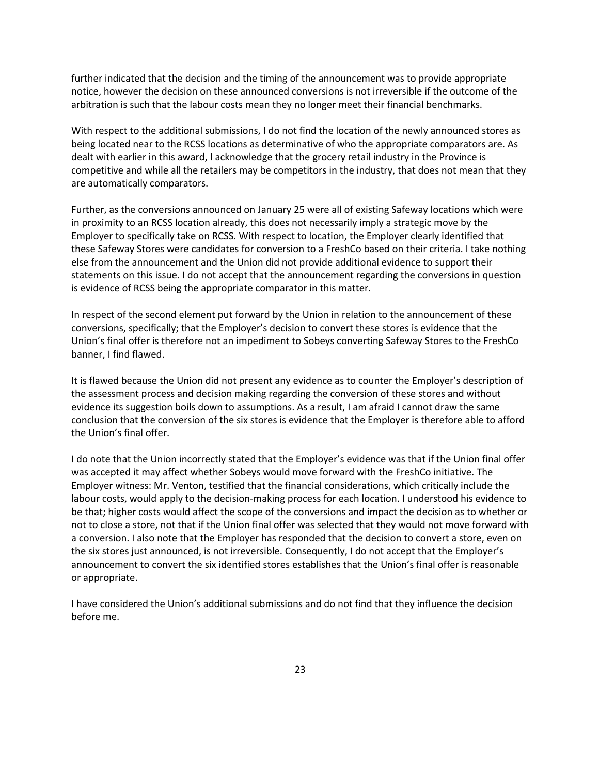further indicated that the decision and the timing of the announcement was to provide appropriate notice, however the decision on these announced conversions is not irreversible if the outcome of the arbitration is such that the labour costs mean they no longer meet their financial benchmarks.

With respect to the additional submissions, I do not find the location of the newly announced stores as being located near to the RCSS locations as determinative of who the appropriate comparators are. As dealt with earlier in this award, I acknowledge that the grocery retail industry in the Province is competitive and while all the retailers may be competitors in the industry, that does not mean that they are automatically comparators.

Further, as the conversions announced on January 25 were all of existing Safeway locations which were in proximity to an RCSS location already, this does not necessarily imply a strategic move by the Employer to specifically take on RCSS. With respect to location, the Employer clearly identified that these Safeway Stores were candidates for conversion to a FreshCo based on their criteria. I take nothing else from the announcement and the Union did not provide additional evidence to support their statements on this issue. I do not accept that the announcement regarding the conversions in question is evidence of RCSS being the appropriate comparator in this matter.

In respect of the second element put forward by the Union in relation to the announcement of these conversions, specifically; that the Employer's decision to convert these stores is evidence that the Union's final offer is therefore not an impediment to Sobeys converting Safeway Stores to the FreshCo banner, I find flawed.

It is flawed because the Union did not present any evidence as to counter the Employer's description of the assessment process and decision making regarding the conversion of these stores and without evidence its suggestion boils down to assumptions. As a result, I am afraid I cannot draw the same conclusion that the conversion of the six stores is evidence that the Employer is therefore able to afford the Union's final offer.

I do note that the Union incorrectly stated that the Employer's evidence was that if the Union final offer was accepted it may affect whether Sobeys would move forward with the FreshCo initiative. The Employer witness: Mr. Venton, testified that the financial considerations, which critically include the labour costs, would apply to the decision-making process for each location. I understood his evidence to be that; higher costs would affect the scope of the conversions and impact the decision as to whether or not to close a store, not that if the Union final offer was selected that they would not move forward with a conversion. I also note that the Employer has responded that the decision to convert a store, even on the six stores just announced, is not irreversible. Consequently, I do not accept that the Employer's announcement to convert the six identified stores establishes that the Union's final offer is reasonable or appropriate.

I have considered the Union's additional submissions and do not find that they influence the decision before me.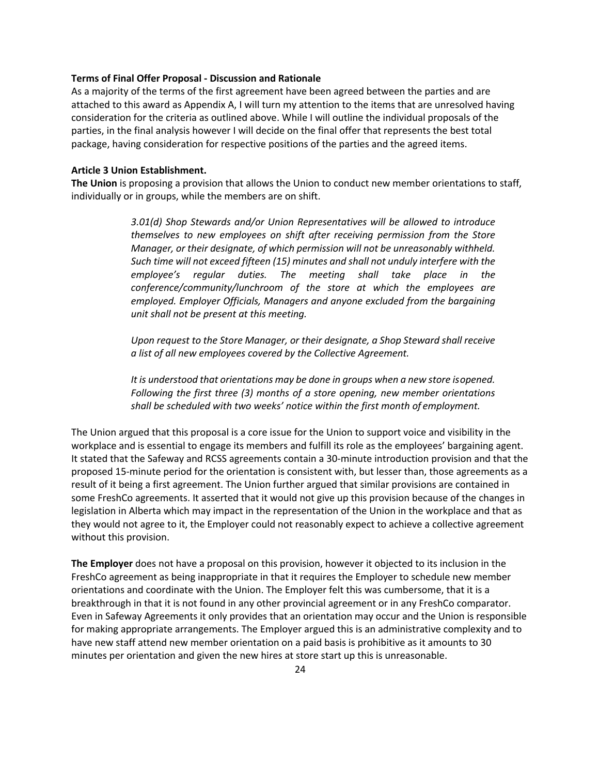#### **Terms of Final Offer Proposal - Discussion and Rationale**

As a majority of the terms of the first agreement have been agreed between the parties and are attached to this award as Appendix A, I will turn my attention to the items that are unresolved having consideration for the criteria as outlined above. While I will outline the individual proposals of the parties, in the final analysis however I will decide on the final offer that represents the best total package, having consideration for respective positions of the parties and the agreed items.

#### **Article 3 Union Establishment.**

**The Union** is proposing a provision that allows the Union to conduct new member orientations to staff, individually or in groups, while the members are on shift.

> *3.01(d) Shop Stewards and/or Union Representatives will be allowed to introduce themselves to new employees on shift after receiving permission from the Store Manager, or their designate, of which permission will not be unreasonably withheld. Such time will not exceed fifteen (15) minutes and shall not unduly interfere with the employee's regular duties. The meeting shall take place in the conference/community/lunchroom of the store at which the employees are employed. Employer Officials, Managers and anyone excluded from the bargaining unit shall not be present at this meeting.*

> *Upon request to the Store Manager, or their designate, a Shop Steward shall receive a list of all new employees covered by the Collective Agreement.*

> *It is understood that orientations may be done in groups when a new store isopened. Following the first three (3) months of a store opening, new member orientations shall be scheduled with two weeks' notice within the first month of employment.*

The Union argued that this proposal is a core issue for the Union to support voice and visibility in the workplace and is essential to engage its members and fulfill its role as the employees' bargaining agent. It stated that the Safeway and RCSS agreements contain a 30-minute introduction provision and that the proposed 15-minute period for the orientation is consistent with, but lesser than, those agreements as a result of it being a first agreement. The Union further argued that similar provisions are contained in some FreshCo agreements. It asserted that it would not give up this provision because of the changes in legislation in Alberta which may impact in the representation of the Union in the workplace and that as they would not agree to it, the Employer could not reasonably expect to achieve a collective agreement without this provision.

**The Employer** does not have a proposal on this provision, however it objected to its inclusion in the FreshCo agreement as being inappropriate in that it requires the Employer to schedule new member orientations and coordinate with the Union. The Employer felt this was cumbersome, that it is a breakthrough in that it is not found in any other provincial agreement or in any FreshCo comparator. Even in Safeway Agreements it only provides that an orientation may occur and the Union is responsible for making appropriate arrangements. The Employer argued this is an administrative complexity and to have new staff attend new member orientation on a paid basis is prohibitive as it amounts to 30 minutes per orientation and given the new hires at store start up this is unreasonable.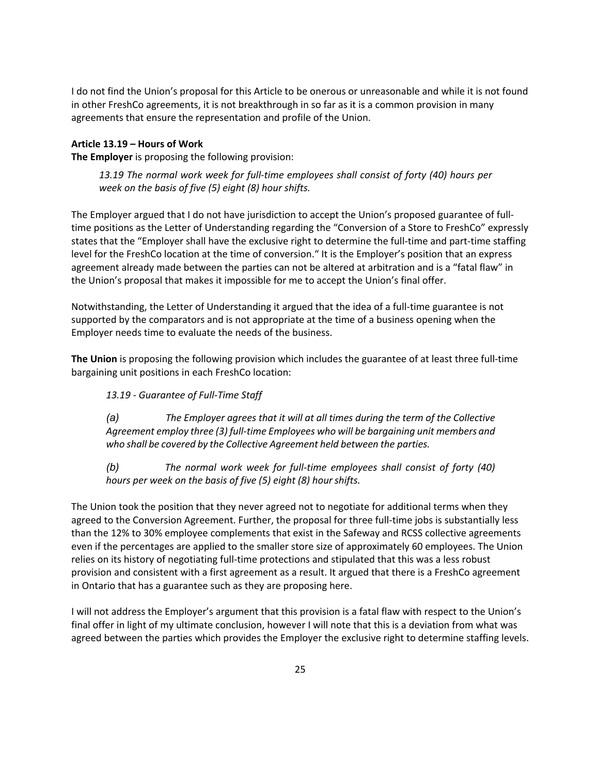I do not find the Union's proposal for this Article to be onerous or unreasonable and while it is not found in other FreshCo agreements, it is not breakthrough in so far as it is a common provision in many agreements that ensure the representation and profile of the Union.

## **Article 13.19 – Hours of Work**

**The Employer** is proposing the following provision:

*13.19 The normal work week for full-time employees shall consist of forty (40) hours per week on the basis of five (5) eight (8) hour shifts.*

The Employer argued that I do not have jurisdiction to accept the Union's proposed guarantee of fulltime positions as the Letter of Understanding regarding the "Conversion of a Store to FreshCo" expressly states that the "Employer shall have the exclusive right to determine the full-time and part-time staffing level for the FreshCo location at the time of conversion." It is the Employer's position that an express agreement already made between the parties can not be altered at arbitration and is a "fatal flaw" in the Union's proposal that makes it impossible for me to accept the Union's final offer.

Notwithstanding, the Letter of Understanding it argued that the idea of a full-time guarantee is not supported by the comparators and is not appropriate at the time of a business opening when the Employer needs time to evaluate the needs of the business.

**The Union** is proposing the following provision which includes the guarantee of at least three full-time bargaining unit positions in each FreshCo location:

## *13.19 - Guarantee of Full-Time Staff*

*(a) The Employer agrees that it will at all times during the term of the Collective Agreement employ three (3) full-time Employees who will be bargaining unit members and who shall be covered by the Collective Agreement held between the parties.*

*(b) The normal work week for full-time employees shall consist of forty (40) hours per week on the basis of five (5) eight (8) hourshifts.*

The Union took the position that they never agreed not to negotiate for additional terms when they agreed to the Conversion Agreement. Further, the proposal for three full-time jobs is substantially less than the 12% to 30% employee complements that exist in the Safeway and RCSS collective agreements even if the percentages are applied to the smaller store size of approximately 60 employees. The Union relies on its history of negotiating full-time protections and stipulated that this was a less robust provision and consistent with a first agreement as a result. It argued that there is a FreshCo agreement in Ontario that has a guarantee such as they are proposing here.

I will not address the Employer's argument that this provision is a fatal flaw with respect to the Union's final offer in light of my ultimate conclusion, however I will note that this is a deviation from what was agreed between the parties which provides the Employer the exclusive right to determine staffing levels.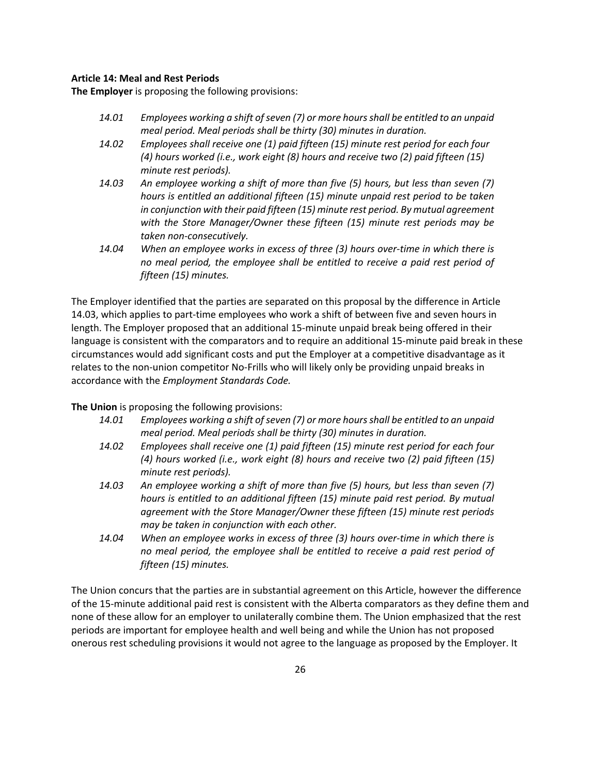### **Article 14: Meal and Rest Periods**

**The Employer** is proposing the following provisions:

- *14.01 Employees working a shift of seven (7) or more hours shall be entitled to an unpaid meal period. Meal periods shall be thirty (30) minutes in duration.*
- *14.02 Employees shall receive one (1) paid fifteen (15) minute rest period for each four (4) hours worked (i.e., work eight (8) hours and receive two (2) paid fifteen (15) minute rest periods).*
- *14.03 An employee working a shift of more than five (5) hours, but less than seven (7) hours is entitled an additional fifteen (15) minute unpaid rest period to be taken in conjunction with their paid fifteen (15) minute rest period. By mutual agreement with the Store Manager/Owner these fifteen (15) minute rest periods may be taken non-consecutively.*
- *14.04 When an employee works in excess of three (3) hours over-time in which there is no meal period, the employee shall be entitled to receive a paid rest period of fifteen (15) minutes.*

The Employer identified that the parties are separated on this proposal by the difference in Article 14.03, which applies to part-time employees who work a shift of between five and seven hours in length. The Employer proposed that an additional 15-minute unpaid break being offered in their language is consistent with the comparators and to require an additional 15-minute paid break in these circumstances would add significant costs and put the Employer at a competitive disadvantage as it relates to the non-union competitor No-Frills who will likely only be providing unpaid breaks in accordance with the *Employment Standards Code.*

**The Union** is proposing the following provisions:

- *14.01 Employees working a shift of seven (7) or more hours shall be entitled to an unpaid meal period. Meal periods shall be thirty (30) minutes in duration.*
- *14.02 Employees shall receive one (1) paid fifteen (15) minute rest period for each four (4) hours worked (i.e., work eight (8) hours and receive two (2) paid fifteen (15) minute rest periods).*
- *14.03 An employee working a shift of more than five (5) hours, but less than seven (7) hours is entitled to an additional fifteen (15) minute paid rest period. By mutual agreement with the Store Manager/Owner these fifteen (15) minute rest periods may be taken in conjunction with each other.*
- *14.04 When an employee works in excess of three (3) hours over-time in which there is no meal period, the employee shall be entitled to receive a paid rest period of fifteen (15) minutes.*

The Union concurs that the parties are in substantial agreement on this Article, however the difference of the 15-minute additional paid rest is consistent with the Alberta comparators as they define them and none of these allow for an employer to unilaterally combine them. The Union emphasized that the rest periods are important for employee health and well being and while the Union has not proposed onerous rest scheduling provisions it would not agree to the language as proposed by the Employer. It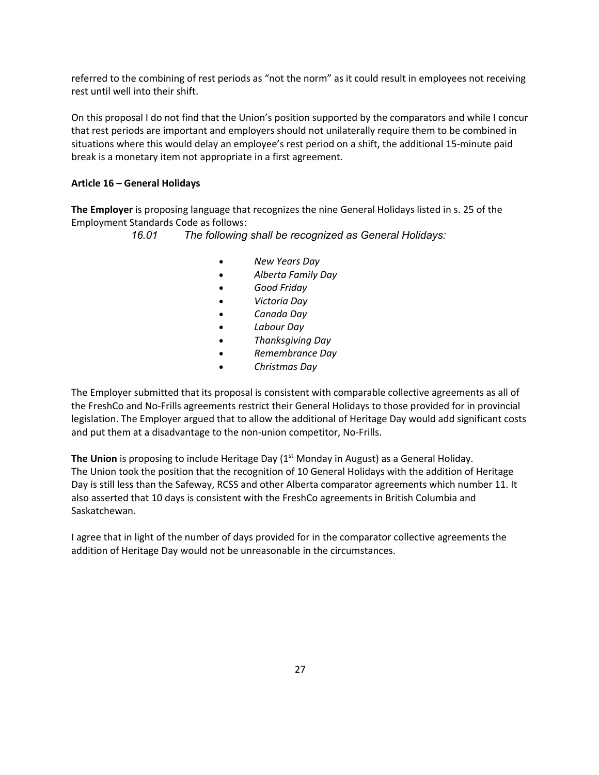referred to the combining of rest periods as "not the norm" as it could result in employees not receiving rest until well into their shift.

On this proposal I do not find that the Union's position supported by the comparators and while I concur that rest periods are important and employers should not unilaterally require them to be combined in situations where this would delay an employee's rest period on a shift, the additional 15-minute paid break is a monetary item not appropriate in a first agreement.

## **Article 16 – General Holidays**

**The Employer** is proposing language that recognizes the nine General Holidays listed in s. 25 of the Employment Standards Code as follows:

*16.01 The following shall be recognized as General Holidays:*

- *New Years Day*
- *Alberta Family Day*
- *Good Friday*
- *Victoria Day*
- *Canada Day*
- *Labour Day*
- *Thanksgiving Day*
- *Remembrance Day*
- *Christmas Day*

The Employer submitted that its proposal is consistent with comparable collective agreements as all of the FreshCo and No-Frills agreements restrict their General Holidays to those provided for in provincial legislation. The Employer argued that to allow the additional of Heritage Day would add significant costs and put them at a disadvantage to the non-union competitor, No-Frills.

**The Union** is proposing to include Heritage Day (1<sup>st</sup> Monday in August) as a General Holiday. The Union took the position that the recognition of 10 General Holidays with the addition of Heritage Day is still less than the Safeway, RCSS and other Alberta comparator agreements which number 11. It also asserted that 10 days is consistent with the FreshCo agreements in British Columbia and Saskatchewan.

I agree that in light of the number of days provided for in the comparator collective agreements the addition of Heritage Day would not be unreasonable in the circumstances.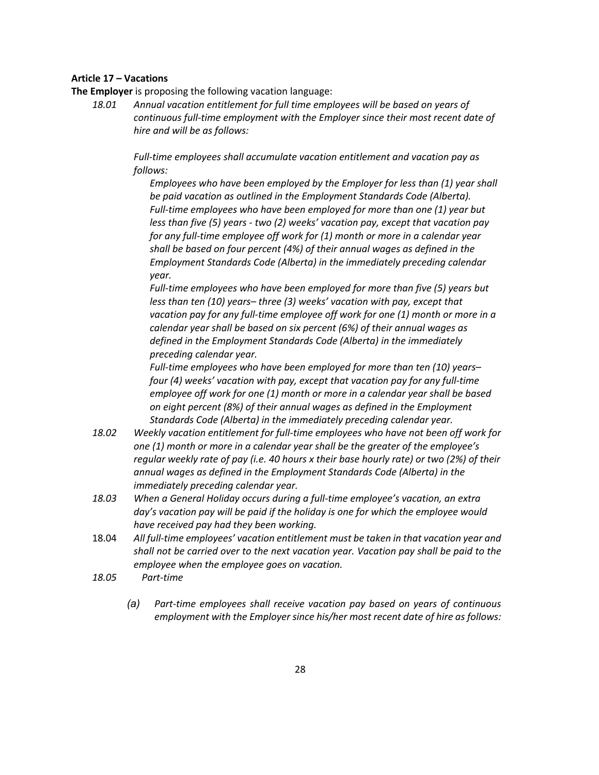## **Article 17 – Vacations**

**The Employer** is proposing the following vacation language:

*18.01 Annual vacation entitlement for full time employees will be based on years of continuous full-time employment with the Employer since their most recent date of hire and will be as follows:*

> *Full-time employees shall accumulate vacation entitlement and vacation pay as follows:*

*Employees who have been employed by the Employer for less than (1) year shall be paid vacation as outlined in the Employment Standards Code (Alberta). Full-time employees who have been employed for more than one (1) year but less than five (5) years - two (2) weeks' vacation pay, except that vacation pay for any full-time employee off work for (1) month or more in a calendar year shall be based on four percent (4%) of their annual wages as defined in the Employment Standards Code (Alberta) in the immediately preceding calendar year.*

*Full-time employees who have been employed for more than five (5) years but less than ten (10) years– three (3) weeks' vacation with pay, except that vacation pay for any full-time employee off work for one (1) month or more in a calendar year shall be based on six percent (6%) of their annual wages as defined in the Employment Standards Code (Alberta) in the immediately preceding calendar year.*

*Full-time employees who have been employed for more than ten (10) years– four (4) weeks' vacation with pay, except that vacation pay for any full-time employee off work for one (1) month or more in a calendar year shall be based on eight percent (8%) of their annual wages as defined in the Employment Standards Code (Alberta) in the immediately preceding calendar year.*

- *18.02 Weekly vacation entitlement for full-time employees who have not been off work for one (1) month or more in a calendar year shall be the greater of the employee's regular weekly rate of pay (i.e. 40 hours x their base hourly rate) or two (2%) of their annual wages as defined in the Employment Standards Code (Alberta) in the immediately preceding calendar year.*
- *18.03 When a General Holiday occurs during a full-time employee's vacation, an extra day's vacation pay will be paid if the holiday is one for which the employee would have received pay had they been working.*
- 18.04 *All full-time employees' vacation entitlement must be taken in that vacation year and shall not be carried over to the next vacation year. Vacation pay shall be paid to the employee when the employee goes on vacation.*
- *18.05 Part-time*
	- *(a) Part-time employees shall receive vacation pay based on years of continuous employment with the Employer since his/her most recent date of hire as follows:*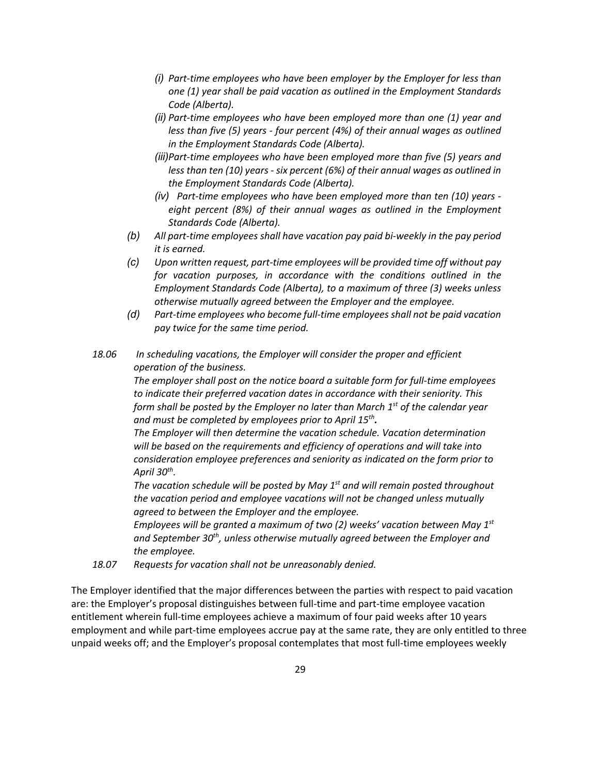- *(i) Part-time employees who have been employer by the Employer for less than one (1) year shall be paid vacation as outlined in the Employment Standards Code (Alberta).*
- *(ii) Part-time employees who have been employed more than one (1) year and less than five (5) years - four percent (4%) of their annual wages as outlined in the Employment Standards Code (Alberta).*
- *(iii)Part-time employees who have been employed more than five (5) years and less than ten (10) years - six percent (6%) of their annual wages as outlined in the Employment Standards Code (Alberta).*
- *(iv) Part-time employees who have been employed more than ten (10) years eight percent (8%) of their annual wages as outlined in the Employment Standards Code (Alberta).*
- *(b) All part-time employees shall have vacation pay paid bi-weekly in the pay period it is earned.*
- *(c) Upon written request, part-time employees will be provided time off without pay for vacation purposes, in accordance with the conditions outlined in the Employment Standards Code (Alberta), to a maximum of three (3) weeks unless otherwise mutually agreed between the Employer and the employee.*
- *(d) Part-time employees who become full-time employeesshall not be paid vacation pay twice for the same time period.*
- *18.06 In scheduling vacations, the Employer will consider the proper and efficient operation of the business.*

*The employer shall post on the notice board a suitable form for full-time employees to indicate their preferred vacation dates in accordance with their seniority. This form shall be posted by the Employer no later than March 1st of the calendar year and must be completed by employees prior to April 15th.*

*The Employer will then determine the vacation schedule. Vacation determination will be based on the requirements and efficiency of operations and will take into consideration employee preferences and seniority as indicated on the form prior to April 30th.*

*The vacation schedule will be posted by May 1st and will remain posted throughout the vacation period and employee vacations will not be changed unless mutually agreed to between the Employer and the employee.*

*Employees will be granted a maximum of two (2) weeks' vacation between May 1st* and September 30<sup>th</sup>, unless otherwise mutually agreed between the Employer and *the employee.*

*18.07 Requests for vacation shall not be unreasonably denied.*

The Employer identified that the major differences between the parties with respect to paid vacation are: the Employer's proposal distinguishes between full-time and part-time employee vacation entitlement wherein full-time employees achieve a maximum of four paid weeks after 10 years employment and while part-time employees accrue pay at the same rate, they are only entitled to three unpaid weeks off; and the Employer's proposal contemplates that most full-time employees weekly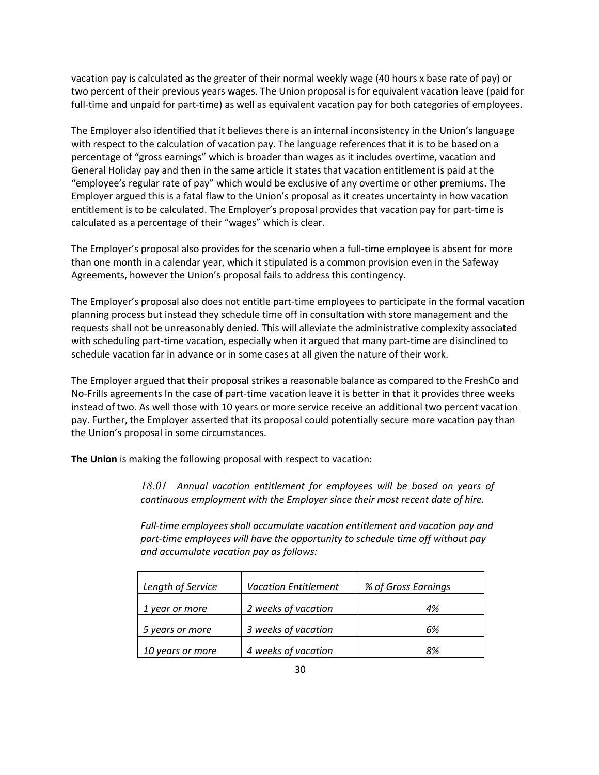vacation pay is calculated as the greater of their normal weekly wage (40 hours x base rate of pay) or two percent of their previous years wages. The Union proposal is for equivalent vacation leave (paid for full-time and unpaid for part-time) as well as equivalent vacation pay for both categories of employees.

The Employer also identified that it believes there is an internal inconsistency in the Union's language with respect to the calculation of vacation pay. The language references that it is to be based on a percentage of "gross earnings" which is broader than wages as it includes overtime, vacation and General Holiday pay and then in the same article it states that vacation entitlement is paid at the "employee's regular rate of pay" which would be exclusive of any overtime or other premiums. The Employer argued this is a fatal flaw to the Union's proposal as it creates uncertainty in how vacation entitlement is to be calculated. The Employer's proposal provides that vacation pay for part-time is calculated as a percentage of their "wages" which is clear.

The Employer's proposal also provides for the scenario when a full-time employee is absent for more than one month in a calendar year, which it stipulated is a common provision even in the Safeway Agreements, however the Union's proposal fails to address this contingency.

The Employer's proposal also does not entitle part-time employees to participate in the formal vacation planning process but instead they schedule time off in consultation with store management and the requests shall not be unreasonably denied. This will alleviate the administrative complexity associated with scheduling part-time vacation, especially when it argued that many part-time are disinclined to schedule vacation far in advance or in some cases at all given the nature of their work.

The Employer argued that their proposal strikes a reasonable balance as compared to the FreshCo and No-Frills agreements In the case of part-time vacation leave it is better in that it provides three weeks instead of two. As well those with 10 years or more service receive an additional two percent vacation pay. Further, the Employer asserted that its proposal could potentially secure more vacation pay than the Union's proposal in some circumstances.

**The Union** is making the following proposal with respect to vacation:

*18.01 Annual vacation entitlement for employees will be based on years of continuous employment with the Employer since their most recent date of hire.*

*Full-time employees shall accumulate vacation entitlement and vacation pay and part-time employees will have the opportunity to schedule time off without pay and accumulate vacation pay as follows:*

| Length of Service | <b>Vacation Entitlement</b> | % of Gross Earnings |
|-------------------|-----------------------------|---------------------|
| 1 year or more    | 2 weeks of vacation         | 4%                  |
| 5 years or more   | 3 weeks of vacation         | 6%                  |
| 10 years or more  | 4 weeks of vacation         | 8%                  |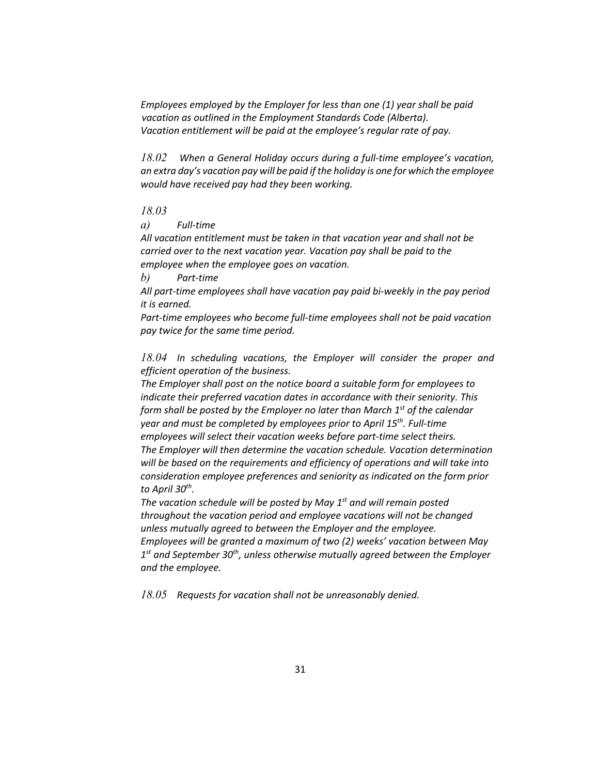*Employees employed by the Employer for less than one (1) year shall be paid vacation as outlined in the Employment Standards Code (Alberta). Vacation entitlement will be paid at the employee's regular rate of pay.*

*18.02 When a General Holiday occurs during a full-time employee's vacation, an extra day's vacation pay will be paid if the holiday is one for which the employee would have received pay had they been working.*

### *18.03*

*a) Full-time*

*All vacation entitlement must be taken in that vacation year and shall not be carried over to the next vacation year. Vacation pay shall be paid to the employee when the employee goes on vacation.*

*b) Part-time*

*All part-time employees shall have vacation pay paid bi-weekly in the pay period it is earned.*

*Part-time employees who become full-time employees shall not be paid vacation pay twice for the same time period.*

*18.04 In scheduling vacations, the Employer will consider the proper and efficient operation of the business.*

*The Employer shall post on the notice board a suitable form for employees to indicate their preferred vacation dates in accordance with their seniority. This form shall be posted by the Employer no later than March 1st of the calendar year and must be completed by employees prior to April 15th. Full-time employees will select their vacation weeks before part-time select theirs. The Employer will then determine the vacation schedule. Vacation determination will be based on the requirements and efficiency of operations and will take into consideration employee preferences and seniority as indicated on the form prior to April 30th.*

*The vacation schedule will be posted by May 1st and will remain posted throughout the vacation period and employee vacations will not be changed unless mutually agreed to between the Employer and the employee. Employees will be granted a maximum of two (2) weeks' vacation between May 1st and September 30th, unless otherwise mutually agreed between the Employer and the employee.*

*18.05 Requests for vacation shall not be unreasonably denied.*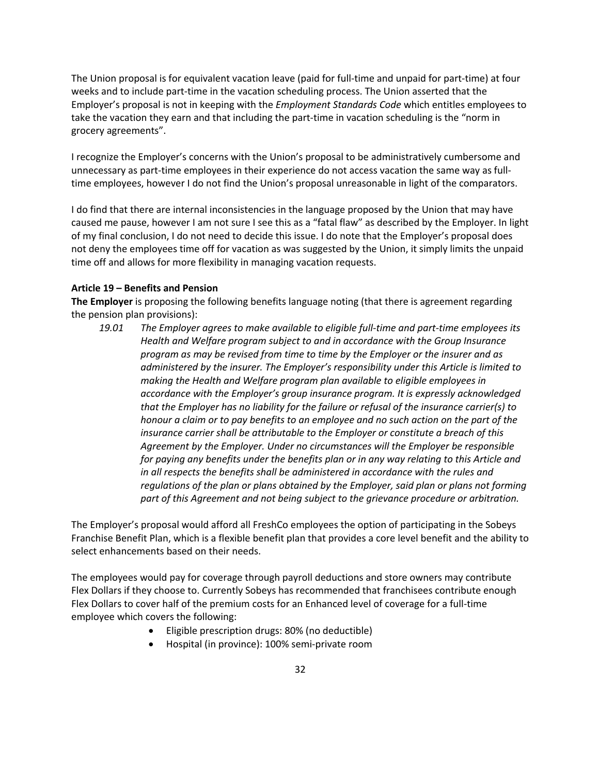The Union proposal is for equivalent vacation leave (paid for full-time and unpaid for part-time) at four weeks and to include part-time in the vacation scheduling process. The Union asserted that the Employer's proposal is not in keeping with the *Employment Standards Code* which entitles employees to take the vacation they earn and that including the part-time in vacation scheduling is the "norm in grocery agreements".

I recognize the Employer's concerns with the Union's proposal to be administratively cumbersome and unnecessary as part-time employees in their experience do not access vacation the same way as fulltime employees, however I do not find the Union's proposal unreasonable in light of the comparators.

I do find that there are internal inconsistencies in the language proposed by the Union that may have caused me pause, however I am not sure I see this as a "fatal flaw" as described by the Employer. In light of my final conclusion, I do not need to decide this issue. I do note that the Employer's proposal does not deny the employees time off for vacation as was suggested by the Union, it simply limits the unpaid time off and allows for more flexibility in managing vacation requests.

### **Article 19 – Benefits and Pension**

**The Employer** is proposing the following benefits language noting (that there is agreement regarding the pension plan provisions):

*19.01 The Employer agrees to make available to eligible full-time and part-time employees its Health and Welfare program subject to and in accordance with the Group Insurance program as may be revised from time to time by the Employer or the insurer and as administered by the insurer. The Employer's responsibility under this Article is limited to making the Health and Welfare program plan available to eligible employees in accordance with the Employer's group insurance program. It is expressly acknowledged that the Employer has no liability for the failure or refusal of the insurance carrier(s) to honour a claim or to pay benefits to an employee and no such action on the part of the insurance carrier shall be attributable to the Employer or constitute a breach of this Agreement by the Employer. Under no circumstances will the Employer be responsible for paying any benefits under the benefits plan or in any way relating to this Article and in all respects the benefits shall be administered in accordance with the rules and regulations of the plan or plans obtained by the Employer, said plan or plans not forming part of this Agreement and not being subject to the grievance procedure or arbitration.*

The Employer's proposal would afford all FreshCo employees the option of participating in the Sobeys Franchise Benefit Plan, which is a flexible benefit plan that provides a core level benefit and the ability to select enhancements based on their needs.

The employees would pay for coverage through payroll deductions and store owners may contribute Flex Dollars if they choose to. Currently Sobeys has recommended that franchisees contribute enough Flex Dollars to cover half of the premium costs for an Enhanced level of coverage for a full-time employee which covers the following:

- Eligible prescription drugs: 80% (no deductible)
- Hospital (in province): 100% semi-private room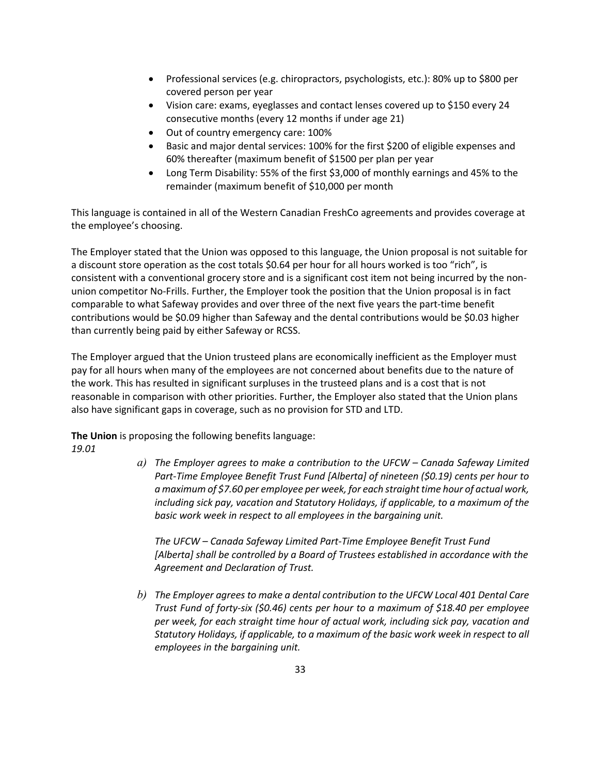- Professional services (e.g. chiropractors, psychologists, etc.): 80% up to \$800 per covered person per year
- Vision care: exams, eyeglasses and contact lenses covered up to \$150 every 24 consecutive months (every 12 months if under age 21)
- Out of country emergency care: 100%
- Basic and major dental services: 100% for the first \$200 of eligible expenses and 60% thereafter (maximum benefit of \$1500 per plan per year
- Long Term Disability: 55% of the first \$3,000 of monthly earnings and 45% to the remainder (maximum benefit of \$10,000 per month

This language is contained in all of the Western Canadian FreshCo agreements and provides coverage at the employee's choosing.

The Employer stated that the Union was opposed to this language, the Union proposal is not suitable for a discount store operation as the cost totals \$0.64 per hour for all hours worked is too "rich", is consistent with a conventional grocery store and is a significant cost item not being incurred by the nonunion competitor No-Frills. Further, the Employer took the position that the Union proposal is in fact comparable to what Safeway provides and over three of the next five years the part-time benefit contributions would be \$0.09 higher than Safeway and the dental contributions would be \$0.03 higher than currently being paid by either Safeway or RCSS.

The Employer argued that the Union trusteed plans are economically inefficient as the Employer must pay for all hours when many of the employees are not concerned about benefits due to the nature of the work. This has resulted in significant surpluses in the trusteed plans and is a cost that is not reasonable in comparison with other priorities. Further, the Employer also stated that the Union plans also have significant gaps in coverage, such as no provision for STD and LTD.

**The Union** is proposing the following benefits language:

*19.01*

*a) The Employer agrees to make a contribution to the UFCW – Canada Safeway Limited Part-Time Employee Benefit Trust Fund [Alberta] of nineteen (\$0.19) cents per hour to a maximum of \$7.60 per employee per week, for each straight time hour of actual work, including sick pay, vacation and Statutory Holidays, if applicable, to a maximum of the basic work week in respect to all employees in the bargaining unit.*

*The UFCW – Canada Safeway Limited Part-Time Employee Benefit Trust Fund [Alberta] shall be controlled by a Board of Trustees established in accordance with the Agreement and Declaration of Trust.*

*b) The Employer agrees to make a dental contribution to the UFCW Local 401 Dental Care Trust Fund of forty-six (\$0.46) cents per hour to a maximum of \$18.40 per employee per week, for each straight time hour of actual work, including sick pay, vacation and Statutory Holidays, if applicable, to a maximum of the basic work week in respect to all employees in the bargaining unit.*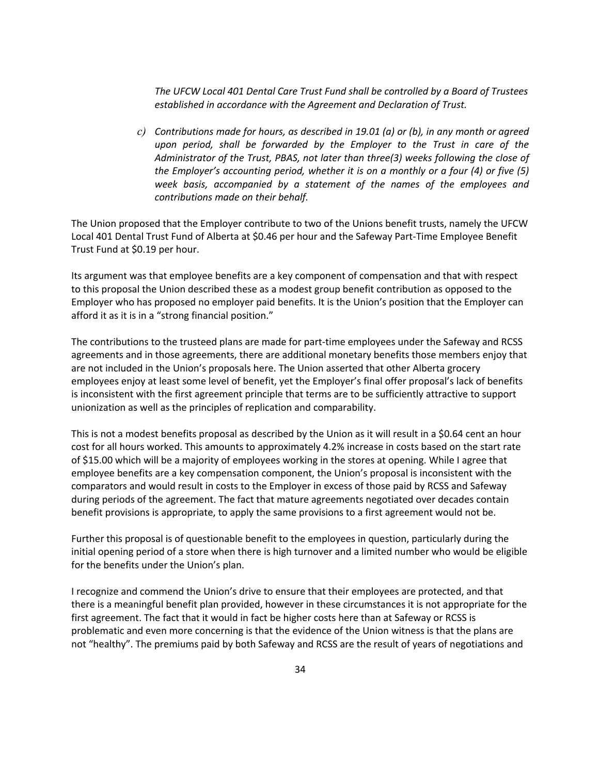*The UFCW Local 401 Dental Care Trust Fund shall be controlled by a Board of Trustees established in accordance with the Agreement and Declaration of Trust.*

*c) Contributions made for hours, as described in 19.01 (a) or (b), in any month or agreed upon period, shall be forwarded by the Employer to the Trust in care of the Administrator of the Trust, PBAS, not later than three(3) weeks following the close of the Employer's accounting period, whether it is on a monthly or a four (4) or five (5) week basis, accompanied by a statement of the names of the employees and contributions made on their behalf.*

The Union proposed that the Employer contribute to two of the Unions benefit trusts, namely the UFCW Local 401 Dental Trust Fund of Alberta at \$0.46 per hour and the Safeway Part-Time Employee Benefit Trust Fund at \$0.19 per hour.

Its argument was that employee benefits are a key component of compensation and that with respect to this proposal the Union described these as a modest group benefit contribution as opposed to the Employer who has proposed no employer paid benefits. It is the Union's position that the Employer can afford it as it is in a "strong financial position."

The contributions to the trusteed plans are made for part-time employees under the Safeway and RCSS agreements and in those agreements, there are additional monetary benefits those members enjoy that are not included in the Union's proposals here. The Union asserted that other Alberta grocery employees enjoy at least some level of benefit, yet the Employer's final offer proposal's lack of benefits is inconsistent with the first agreement principle that terms are to be sufficiently attractive to support unionization as well as the principles of replication and comparability.

This is not a modest benefits proposal as described by the Union as it will result in a \$0.64 cent an hour cost for all hours worked. This amounts to approximately 4.2% increase in costs based on the start rate of \$15.00 which will be a majority of employees working in the stores at opening. While I agree that employee benefits are a key compensation component, the Union's proposal is inconsistent with the comparators and would result in costs to the Employer in excess of those paid by RCSS and Safeway during periods of the agreement. The fact that mature agreements negotiated over decades contain benefit provisions is appropriate, to apply the same provisions to a first agreement would not be.

Further this proposal is of questionable benefit to the employees in question, particularly during the initial opening period of a store when there is high turnover and a limited number who would be eligible for the benefits under the Union's plan.

I recognize and commend the Union's drive to ensure that their employees are protected, and that there is a meaningful benefit plan provided, however in these circumstances it is not appropriate for the first agreement. The fact that it would in fact be higher costs here than at Safeway or RCSS is problematic and even more concerning is that the evidence of the Union witness is that the plans are not "healthy". The premiums paid by both Safeway and RCSS are the result of years of negotiations and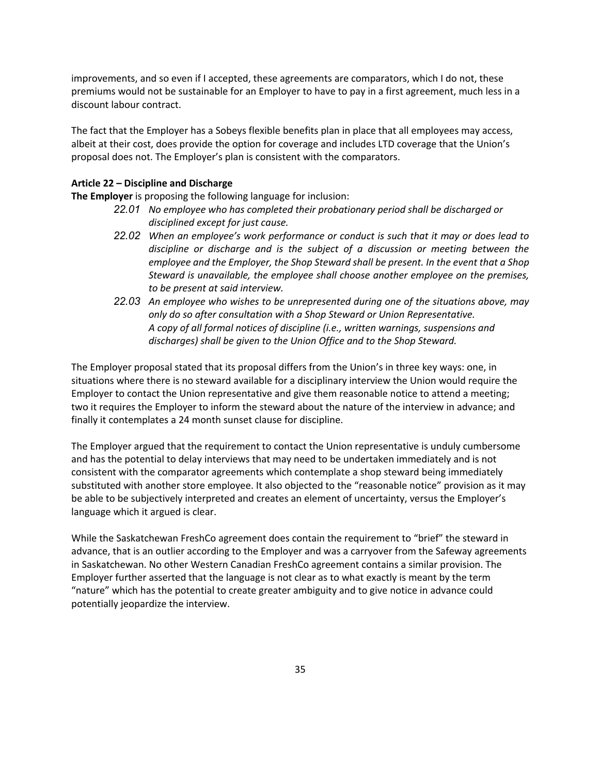improvements, and so even if I accepted, these agreements are comparators, which I do not, these premiums would not be sustainable for an Employer to have to pay in a first agreement, much less in a discount labour contract.

The fact that the Employer has a Sobeys flexible benefits plan in place that all employees may access, albeit at their cost, does provide the option for coverage and includes LTD coverage that the Union's proposal does not. The Employer's plan is consistent with the comparators.

### **Article 22 – Discipline and Discharge**

**The Employer** is proposing the following language for inclusion:

- *22.01 No employee who has completed their probationary period shall be discharged or disciplined except for just cause.*
- *22.02 When an employee's work performance or conduct is such that it may or does lead to discipline or discharge and is the subject of a discussion or meeting between the employee and the Employer, the Shop Steward shall be present. In the event that a Shop Steward is unavailable, the employee shall choose another employee on the premises, to be present at said interview.*
- *22.03 An employee who wishes to be unrepresented during one of the situations above, may only do so after consultation with a Shop Steward or Union Representative. A copy of all formal notices of discipline (i.e., written warnings, suspensions and discharges) shall be given to the Union Office and to the Shop Steward.*

The Employer proposal stated that its proposal differs from the Union's in three key ways: one, in situations where there is no steward available for a disciplinary interview the Union would require the Employer to contact the Union representative and give them reasonable notice to attend a meeting; two it requires the Employer to inform the steward about the nature of the interview in advance; and finally it contemplates a 24 month sunset clause for discipline.

The Employer argued that the requirement to contact the Union representative is unduly cumbersome and has the potential to delay interviews that may need to be undertaken immediately and is not consistent with the comparator agreements which contemplate a shop steward being immediately substituted with another store employee. It also objected to the "reasonable notice" provision as it may be able to be subjectively interpreted and creates an element of uncertainty, versus the Employer's language which it argued is clear.

While the Saskatchewan FreshCo agreement does contain the requirement to "brief" the steward in advance, that is an outlier according to the Employer and was a carryover from the Safeway agreements in Saskatchewan. No other Western Canadian FreshCo agreement contains a similar provision. The Employer further asserted that the language is not clear as to what exactly is meant by the term "nature" which has the potential to create greater ambiguity and to give notice in advance could potentially jeopardize the interview.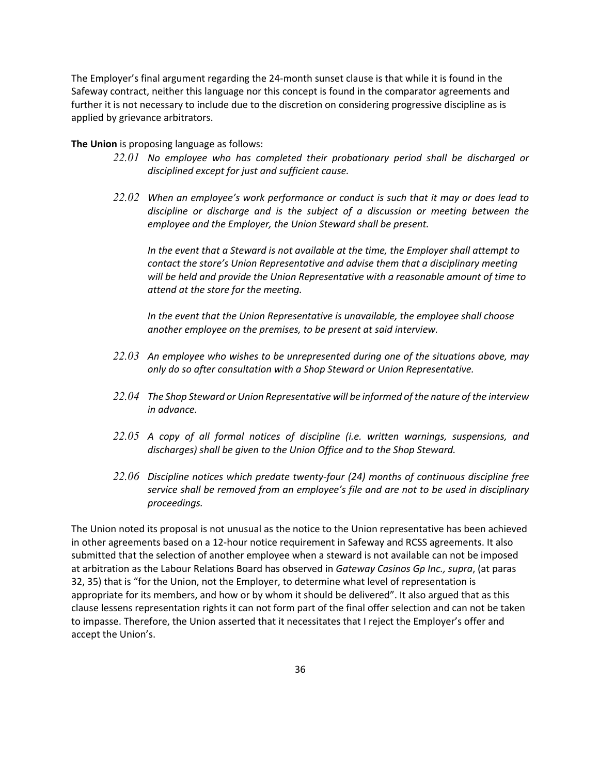The Employer's final argument regarding the 24-month sunset clause is that while it is found in the Safeway contract, neither this language nor this concept is found in the comparator agreements and further it is not necessary to include due to the discretion on considering progressive discipline as is applied by grievance arbitrators.

#### **The Union** is proposing language as follows:

- *22.01 No employee who has completed their probationary period shall be discharged or disciplined except for just and sufficient cause.*
- *22.02 When an employee's work performance or conduct is such that it may or does lead to discipline or discharge and is the subject of a discussion or meeting between the employee and the Employer, the Union Steward shall be present.*

*In the event that a Steward is not available at the time, the Employer shall attempt to contact the store's Union Representative and advise them that a disciplinary meeting will be held and provide the Union Representative with a reasonable amount of time to attend at the store for the meeting.*

*In the event that the Union Representative is unavailable, the employee shall choose another employee on the premises, to be present at said interview.*

- *22.03 An employee who wishes to be unrepresented during one of the situations above, may only do so after consultation with a Shop Steward or Union Representative.*
- *22.04 The Shop Steward or Union Representative will be informed of the nature of the interview in advance.*
- *22.05 A copy of all formal notices of discipline (i.e. written warnings, suspensions, and discharges) shall be given to the Union Office and to the Shop Steward.*
- *22.06 Discipline notices which predate twenty-four (24) months of continuous discipline free service shall be removed from an employee's file and are not to be used in disciplinary proceedings.*

The Union noted its proposal is not unusual as the notice to the Union representative has been achieved in other agreements based on a 12-hour notice requirement in Safeway and RCSS agreements. It also submitted that the selection of another employee when a steward is not available can not be imposed at arbitration as the Labour Relations Board has observed in *Gateway Casinos Gp Inc., supra*, (at paras 32, 35) that is "for the Union, not the Employer, to determine what level of representation is appropriate for its members, and how or by whom it should be delivered". It also argued that as this clause lessens representation rights it can not form part of the final offer selection and can not be taken to impasse. Therefore, the Union asserted that it necessitates that I reject the Employer's offer and accept the Union's.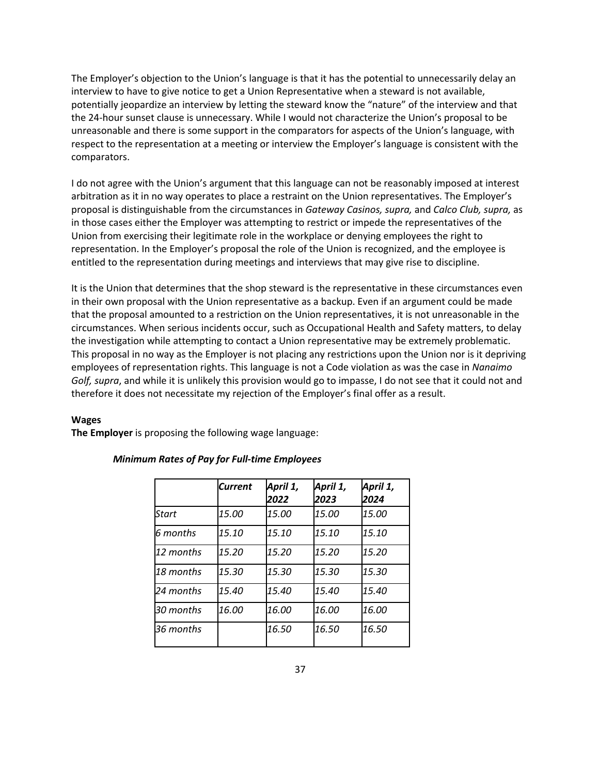The Employer's objection to the Union's language is that it has the potential to unnecessarily delay an interview to have to give notice to get a Union Representative when a steward is not available, potentially jeopardize an interview by letting the steward know the "nature" of the interview and that the 24-hour sunset clause is unnecessary. While I would not characterize the Union's proposal to be unreasonable and there is some support in the comparators for aspects of the Union's language, with respect to the representation at a meeting or interview the Employer's language is consistent with the comparators.

I do not agree with the Union's argument that this language can not be reasonably imposed at interest arbitration as it in no way operates to place a restraint on the Union representatives. The Employer's proposal is distinguishable from the circumstances in *Gateway Casinos, supra,* and *Calco Club, supra,* as in those cases either the Employer was attempting to restrict or impede the representatives of the Union from exercising their legitimate role in the workplace or denying employees the right to representation. In the Employer's proposal the role of the Union is recognized, and the employee is entitled to the representation during meetings and interviews that may give rise to discipline.

It is the Union that determines that the shop steward is the representative in these circumstances even in their own proposal with the Union representative as a backup. Even if an argument could be made that the proposal amounted to a restriction on the Union representatives, it is not unreasonable in the circumstances. When serious incidents occur, such as Occupational Health and Safety matters, to delay the investigation while attempting to contact a Union representative may be extremely problematic. This proposal in no way as the Employer is not placing any restrictions upon the Union nor is it depriving employees of representation rights. This language is not a Code violation as was the case in *Nanaimo Golf, supra*, and while it is unlikely this provision would go to impasse, I do not see that it could not and therefore it does not necessitate my rejection of the Employer's final offer as a result.

#### **Wages**

**The Employer** is proposing the following wage language:

|           | <b>Current</b> | April 1,<br>2022 | April 1,<br>2023 | April 1,<br>2024 |
|-----------|----------------|------------------|------------------|------------------|
| Start     | <i>15.00</i>   | 15.00            | 15.00            | 15.00            |
| 6 months  | 15.10          | 15.10            | 15.10            | 15.10            |
| 12 months | 15.20          | 15.20            | 15.20            | 15.20            |
| 18 months | 15.30          | 15.30            | 15.30            | 15.30            |
| 24 months | 15.40          | 15.40            | 15.40            | 15.40            |
| 30 months | <i>16.00</i>   | 16.00            | 16.00            | 16.00            |
| 36 months |                | 16.50            | 16.50            | 16.50            |

#### *Minimum Rates of Pay for Full-time Employees*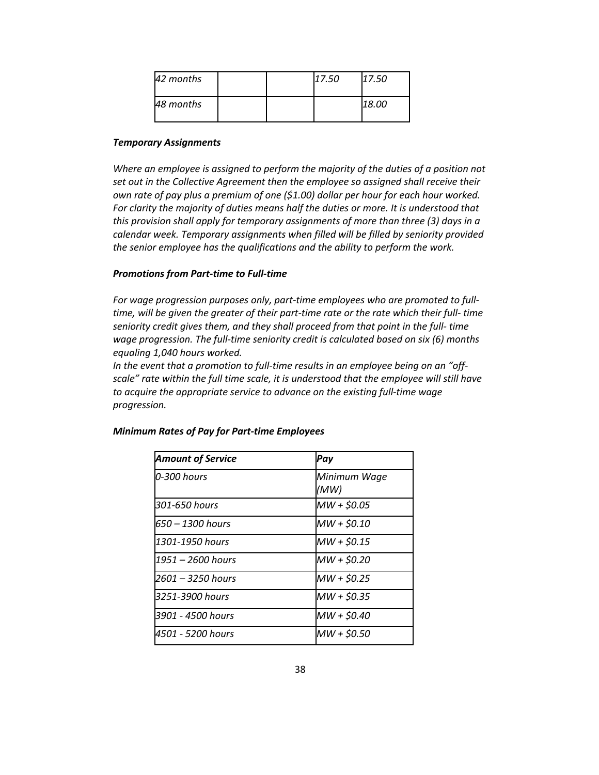| 42 months |  | 17.50 | 17.50 |
|-----------|--|-------|-------|
| 48 months |  |       | 18.00 |

#### *Temporary Assignments*

*Where an employee is assigned to perform the majority of the duties of a position not set out in the Collective Agreement then the employee so assigned shall receive their own rate of pay plus a premium of one (\$1.00) dollar per hour for each hour worked. For clarity the majority of duties means half the duties or more. It is understood that this provision shall apply for temporary assignments of more than three (3) days in a calendar week. Temporary assignments when filled will be filled by seniority provided the senior employee has the qualifications and the ability to perform the work.*

#### *Promotions from Part-time to Full-time*

*For wage progression purposes only, part-time employees who are promoted to fulltime, will be given the greater of their part-time rate or the rate which their full- time seniority credit gives them, and they shall proceed from that point in the full- time wage progression. The full-time seniority credit is calculated based on six (6) months equaling 1,040 hours worked.*

*In the event that a promotion to full-time results in an employee being on an "offscale" rate within the full time scale, it is understood that the employee will still have to acquire the appropriate service to advance on the existing full-time wage progression.*

| <b>Amount of Service</b> | Pay                  |
|--------------------------|----------------------|
| 0-300 hours              | Minimum Wage<br>(MW) |
| 301-650 hours            | MW + \$0.05          |
| 650 – 1300 hours         | MW + \$0.10          |
| 1301-1950 hours          | MW + \$0.15          |
| 1951 – 2600 hours        | MW + \$0.20          |
| 2601 - 3250 hours        | MW + \$0.25          |
| 3251-3900 hours          | MW + \$0.35          |
| 3901 - 4500 hours        | MW + \$0.40          |
| 4501 - 5200 hours        | MW + \$0.50          |

*Minimum Rates of Pay for Part-time Employees*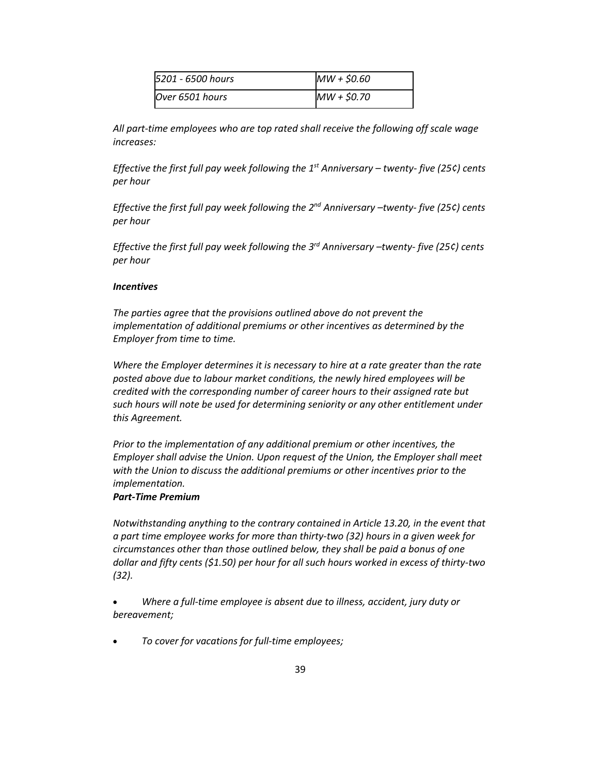| 5201 - 6500 hours | MW + \$0.60 |
|-------------------|-------------|
| Over 6501 hours   | MW + \$0.70 |

*All part-time employees who are top rated shall receive the following off scale wage increases:*

*Effective the first full pay week following the 1st Anniversary – twenty- five (25¢) cents per hour*

*Effective the first full pay week following the 2nd Anniversary –twenty- five (25¢) cents per hour*

*Effective the first full pay week following the 3rd Anniversary –twenty- five (25¢) cents per hour*

#### *Incentives*

*The parties agree that the provisions outlined above do not prevent the implementation of additional premiums or other incentives as determined by the Employer from time to time.*

*Where the Employer determines it is necessary to hire at a rate greater than the rate posted above due to labour market conditions, the newly hired employees will be credited with the corresponding number of career hours to their assigned rate but such hours will note be used for determining seniority or any other entitlement under this Agreement.*

*Prior to the implementation of any additional premium or other incentives, the Employer shall advise the Union. Upon request of the Union, the Employer shall meet with the Union to discuss the additional premiums or other incentives prior to the implementation.*

#### *Part-Time Premium*

*Notwithstanding anything to the contrary contained in Article 13.20, in the event that a part time employee works for more than thirty-two (32) hours in a given week for circumstances other than those outlined below, they shall be paid a bonus of one dollar and fifty cents (\$1.50) per hour for all such hours worked in excess of thirty-two (32).*

• *Where a full-time employee is absent due to illness, accident, jury duty or bereavement;*

• *To cover for vacations for full-time employees;*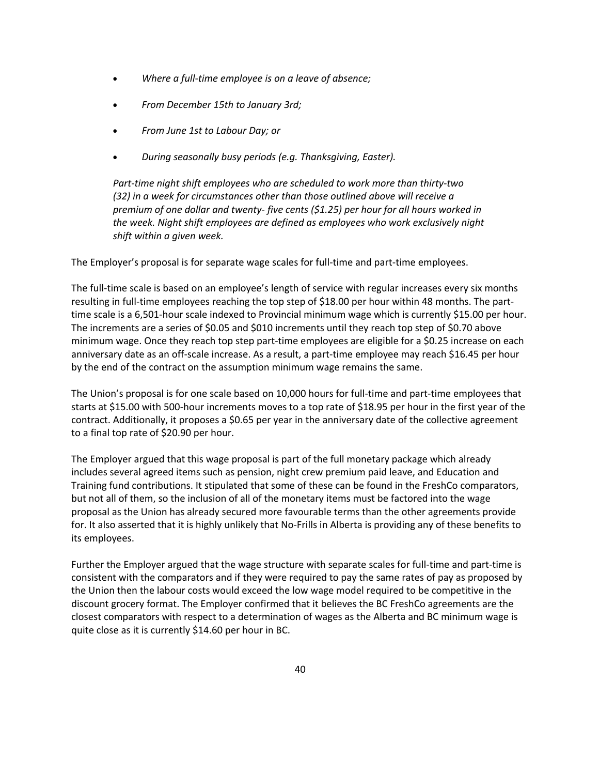- *Where a full-time employee is on a leave of absence;*
- *From December 15th to January 3rd;*
- *From June 1st to Labour Day; or*
- *During seasonally busy periods (e.g. Thanksgiving, Easter).*

*Part-time night shift employees who are scheduled to work more than thirty-two (32) in a week for circumstances other than those outlined above will receive a premium of one dollar and twenty- five cents (\$1.25) per hour for all hours worked in the week. Night shift employees are defined as employees who work exclusively night shift within a given week.*

The Employer's proposal is for separate wage scales for full-time and part-time employees.

The full-time scale is based on an employee's length of service with regular increases every six months resulting in full-time employees reaching the top step of \$18.00 per hour within 48 months. The parttime scale is a 6,501-hour scale indexed to Provincial minimum wage which is currently \$15.00 per hour. The increments are a series of \$0.05 and \$010 increments until they reach top step of \$0.70 above minimum wage. Once they reach top step part-time employees are eligible for a \$0.25 increase on each anniversary date as an off-scale increase. As a result, a part-time employee may reach \$16.45 per hour by the end of the contract on the assumption minimum wage remains the same.

The Union's proposal is for one scale based on 10,000 hours for full-time and part-time employees that starts at \$15.00 with 500-hour increments moves to a top rate of \$18.95 per hour in the first year of the contract. Additionally, it proposes a \$0.65 per year in the anniversary date of the collective agreement to a final top rate of \$20.90 per hour.

The Employer argued that this wage proposal is part of the full monetary package which already includes several agreed items such as pension, night crew premium paid leave, and Education and Training fund contributions. It stipulated that some of these can be found in the FreshCo comparators, but not all of them, so the inclusion of all of the monetary items must be factored into the wage proposal as the Union has already secured more favourable terms than the other agreements provide for. It also asserted that it is highly unlikely that No-Frills in Alberta is providing any of these benefits to its employees.

Further the Employer argued that the wage structure with separate scales for full-time and part-time is consistent with the comparators and if they were required to pay the same rates of pay as proposed by the Union then the labour costs would exceed the low wage model required to be competitive in the discount grocery format. The Employer confirmed that it believes the BC FreshCo agreements are the closest comparators with respect to a determination of wages as the Alberta and BC minimum wage is quite close as it is currently \$14.60 per hour in BC.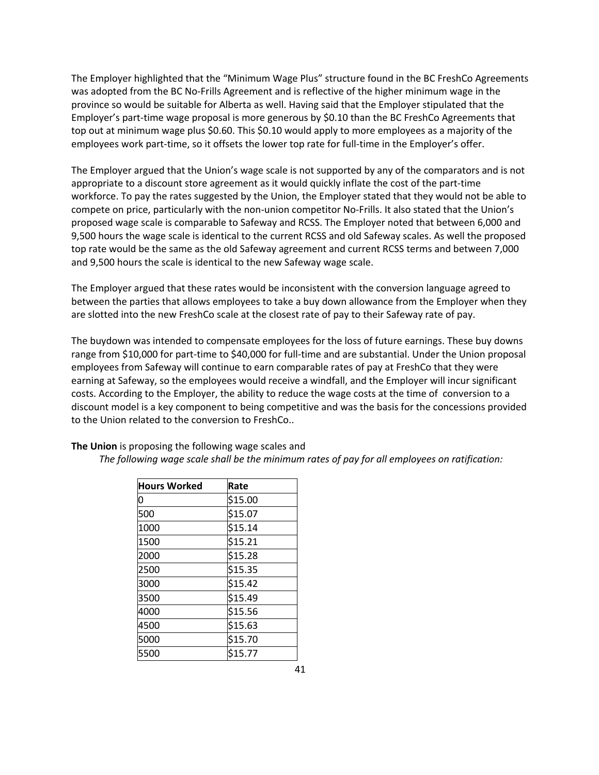The Employer highlighted that the "Minimum Wage Plus" structure found in the BC FreshCo Agreements was adopted from the BC No-Frills Agreement and is reflective of the higher minimum wage in the province so would be suitable for Alberta as well. Having said that the Employer stipulated that the Employer's part-time wage proposal is more generous by \$0.10 than the BC FreshCo Agreements that top out at minimum wage plus \$0.60. This \$0.10 would apply to more employees as a majority of the employees work part-time, so it offsets the lower top rate for full-time in the Employer's offer.

The Employer argued that the Union's wage scale is not supported by any of the comparators and is not appropriate to a discount store agreement as it would quickly inflate the cost of the part-time workforce. To pay the rates suggested by the Union, the Employer stated that they would not be able to compete on price, particularly with the non-union competitor No-Frills. It also stated that the Union's proposed wage scale is comparable to Safeway and RCSS. The Employer noted that between 6,000 and 9,500 hours the wage scale is identical to the current RCSS and old Safeway scales. As well the proposed top rate would be the same as the old Safeway agreement and current RCSS terms and between 7,000 and 9,500 hours the scale is identical to the new Safeway wage scale.

The Employer argued that these rates would be inconsistent with the conversion language agreed to between the parties that allows employees to take a buy down allowance from the Employer when they are slotted into the new FreshCo scale at the closest rate of pay to their Safeway rate of pay.

The buydown was intended to compensate employees for the loss of future earnings. These buy downs range from \$10,000 for part-time to \$40,000 for full-time and are substantial. Under the Union proposal employees from Safeway will continue to earn comparable rates of pay at FreshCo that they were earning at Safeway, so the employees would receive a windfall, and the Employer will incur significant costs. According to the Employer, the ability to reduce the wage costs at the time of conversion to a discount model is a key component to being competitive and was the basis for the concessions provided to the Union related to the conversion to FreshCo..

| <b>Hours Worked</b> | Rate    |
|---------------------|---------|
| 0                   | \$15.00 |
| 500                 | \$15.07 |
| 1000                | \$15.14 |
| 1500                | \$15.21 |
| 2000                | \$15.28 |
| 2500                | \$15.35 |
| 3000                | \$15.42 |
| 3500                | \$15.49 |
| 4000                | \$15.56 |
| 4500                | \$15.63 |
| 5000                | \$15.70 |
| 5500                | \$15.77 |

**The Union** is proposing the following wage scales and

*The following wage scale shall be the minimum rates of pay for all employees on ratification:*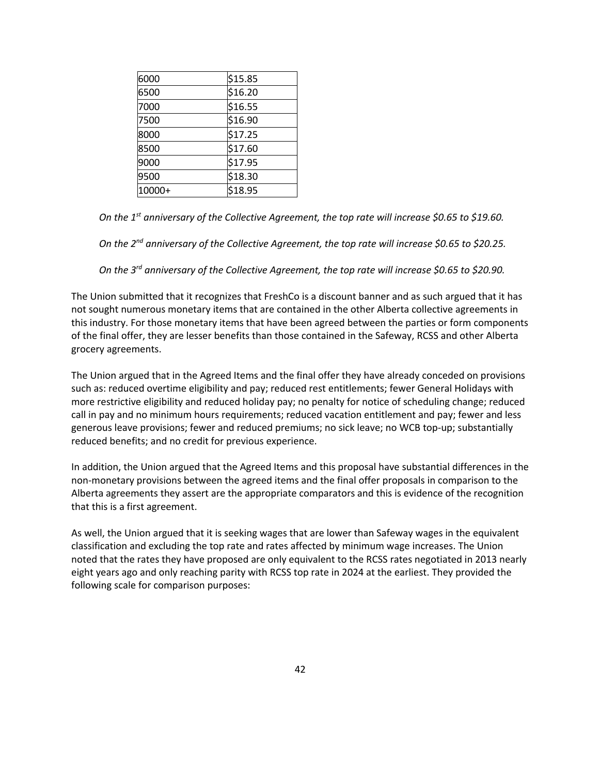| 6000   | \$15.85 |
|--------|---------|
| 6500   | \$16.20 |
| 7000   | \$16.55 |
| 7500   | \$16.90 |
| 8000   | \$17.25 |
| 8500   | \$17.60 |
| 9000   | \$17.95 |
| 9500   | \$18.30 |
| 10000+ | \$18.95 |

*On the 1st anniversary of the Collective Agreement, the top rate will increase \$0.65 to \$19.60.*

*On the 2nd anniversary of the Collective Agreement, the top rate will increase \$0.65 to \$20.25.*

*On the 3rd anniversary of the Collective Agreement, the top rate will increase \$0.65 to \$20.90.*

The Union submitted that it recognizes that FreshCo is a discount banner and as such argued that it has not sought numerous monetary items that are contained in the other Alberta collective agreements in this industry. For those monetary items that have been agreed between the parties or form components of the final offer, they are lesser benefits than those contained in the Safeway, RCSS and other Alberta grocery agreements.

The Union argued that in the Agreed Items and the final offer they have already conceded on provisions such as: reduced overtime eligibility and pay; reduced rest entitlements; fewer General Holidays with more restrictive eligibility and reduced holiday pay; no penalty for notice of scheduling change; reduced call in pay and no minimum hours requirements; reduced vacation entitlement and pay; fewer and less generous leave provisions; fewer and reduced premiums; no sick leave; no WCB top-up; substantially reduced benefits; and no credit for previous experience.

In addition, the Union argued that the Agreed Items and this proposal have substantial differences in the non-monetary provisions between the agreed items and the final offer proposals in comparison to the Alberta agreements they assert are the appropriate comparators and this is evidence of the recognition that this is a first agreement.

As well, the Union argued that it is seeking wages that are lower than Safeway wages in the equivalent classification and excluding the top rate and rates affected by minimum wage increases. The Union noted that the rates they have proposed are only equivalent to the RCSS rates negotiated in 2013 nearly eight years ago and only reaching parity with RCSS top rate in 2024 at the earliest. They provided the following scale for comparison purposes: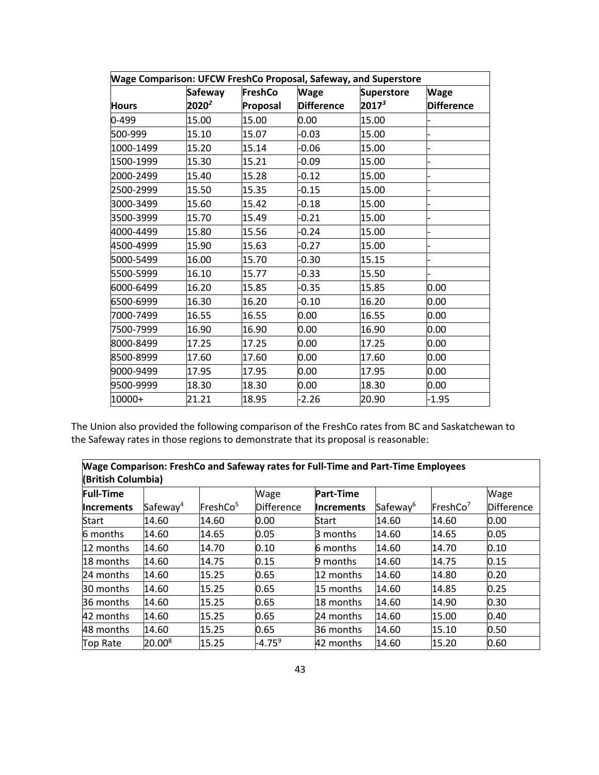| Wage Comparison: UFCW FreshCo Proposal, Safeway, and Superstore |                |          |                   |                   |                   |  |  |
|-----------------------------------------------------------------|----------------|----------|-------------------|-------------------|-------------------|--|--|
|                                                                 | <b>Safeway</b> | FreshCo  | <b>Wage</b>       | <b>Superstore</b> | <b>Wage</b>       |  |  |
| <b>Hours</b>                                                    | $2020^2$       | Proposal | <b>Difference</b> | $2017^3$          | <b>Difference</b> |  |  |
| 0-499                                                           | 15.00          | 15.00    | 0.00              | 15.00             |                   |  |  |
| 500-999                                                         | 15.10          | 15.07    | -0.03             | 15.00             |                   |  |  |
| 1000-1499                                                       | 15.20          | 15.14    | $-0.06$           | 15.00             |                   |  |  |
| 1500-1999                                                       | 15.30          | 15.21    | $-0.09$           | 15.00             |                   |  |  |
| 2000-2499                                                       | 15.40          | 15.28    | $-0.12$           | 15.00             |                   |  |  |
| 2500-2999                                                       | 15.50          | 15.35    | $-0.15$           | 15.00             |                   |  |  |
| 3000-3499                                                       | 15.60          | 15.42    | $-0.18$           | 15.00             |                   |  |  |
| 3500-3999                                                       | 15.70          | 15.49    | $-0.21$           | 15.00             |                   |  |  |
| 4000-4499                                                       | 15.80          | 15.56    | $-0.24$           | 15.00             |                   |  |  |
| 4500-4999                                                       | 15.90          | 15.63    | $-0.27$           | 15.00             |                   |  |  |
| 5000-5499                                                       | 16.00          | 15.70    | $-0.30$           | 15.15             |                   |  |  |
| 5500-5999                                                       | 16.10          | 15.77    | $-0.33$           | 15.50             |                   |  |  |
| 6000-6499                                                       | 16.20          | 15.85    | $-0.35$           | 15.85             | 0.00              |  |  |
| 6500-6999                                                       | 16.30          | 16.20    | $-0.10$           | 16.20             | 0.00              |  |  |
| 7000-7499                                                       | 16.55          | 16.55    | 0.00              | 16.55             | 0.00              |  |  |
| 7500-7999                                                       | 16.90          | 16.90    | 0.00              | 16.90             | 0.00              |  |  |
| 8000-8499                                                       | 17.25          | 17.25    | 0.00              | 17.25             | 0.00              |  |  |
| 8500-8999                                                       | 17.60          | 17.60    | 0.00              | 17.60             | 0.00              |  |  |
| 9000-9499                                                       | 17.95          | 17.95    | 0.00              | 17.95             | 0.00              |  |  |
| 9500-9999                                                       | 18.30          | 18.30    | 0.00              | 18.30             | 0.00              |  |  |
| 10000+                                                          | 21.21          | 18.95    | $-2.26$           | 20.90             | $-1.95$           |  |  |

The Union also provided the following comparison of the FreshCo rates from BC and Saskatchewan to the Safeway rates in those regions to demonstrate that its proposal is reasonable:

**Wage Comparison: FreshCo and Safeway rates for Full-Time and Part-Time Employees (British Columbia)**

| <b>Full-Time</b>  |                      |                      | Wage              | <b>Part-Time</b>  |                      |                      | Wage              |
|-------------------|----------------------|----------------------|-------------------|-------------------|----------------------|----------------------|-------------------|
| <b>Increments</b> | Safeway <sup>4</sup> | FreshCo <sup>5</sup> | <b>Difference</b> | <b>Increments</b> | Safeway <sup>6</sup> | FreshCo <sup>7</sup> | <b>Difference</b> |
| Start             | 14.60                | 14.60                | 0.00              | Start             | 14.60                | 14.60                | 0.00              |
| 6 months          | 14.60                | 14.65                | 0.05              | 3 months          | 14.60                | 14.65                | 0.05              |
| 12 months         | 14.60                | 14.70                | 0.10              | 6 months          | 14.60                | 14.70                | 0.10              |
| 18 months         | 14.60                | 14.75                | 0.15              | 9 months          | 14.60                | 14.75                | 0.15              |
| 24 months         | 14.60                | 15.25                | 0.65              | 12 months         | 14.60                | 14.80                | 0.20              |
| 30 months         | 14.60                | 15.25                | 0.65              | 15 months         | 14.60                | 14.85                | 0.25              |
| 36 months         | 14.60                | 15.25                | 0.65              | 18 months         | 14.60                | 14.90                | 0.30              |
| 42 months         | 14.60                | 15.25                | 0.65              | 24 months         | 14.60                | 15.00                | 0.40              |
| 48 months         | 14.60                | 15.25                | 0.65              | 36 months         | 14.60                | 15.10                | 0.50              |
| <b>Top Rate</b>   | $20.00^8$            | 15.25                | $-4.75^9$         | 42 months         | 14.60                | 15.20                | 0.60              |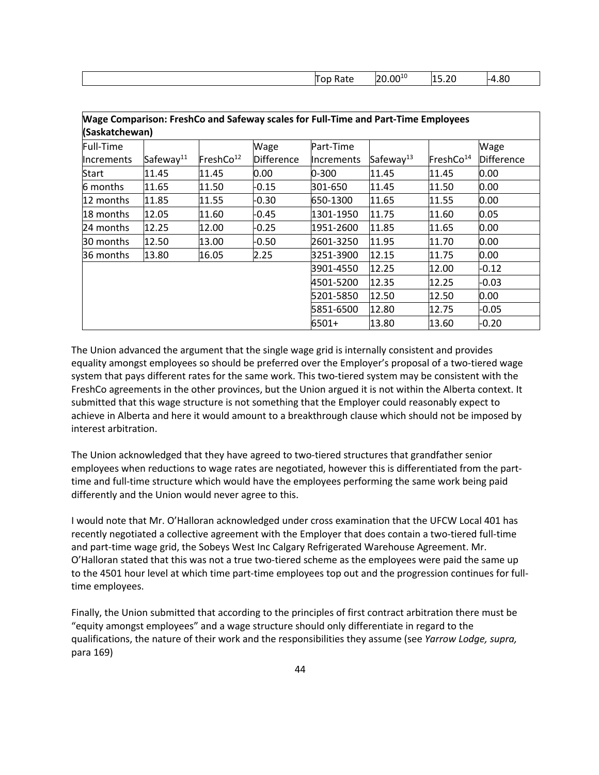| . | ነ∩10<br>⋏ | и<br>___ | oc<br>$\mathbf{u}$<br>.ou<br>$\cdot$ |
|---|-----------|----------|--------------------------------------|
|   |           |          |                                      |

| <b>Mage Comparison: FreshCo and Safeway scales for Full-Time and Part-Time Employees</b><br>(Saskatchewan) |                       |                       |                   |                     |                       |                       |                   |
|------------------------------------------------------------------------------------------------------------|-----------------------|-----------------------|-------------------|---------------------|-----------------------|-----------------------|-------------------|
| Full-Time                                                                                                  |                       |                       | Wage              | Part-Time           |                       |                       | Wage              |
| <b>Increments</b>                                                                                          | Safeway <sup>11</sup> | FreshCo <sup>12</sup> | <b>Difference</b> | <b>I</b> Increments | Safeway <sup>13</sup> | FreshCo <sup>14</sup> | <b>Difference</b> |
| Start                                                                                                      | 11.45                 | 11.45                 | 0.00              | 0-300               | 11.45                 | 11.45                 | 0.00              |
| 6 months                                                                                                   | 11.65                 | 11.50                 | -0.15             | 301-650             | 11.45                 | 11.50                 | 0.00              |
| 12 months                                                                                                  | 11.85                 | 11.55                 | $-0.30$           | 650-1300            | 11.65                 | 11.55                 | 0.00              |
| 18 months                                                                                                  | 12.05                 | 11.60                 | -0.45             | 1301-1950           | 11.75                 | 11.60                 | 0.05              |
| 24 months                                                                                                  | 12.25                 | 12.00                 | $-0.25$           | 1951-2600           | 11.85                 | 11.65                 | 0.00              |
| 30 months                                                                                                  | 12.50                 | 13.00                 | $-0.50$           | 2601-3250           | 11.95                 | 11.70                 | 0.00              |
| 36 months                                                                                                  | 13.80                 | 16.05                 | 2.25              | 3251-3900           | 12.15                 | 11.75                 | 0.00              |
|                                                                                                            |                       |                       |                   | 3901-4550           | 12.25                 | 12.00                 | -0.12             |
|                                                                                                            |                       |                       |                   | 4501-5200           | 12.35                 | 12.25                 | $-0.03$           |
|                                                                                                            |                       |                       |                   | 5201-5850           | 12.50                 | 12.50                 | 0.00              |
|                                                                                                            |                       |                       |                   | 5851-6500           | 12.80                 | 12.75                 | $-0.05$           |
|                                                                                                            |                       |                       |                   | 6501+               | 13.80                 | 13.60                 | $-0.20$           |

The Union advanced the argument that the single wage grid is internally consistent and provides equality amongst employees so should be preferred over the Employer's proposal of a two-tiered wage system that pays different rates for the same work. This two-tiered system may be consistent with the FreshCo agreements in the other provinces, but the Union argued it is not within the Alberta context. It submitted that this wage structure is not something that the Employer could reasonably expect to achieve in Alberta and here it would amount to a breakthrough clause which should not be imposed by interest arbitration.

The Union acknowledged that they have agreed to two-tiered structures that grandfather senior employees when reductions to wage rates are negotiated, however this is differentiated from the parttime and full-time structure which would have the employees performing the same work being paid differently and the Union would never agree to this.

I would note that Mr. O'Halloran acknowledged under cross examination that the UFCW Local 401 has recently negotiated a collective agreement with the Employer that does contain a two-tiered full-time and part-time wage grid, the Sobeys West Inc Calgary Refrigerated Warehouse Agreement. Mr. O'Halloran stated that this was not a true two-tiered scheme as the employees were paid the same up to the 4501 hour level at which time part-time employees top out and the progression continues for fulltime employees.

Finally, the Union submitted that according to the principles of first contract arbitration there must be "equity amongst employees" and a wage structure should only differentiate in regard to the qualifications, the nature of their work and the responsibilities they assume (see *Yarrow Lodge, supra,* para 169)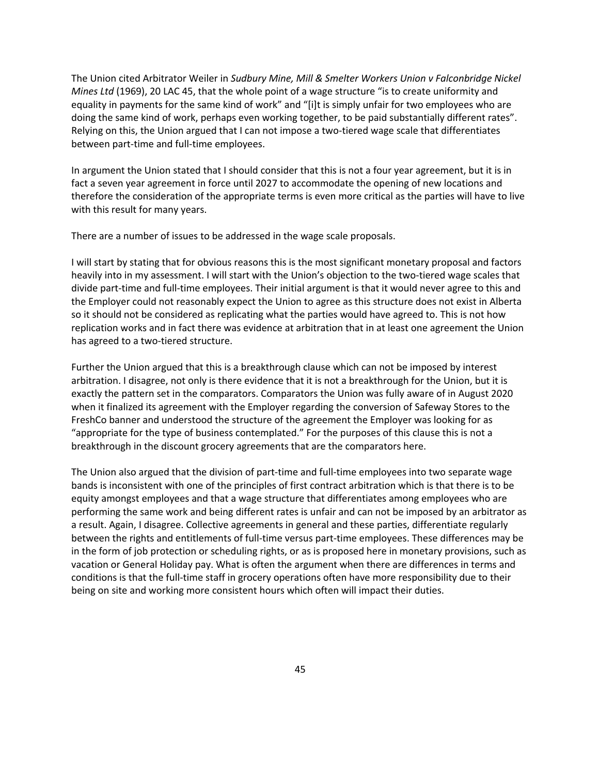The Union cited Arbitrator Weiler in *Sudbury Mine, Mill & Smelter Workers Union v Falconbridge Nickel Mines Ltd* (1969), 20 LAC 45, that the whole point of a wage structure "is to create uniformity and equality in payments for the same kind of work" and "[i]t is simply unfair for two employees who are doing the same kind of work, perhaps even working together, to be paid substantially different rates". Relying on this, the Union argued that I can not impose a two-tiered wage scale that differentiates between part-time and full-time employees.

In argument the Union stated that I should consider that this is not a four year agreement, but it is in fact a seven year agreement in force until 2027 to accommodate the opening of new locations and therefore the consideration of the appropriate terms is even more critical as the parties will have to live with this result for many years.

There are a number of issues to be addressed in the wage scale proposals.

I will start by stating that for obvious reasons this is the most significant monetary proposal and factors heavily into in my assessment. I will start with the Union's objection to the two-tiered wage scales that divide part-time and full-time employees. Their initial argument is that it would never agree to this and the Employer could not reasonably expect the Union to agree as this structure does not exist in Alberta so it should not be considered as replicating what the parties would have agreed to. This is not how replication works and in fact there was evidence at arbitration that in at least one agreement the Union has agreed to a two-tiered structure.

Further the Union argued that this is a breakthrough clause which can not be imposed by interest arbitration. I disagree, not only is there evidence that it is not a breakthrough for the Union, but it is exactly the pattern set in the comparators. Comparators the Union was fully aware of in August 2020 when it finalized its agreement with the Employer regarding the conversion of Safeway Stores to the FreshCo banner and understood the structure of the agreement the Employer was looking for as "appropriate for the type of business contemplated." For the purposes of this clause this is not a breakthrough in the discount grocery agreements that are the comparators here.

The Union also argued that the division of part-time and full-time employees into two separate wage bands is inconsistent with one of the principles of first contract arbitration which is that there is to be equity amongst employees and that a wage structure that differentiates among employees who are performing the same work and being different rates is unfair and can not be imposed by an arbitrator as a result. Again, I disagree. Collective agreements in general and these parties, differentiate regularly between the rights and entitlements of full-time versus part-time employees. These differences may be in the form of job protection or scheduling rights, or as is proposed here in monetary provisions, such as vacation or General Holiday pay. What is often the argument when there are differences in terms and conditions is that the full-time staff in grocery operations often have more responsibility due to their being on site and working more consistent hours which often will impact their duties.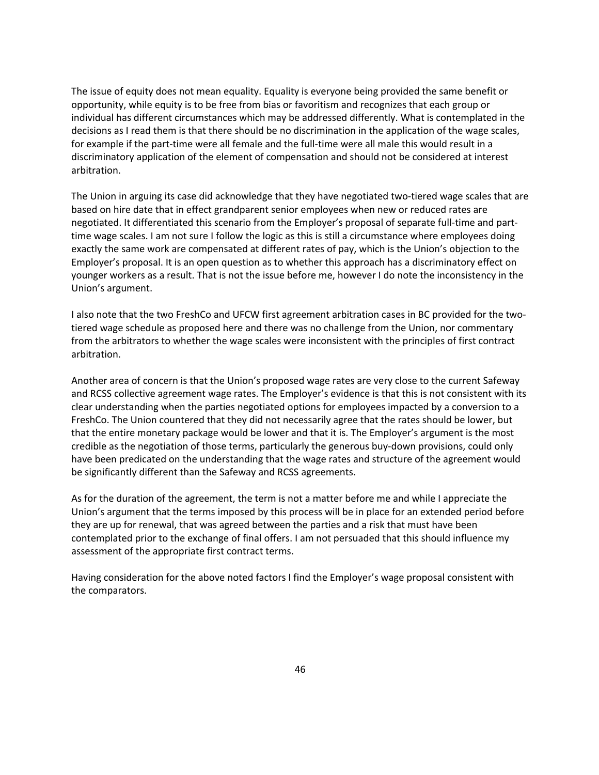The issue of equity does not mean equality. Equality is everyone being provided the same benefit or opportunity, while equity is to be free from bias or favoritism and recognizes that each group or individual has different circumstances which may be addressed differently. What is contemplated in the decisions as I read them is that there should be no discrimination in the application of the wage scales, for example if the part-time were all female and the full-time were all male this would result in a discriminatory application of the element of compensation and should not be considered at interest arbitration.

The Union in arguing its case did acknowledge that they have negotiated two-tiered wage scales that are based on hire date that in effect grandparent senior employees when new or reduced rates are negotiated. It differentiated this scenario from the Employer's proposal of separate full-time and parttime wage scales. I am not sure I follow the logic as this is still a circumstance where employees doing exactly the same work are compensated at different rates of pay, which is the Union's objection to the Employer's proposal. It is an open question as to whether this approach has a discriminatory effect on younger workers as a result. That is not the issue before me, however I do note the inconsistency in the Union's argument.

I also note that the two FreshCo and UFCW first agreement arbitration cases in BC provided for the twotiered wage schedule as proposed here and there was no challenge from the Union, nor commentary from the arbitrators to whether the wage scales were inconsistent with the principles of first contract arbitration.

Another area of concern is that the Union's proposed wage rates are very close to the current Safeway and RCSS collective agreement wage rates. The Employer's evidence is that this is not consistent with its clear understanding when the parties negotiated options for employees impacted by a conversion to a FreshCo. The Union countered that they did not necessarily agree that the rates should be lower, but that the entire monetary package would be lower and that it is. The Employer's argument is the most credible as the negotiation of those terms, particularly the generous buy-down provisions, could only have been predicated on the understanding that the wage rates and structure of the agreement would be significantly different than the Safeway and RCSS agreements.

As for the duration of the agreement, the term is not a matter before me and while I appreciate the Union's argument that the terms imposed by this process will be in place for an extended period before they are up for renewal, that was agreed between the parties and a risk that must have been contemplated prior to the exchange of final offers. I am not persuaded that this should influence my assessment of the appropriate first contract terms.

Having consideration for the above noted factors I find the Employer's wage proposal consistent with the comparators.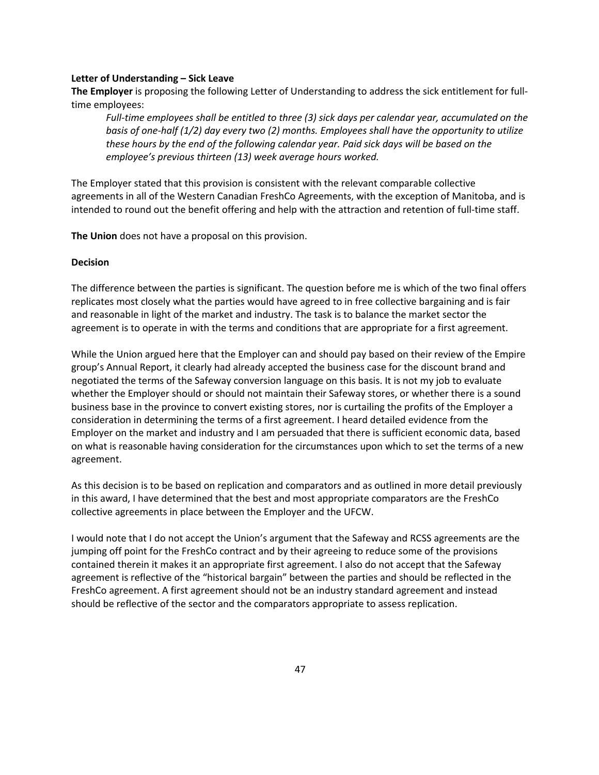#### **Letter of Understanding – Sick Leave**

**The Employer** is proposing the following Letter of Understanding to address the sick entitlement for fulltime employees:

*Full-time employees shall be entitled to three (3) sick days per calendar year, accumulated on the basis of one-half (1/2) day every two (2) months. Employees shall have the opportunity to utilize these hours by the end of the following calendar year. Paid sick days will be based on the employee's previous thirteen (13) week average hours worked.*

The Employer stated that this provision is consistent with the relevant comparable collective agreements in all of the Western Canadian FreshCo Agreements, with the exception of Manitoba, and is intended to round out the benefit offering and help with the attraction and retention of full-time staff.

**The Union** does not have a proposal on this provision.

#### **Decision**

The difference between the parties is significant. The question before me is which of the two final offers replicates most closely what the parties would have agreed to in free collective bargaining and is fair and reasonable in light of the market and industry. The task is to balance the market sector the agreement is to operate in with the terms and conditions that are appropriate for a first agreement.

While the Union argued here that the Employer can and should pay based on their review of the Empire group's Annual Report, it clearly had already accepted the business case for the discount brand and negotiated the terms of the Safeway conversion language on this basis. It is not my job to evaluate whether the Employer should or should not maintain their Safeway stores, or whether there is a sound business base in the province to convert existing stores, nor is curtailing the profits of the Employer a consideration in determining the terms of a first agreement. I heard detailed evidence from the Employer on the market and industry and I am persuaded that there is sufficient economic data, based on what is reasonable having consideration for the circumstances upon which to set the terms of a new agreement.

As this decision is to be based on replication and comparators and as outlined in more detail previously in this award, I have determined that the best and most appropriate comparators are the FreshCo collective agreements in place between the Employer and the UFCW.

I would note that I do not accept the Union's argument that the Safeway and RCSS agreements are the jumping off point for the FreshCo contract and by their agreeing to reduce some of the provisions contained therein it makes it an appropriate first agreement. I also do not accept that the Safeway agreement is reflective of the "historical bargain" between the parties and should be reflected in the FreshCo agreement. A first agreement should not be an industry standard agreement and instead should be reflective of the sector and the comparators appropriate to assess replication.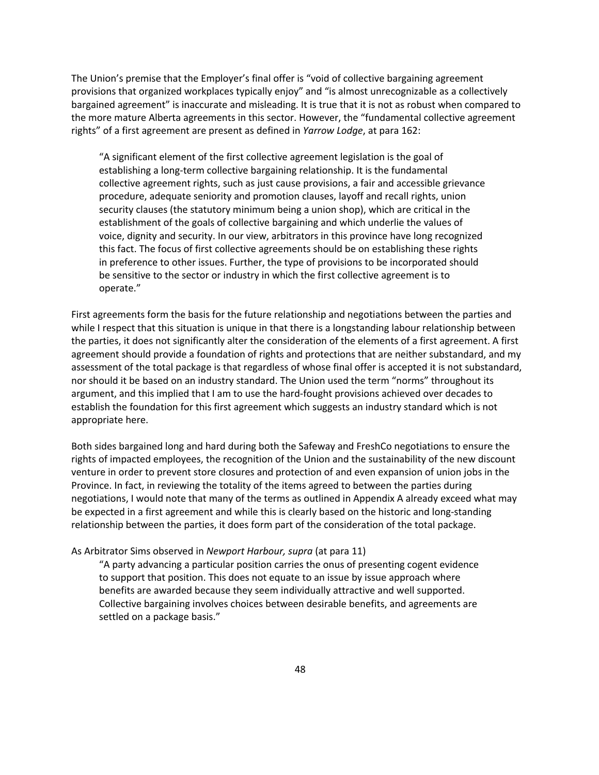The Union's premise that the Employer's final offer is "void of collective bargaining agreement provisions that organized workplaces typically enjoy" and "is almost unrecognizable as a collectively bargained agreement" is inaccurate and misleading. It is true that it is not as robust when compared to the more mature Alberta agreements in this sector. However, the "fundamental collective agreement rights" of a first agreement are present as defined in *Yarrow Lodge*, at para 162:

"A significant element of the first collective agreement legislation is the goal of establishing a long-term collective bargaining relationship. It is the fundamental collective agreement rights, such as just cause provisions, a fair and accessible grievance procedure, adequate seniority and promotion clauses, layoff and recall rights, union security clauses (the statutory minimum being a union shop), which are critical in the establishment of the goals of collective bargaining and which underlie the values of voice, dignity and security. In our view, arbitrators in this province have long recognized this fact. The focus of first collective agreements should be on establishing these rights in preference to other issues. Further, the type of provisions to be incorporated should be sensitive to the sector or industry in which the first collective agreement is to operate."

First agreements form the basis for the future relationship and negotiations between the parties and while I respect that this situation is unique in that there is a longstanding labour relationship between the parties, it does not significantly alter the consideration of the elements of a first agreement. A first agreement should provide a foundation of rights and protections that are neither substandard, and my assessment of the total package is that regardless of whose final offer is accepted it is not substandard, nor should it be based on an industry standard. The Union used the term "norms" throughout its argument, and this implied that I am to use the hard-fought provisions achieved over decades to establish the foundation for this first agreement which suggests an industry standard which is not appropriate here.

Both sides bargained long and hard during both the Safeway and FreshCo negotiations to ensure the rights of impacted employees, the recognition of the Union and the sustainability of the new discount venture in order to prevent store closures and protection of and even expansion of union jobs in the Province. In fact, in reviewing the totality of the items agreed to between the parties during negotiations, I would note that many of the terms as outlined in Appendix A already exceed what may be expected in a first agreement and while this is clearly based on the historic and long-standing relationship between the parties, it does form part of the consideration of the total package.

#### As Arbitrator Sims observed in *Newport Harbour, supra* (at para 11)

"A party advancing a particular position carries the onus of presenting cogent evidence to support that position. This does not equate to an issue by issue approach where benefits are awarded because they seem individually attractive and well supported. Collective bargaining involves choices between desirable benefits, and agreements are settled on a package basis."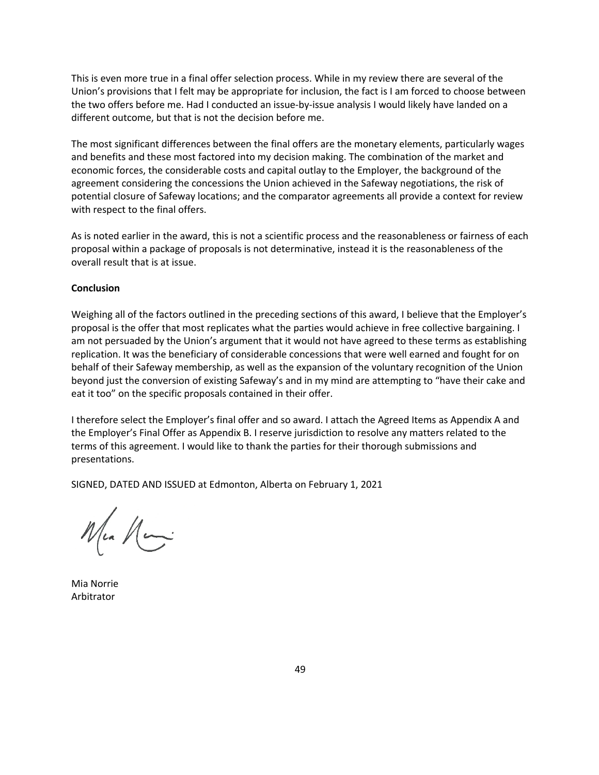This is even more true in a final offer selection process. While in my review there are several of the Union's provisions that I felt may be appropriate for inclusion, the fact is I am forced to choose between the two offers before me. Had I conducted an issue-by-issue analysis I would likely have landed on a different outcome, but that is not the decision before me.

The most significant differences between the final offers are the monetary elements, particularly wages and benefits and these most factored into my decision making. The combination of the market and economic forces, the considerable costs and capital outlay to the Employer, the background of the agreement considering the concessions the Union achieved in the Safeway negotiations, the risk of potential closure of Safeway locations; and the comparator agreements all provide a context for review with respect to the final offers.

As is noted earlier in the award, this is not a scientific process and the reasonableness or fairness of each proposal within a package of proposals is not determinative, instead it is the reasonableness of the overall result that is at issue.

#### **Conclusion**

Weighing all of the factors outlined in the preceding sections of this award, I believe that the Employer's proposal is the offer that most replicates what the parties would achieve in free collective bargaining. I am not persuaded by the Union's argument that it would not have agreed to these terms as establishing replication. It was the beneficiary of considerable concessions that were well earned and fought for on behalf of their Safeway membership, as well as the expansion of the voluntary recognition of the Union beyond just the conversion of existing Safeway's and in my mind are attempting to "have their cake and eat it too" on the specific proposals contained in their offer.

I therefore select the Employer's final offer and so award. I attach the Agreed Items as Appendix A and the Employer's Final Offer as Appendix B. I reserve jurisdiction to resolve any matters related to the terms of this agreement. I would like to thank the parties for their thorough submissions and presentations.

SIGNED, DATED AND ISSUED at Edmonton, Alberta on February 1, 2021

Ma Mai

Mia Norrie Arbitrator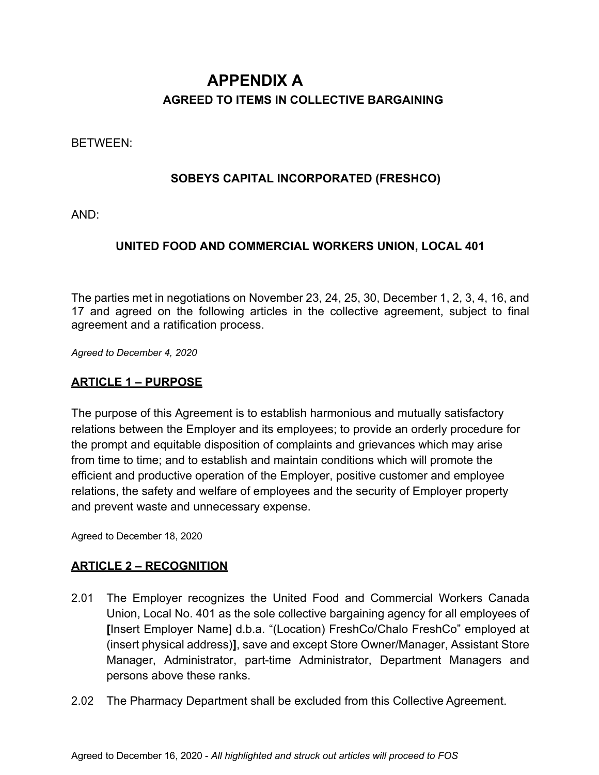# **APPENDIX A AGREED TO ITEMS IN COLLECTIVE BARGAINING**

## BETWEEN:

## **SOBEYS CAPITAL INCORPORATED (FRESHCO)**

AND:

## **UNITED FOOD AND COMMERCIAL WORKERS UNION, LOCAL 401**

The parties met in negotiations on November 23, 24, 25, 30, December 1, 2, 3, 4, 16, and 17 and agreed on the following articles in the collective agreement, subject to final agreement and a ratification process.

*Agreed to December 4, 2020*

## **ARTICLE 1 – PURPOSE**

The purpose of this Agreement is to establish harmonious and mutually satisfactory relations between the Employer and its employees; to provide an orderly procedure for the prompt and equitable disposition of complaints and grievances which may arise from time to time; and to establish and maintain conditions which will promote the efficient and productive operation of the Employer, positive customer and employee relations, the safety and welfare of employees and the security of Employer property and prevent waste and unnecessary expense.

Agreed to December 18, 2020

## **ARTICLE 2 – RECOGNITION**

- 2.01 The Employer recognizes the United Food and Commercial Workers Canada Union, Local No. 401 as the sole collective bargaining agency for all employees of **[**Insert Employer Name] d.b.a. "(Location) FreshCo/Chalo FreshCo" employed at (insert physical address)**]**, save and except Store Owner/Manager, Assistant Store Manager, Administrator, part-time Administrator, Department Managers and persons above these ranks.
- 2.02 The Pharmacy Department shall be excluded from this Collective Agreement.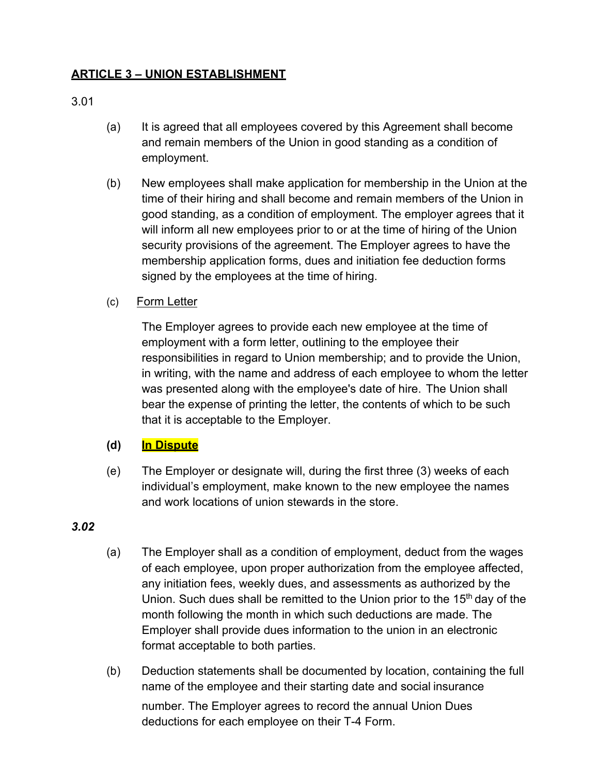## **ARTICLE 3 – UNION ESTABLISHMENT**

## 3.01

- (a) It is agreed that all employees covered by this Agreement shall become and remain members of the Union in good standing as a condition of employment.
- (b) New employees shall make application for membership in the Union at the time of their hiring and shall become and remain members of the Union in good standing, as a condition of employment. The employer agrees that it will inform all new employees prior to or at the time of hiring of the Union security provisions of the agreement. The Employer agrees to have the membership application forms, dues and initiation fee deduction forms signed by the employees at the time of hiring.
- (c)       Form Letter

The Employer agrees to provide each new employee at the time of employment with a form letter, outlining to the employee their responsibilities in regard to Union membership; and to provide the Union, in writing, with the name and address of each employee to whom the letter was presented along with the employee's date of hire.  The Union shall bear the expense of printing the letter, the contents of which to be such that it is acceptable to the Employer.  

## **(d) In Dispute**

(e) The Employer or designate will, during the first three (3) weeks of each individual's employment, make known to the new employee the names and work locations of union stewards in the store.

## *3.02*

- (a) The Employer shall as a condition of employment, deduct from the wages of each employee, upon proper authorization from the employee affected, any initiation fees, weekly dues, and assessments as authorized by the Union. Such dues shall be remitted to the Union prior to the 15<sup>th</sup> day of the month following the month in which such deductions are made. The Employer shall provide dues information to the union in an electronic format acceptable to both parties.
- (b) Deduction statements shall be documented by location, containing the full name of the employee and their starting date and social insurance number. The Employer agrees to record the annual Union Dues deductions for each employee on their T-4 Form.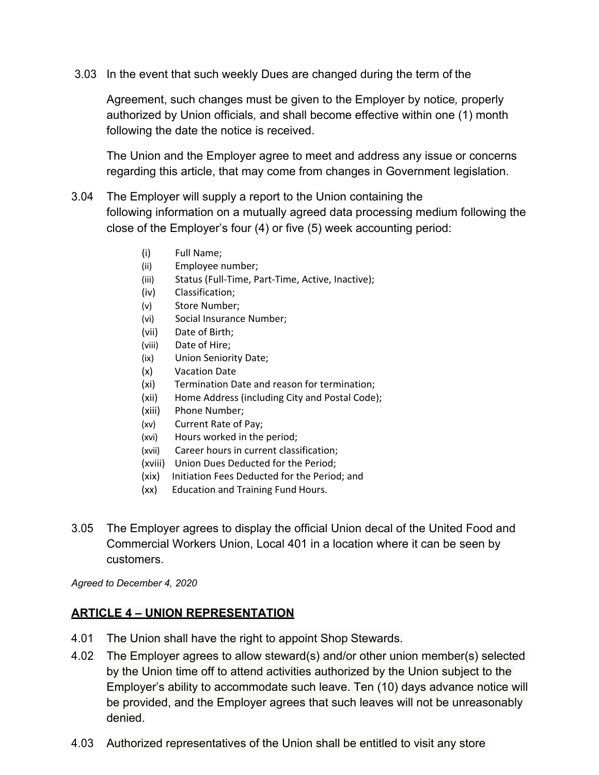3.03 In the event that such weekly Dues are changed during the term of the

Agreement, such changes must be given to the Employer by notice*,* properly authorized by Union officials*,* and shall become effective within one (1) month following the date the notice is received.

The Union and the Employer agree to meet and address any issue or concerns regarding this article, that may come from changes in Government legislation.

- 3.04 The Employer will supply a report to the Union containing the following information on a mutually agreed data processing medium following the close of the Employer's four (4) or five (5) week accounting period:
	- (i)          Full Name;
	- (ii)         Employee number;
	- (iii)         Status (Full-Time, Part-Time, Active, Inactive);
	- (iv)        Classification;
	- (v)         Store Number;
	- (vi)        Social Insurance Number;
	- (vii)       Date of Birth;
	- (viii)       Date of Hire;
	- (ix)         Union Seniority Date;
	- (x)         Vacation Date
	- (xi)        Termination Date and reason for termination;
	- (xii)       Home Address (including City and Postal Code);
	- (xiii)      Phone Number;
	- (xv)        Current Rate of Pay;
	- (xvi)       Hours worked in the period;
	- (xvii)      Career hours in current classification;
	- (xviii)    Union Dues Deducted for the Period;
	- (xix)     Initiation Fees Deducted for the Period; and
	- (xx)      Education and Training Fund Hours.
- 3.05 The Employer agrees to display the official Union decal of the United Food and Commercial Workers Union, Local 401 in a location where it can be seen by customers.

*Agreed to December 4, 2020*

## **ARTICLE 4 – UNION REPRESENTATION**

- 4.01 The Union shall have the right to appoint Shop Stewards.
- 4.02 The Employer agrees to allow steward(s) and/or other union member(s) selected by the Union time off to attend activities authorized by the Union subject to the Employer's ability to accommodate such leave. Ten (10) days advance notice will be provided, and the Employer agrees that such leaves will not be unreasonably denied.
- 4.03 Authorized representatives of the Union shall be entitled to visit any store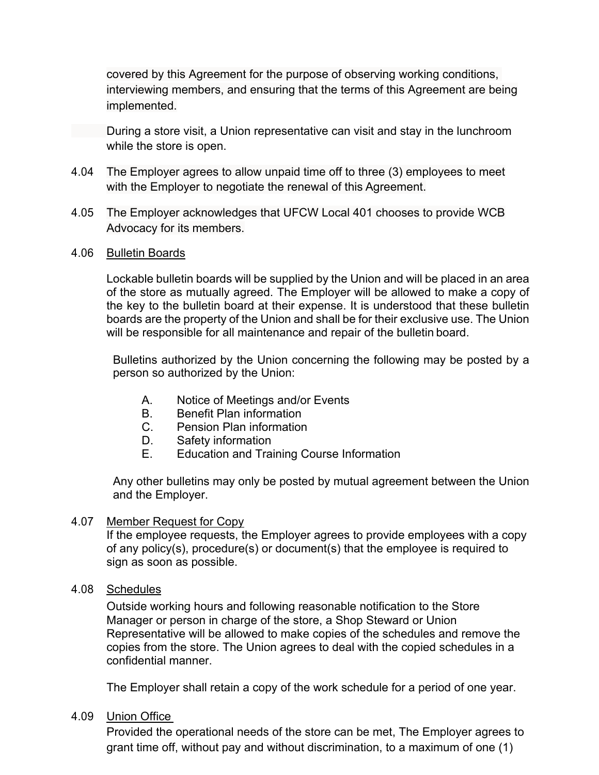covered by this Agreement for the purpose of observing working conditions, interviewing members, and ensuring that the terms of this Agreement are being implemented.

During a store visit, a Union representative can visit and stay in the lunchroom while the store is open.

- 4.04 The Employer agrees to allow unpaid time off to three (3) employees to meet with the Employer to negotiate the renewal of this Agreement.
- 4.05 The Employer acknowledges that UFCW Local 401 chooses to provide WCB Advocacy for its members.
- 4.06 Bulletin Boards

Lockable bulletin boards will be supplied by the Union and will be placed in an area of the store as mutually agreed. The Employer will be allowed to make a copy of the key to the bulletin board at their expense. It is understood that these bulletin boards are the property of the Union and shall be for their exclusive use. The Union will be responsible for all maintenance and repair of the bulletin board.

Bulletins authorized by the Union concerning the following may be posted by a person so authorized by the Union:

- A. Notice of Meetings and/or Events
- B. Benefit Plan information
- C. Pension Plan information
- D. Safety information
- E. Education and Training Course Information

Any other bulletins may only be posted by mutual agreement between the Union and the Employer.

## 4.07 Member Request for Copy

If the employee requests, the Employer agrees to provide employees with a copy of any policy(s), procedure(s) or document(s) that the employee is required to sign as soon as possible.

4.08 Schedules

Outside working hours and following reasonable notification to the Store Manager or person in charge of the store, a Shop Steward or Union Representative will be allowed to make copies of the schedules and remove the copies from the store. The Union agrees to deal with the copied schedules in a confidential manner.

The Employer shall retain a copy of the work schedule for a period of one year.

## 4.09 Union Office

Provided the operational needs of the store can be met, The Employer agrees to grant time off, without pay and without discrimination, to a maximum of one (1)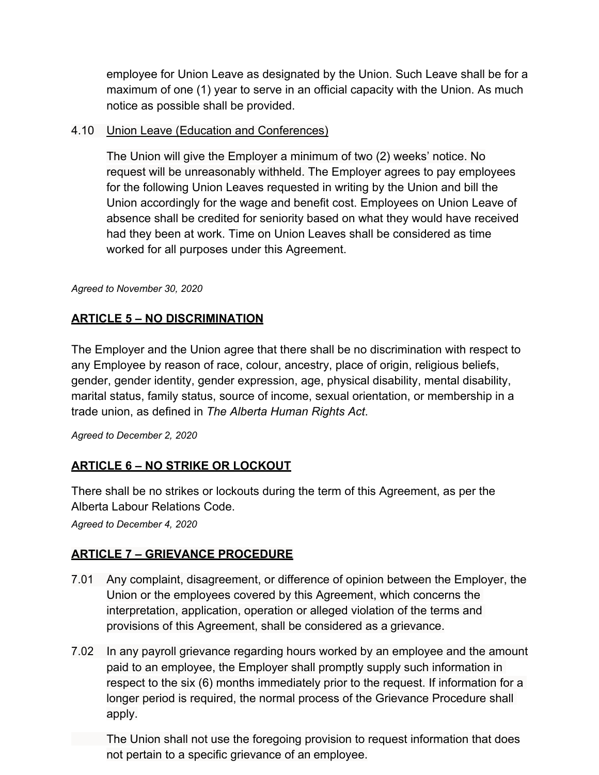employee for Union Leave as designated by the Union. Such Leave shall be for a maximum of one (1) year to serve in an official capacity with the Union. As much notice as possible shall be provided.

## 4.10 Union Leave (Education and Conferences)

The Union will give the Employer a minimum of two (2) weeks' notice. No request will be unreasonably withheld. The Employer agrees to pay employees for the following Union Leaves requested in writing by the Union and bill the Union accordingly for the wage and benefit cost. Employees on Union Leave of absence shall be credited for seniority based on what they would have received had they been at work. Time on Union Leaves shall be considered as time worked for all purposes under this Agreement.

*Agreed to November 30, 2020*

## **ARTICLE 5 – NO DISCRIMINATION**

The Employer and the Union agree that there shall be no discrimination with respect to any Employee by reason of race, colour, ancestry, place of origin, religious beliefs, gender, gender identity, gender expression, age, physical disability, mental disability, marital status, family status, source of income, sexual orientation, or membership in a trade union, as defined in *The Alberta Human Rights Act*.

*Agreed to December 2, 2020*

## **ARTICLE 6 – NO STRIKE OR LOCKOUT**

There shall be no strikes or lockouts during the term of this Agreement, as per the Alberta Labour Relations Code.

*Agreed to December 4, 2020*

## **ARTICLE 7 – GRIEVANCE PROCEDURE**

- 7.01 Any complaint, disagreement, or difference of opinion between the Employer, the Union or the employees covered by this Agreement, which concerns the interpretation, application, operation or alleged violation of the terms and provisions of this Agreement, shall be considered as a grievance.
- 7.02 In any payroll grievance regarding hours worked by an employee and the amount paid to an employee, the Employer shall promptly supply such information in respect to the six (6) months immediately prior to the request. If information for a longer period is required, the normal process of the Grievance Procedure shall apply.

The Union shall not use the foregoing provision to request information that does not pertain to a specific grievance of an employee.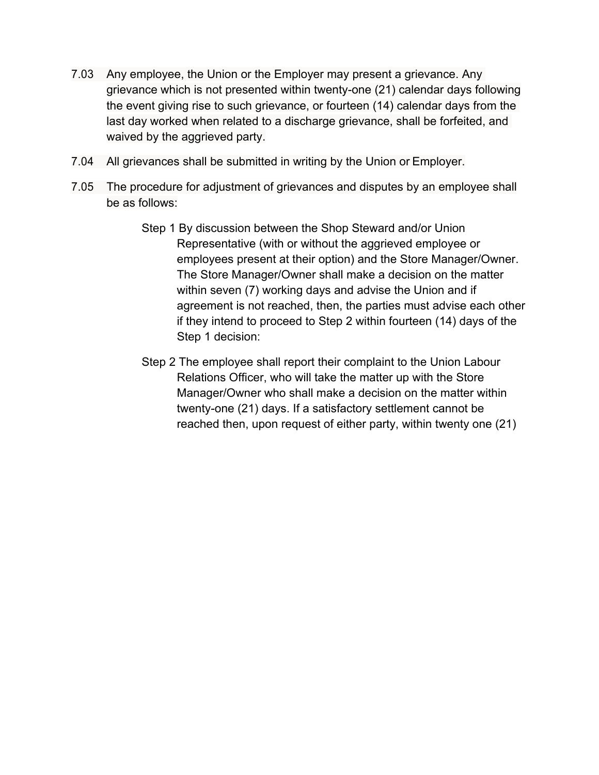- 7.03 Any employee, the Union or the Employer may present a grievance. Any grievance which is not presented within twenty-one (21) calendar days following the event giving rise to such grievance, or fourteen (14) calendar days from the last day worked when related to a discharge grievance, shall be forfeited, and waived by the aggrieved party.
- 7.04 All grievances shall be submitted in writing by the Union or Employer.
- 7.05 The procedure for adjustment of grievances and disputes by an employee shall be as follows:
	- Step 1 By discussion between the Shop Steward and/or Union Representative (with or without the aggrieved employee or employees present at their option) and the Store Manager/Owner. The Store Manager/Owner shall make a decision on the matter within seven (7) working days and advise the Union and if agreement is not reached, then, the parties must advise each other if they intend to proceed to Step 2 within fourteen (14) days of the Step 1 decision:
	- Step 2 The employee shall report their complaint to the Union Labour Relations Officer, who will take the matter up with the Store Manager/Owner who shall make a decision on the matter within twenty-one (21) days. If a satisfactory settlement cannot be reached then, upon request of either party, within twenty one (21)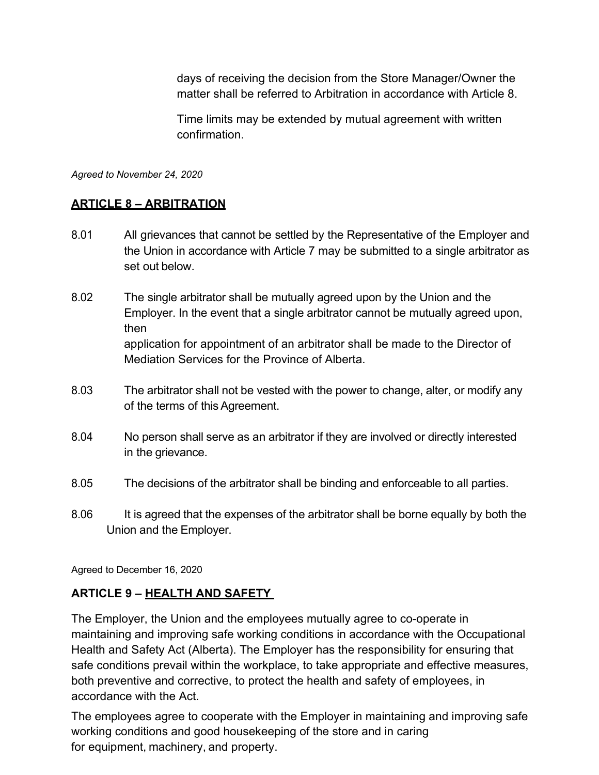days of receiving the decision from the Store Manager/Owner the matter shall be referred to Arbitration in accordance with Article 8.

Time limits may be extended by mutual agreement with written confirmation.

*Agreed to November 24, 2020*

## **ARTICLE 8 – ARBITRATION**

- 8.01 All grievances that cannot be settled by the Representative of the Employer and the Union in accordance with Article 7 may be submitted to a single arbitrator as set out below.
- 8.02 The single arbitrator shall be mutually agreed upon by the Union and the Employer. In the event that a single arbitrator cannot be mutually agreed upon, then application for appointment of an arbitrator shall be made to the Director of Mediation Services for the Province of Alberta.
- 8.03 The arbitrator shall not be vested with the power to change, alter, or modify any of the terms of thisAgreement.
- 8.04 No person shall serve as an arbitrator if they are involved or directly interested in the grievance.
- 8.05 The decisions of the arbitrator shall be binding and enforceable to all parties.
- 8.06 It is agreed that the expenses of the arbitrator shall be borne equally by both the Union and the Employer.

Agreed to December 16, 2020

## **ARTICLE 9 – HEALTH AND SAFETY**

The Employer, the Union and the employees mutually agree to co-operate in maintaining and improving safe working conditions in accordance with the Occupational Health and Safety Act (Alberta). The Employer has the responsibility for ensuring that safe conditions prevail within the workplace, to take appropriate and effective measures, both preventive and corrective, to protect the health and safety of employees, in accordance with the Act.   

The employees agree to cooperate with the Employer in maintaining and improving safe working conditions and good housekeeping of the store and in caring for equipment, machinery, and property.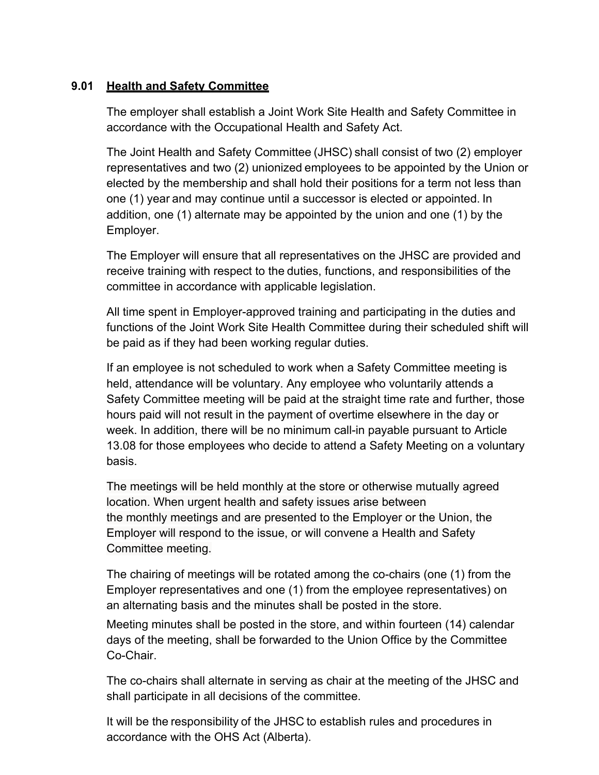## **9.01 Health and Safety Committee**

The employer shall establish a Joint Work Site Health and Safety Committee in accordance with the Occupational Health and Safety Act. 

The Joint Health and Safety Committee (JHSC) shall consist of two (2) employer representatives and two (2) unionized employees to be appointed by the Union or elected by the membership and shall hold their positions for a term not less than one (1) year and may continue until a successor is elected or appointed. In addition, one (1) alternate may be appointed by the union and one (1) by the Employer.

The Employer will ensure that all representatives on the JHSC are provided and receive training with respect to the duties, functions, and responsibilities of the committee in accordance with applicable legislation. 

All time spent in Employer-approved training and participating in the duties and functions of the Joint Work Site Health Committee during their scheduled shift will be paid as if they had been working regular duties.

If an employee is not scheduled to work when a Safety Committee meeting is held, attendance will be voluntary. Any employee who voluntarily attends a Safety Committee meeting will be paid at the straight time rate and further, those hours paid will not result in the payment of overtime elsewhere in the day or week. In addition, there will be no minimum call-in payable pursuant to Article 13.08 for those employees who decide to attend a Safety Meeting on a voluntary basis.

The meetings will be held monthly at the store or otherwise mutually agreed location. When urgent health and safety issues arise between the monthly meetings and are presented to the Employer or the Union, the Employer will respond to the issue, or will convene a Health and Safety Committee meeting.

The chairing of meetings will be rotated among the co-chairs (one (1) from the Employer representatives and one (1) from the employee representatives) on an alternating basis and the minutes shall be posted in the store.

Meeting minutes shall be posted in the store, and within fourteen (14) calendar days of the meeting, shall be forwarded to the Union Office by the Committee Co-Chair.

The co-chairs shall alternate in serving as chair at the meeting of the JHSC and shall participate in all decisions of the committee.  

It will be the responsibility of the JHSC to establish rules and procedures in accordance with the OHS Act (Alberta).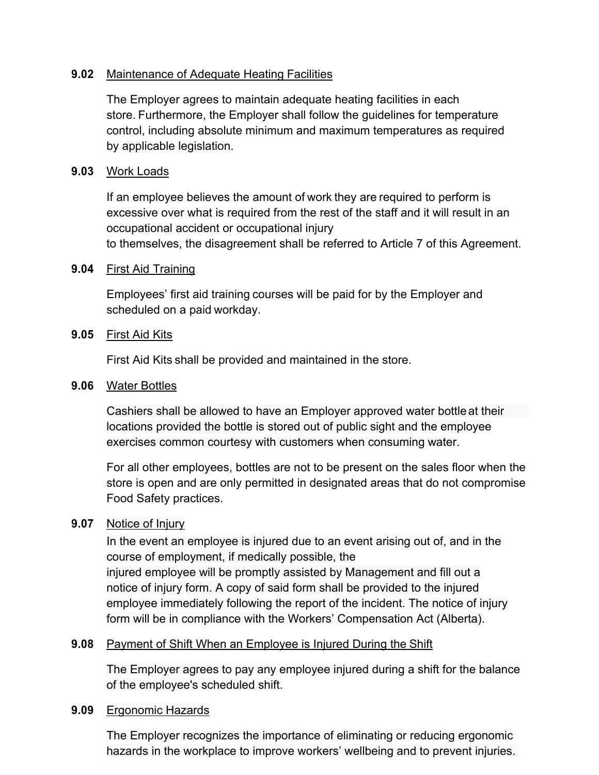## **9.02** Maintenance of Adequate Heating Facilities

The Employer agrees to maintain adequate heating facilities in each store. Furthermore, the Employer shall follow the guidelines for temperature control, including absolute minimum and maximum temperatures as required by applicable legislation.

## **9.03** Work Loads

If an employee believes the amount of work they are required to perform is excessive over what is required from the rest of the staff and it will result in an occupational accident or occupational injury to themselves, the disagreement shall be referred to Article 7 of this Agreement. 

## **9.04** First Aid Training

Employees' first aid training courses will be paid for by the Employer and scheduled on a paid workday.

## **9.05** First Aid Kits

First Aid Kits shall be provided and maintained in the store.

## **9.06** Water Bottles

Cashiers shall be allowed to have an Employer approved water bottle at their locations provided the bottle is stored out of public sight and the employee exercises common courtesy with customers when consuming water.

For all other employees, bottles are not to be present on the sales floor when the store is open and are only permitted in designated areas that do not compromise Food Safety practices.

## **9.07** Notice of Injury

In the event an employee is injured due to an event arising out of, and in the course of employment, if medically possible, the injured employee will be promptly assisted by Management and fill out a notice of injury form. A copy of said form shall be provided to the injured employee immediately following the report of the incident. The notice of injury form will be in compliance with the Workers' Compensation Act (Alberta).

## **9.08** Payment of Shift When an Employee is Injured During the Shift

The Employer agrees to pay any employee injured during a shift for the balance of the employee's scheduled shift.

## **9.09** Ergonomic Hazards

The Employer recognizes the importance of eliminating or reducing ergonomic hazards in the workplace to improve workers' wellbeing and to prevent injuries.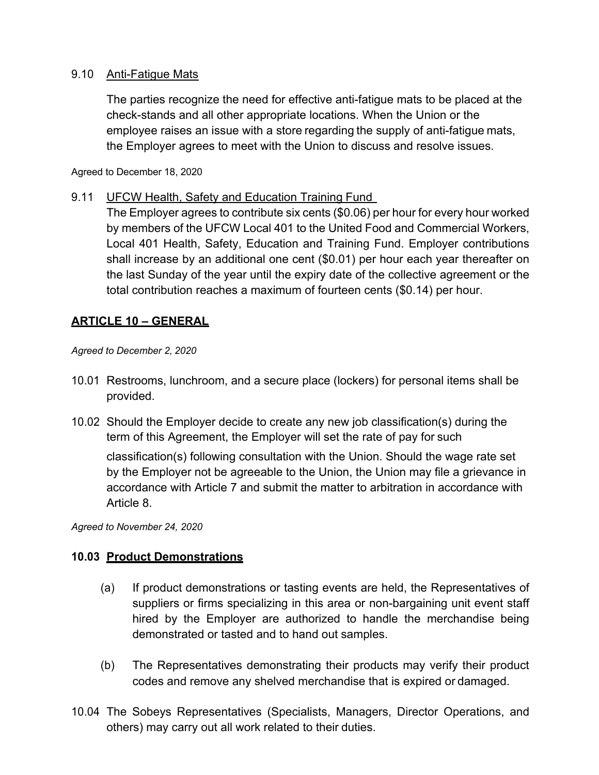## 9.10 Anti-Fatigue Mats

The parties recognize the need for effective anti-fatigue mats to be placed at the check-stands and all other appropriate locations. When the Union or the employee raises an issue with a store regarding the supply of anti-fatigue mats, the Employer agrees to meet with the Union to discuss and resolve issues.  

Agreed to December 18, 2020

## 9.11 UFCW Health, Safety and Education Training Fund

The Employer agrees to contribute six cents (\$0.06) per hour for every hour worked by members of the UFCW Local 401 to the United Food and Commercial Workers, Local 401 Health, Safety, Education and Training Fund. Employer contributions shall increase by an additional one cent (\$0.01) per hour each year thereafter on the last Sunday of the year until the expiry date of the collective agreement or the total contribution reaches a maximum of fourteen cents (\$0.14) per hour.

## **ARTICLE 10 – GENERAL**

#### *Agreed to December 2, 2020*

- 10.01 Restrooms, lunchroom, and a secure place (lockers) for personal items shall be provided.
- 10.02 Should the Employer decide to create any new job classification(s) during the term of this Agreement, the Employer will set the rate of pay for such

classification(s) following consultation with the Union. Should the wage rate set by the Employer not be agreeable to the Union, the Union may file a grievance in accordance with Article 7 and submit the matter to arbitration in accordance with Article 8.

*Agreed to November 24, 2020*

## **10.03 Product Demonstrations**

- (a) If product demonstrations or tasting events are held, the Representatives of suppliers or firms specializing in this area or non-bargaining unit event staff hired by the Employer are authorized to handle the merchandise being demonstrated or tasted and to hand out samples.
- (b) The Representatives demonstrating their products may verify their product codes and remove any shelved merchandise that is expired or damaged.
- 10.04 The Sobeys Representatives (Specialists, Managers, Director Operations, and others) may carry out all work related to their duties.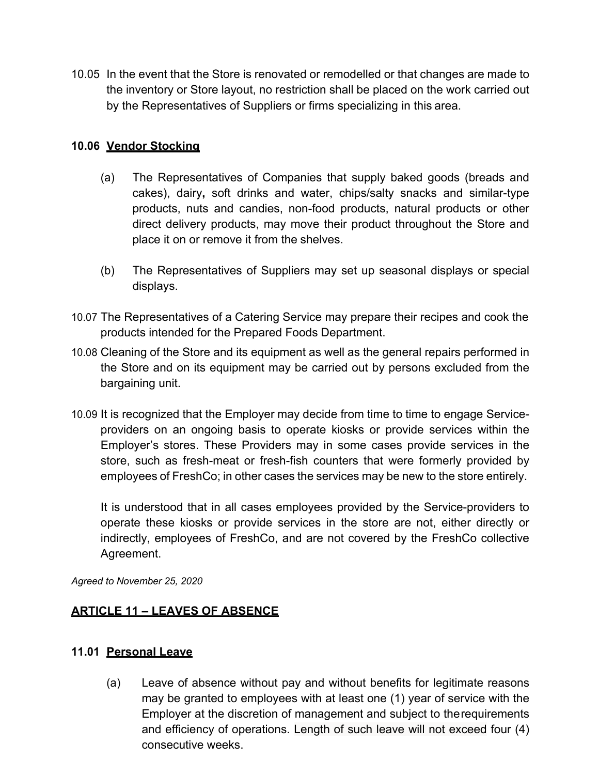10.05 In the event that the Store is renovated or remodelled or that changes are made to the inventory or Store layout, no restriction shall be placed on the work carried out by the Representatives of Suppliers or firms specializing in this area.

## **10.06 Vendor Stocking**

- (a) The Representatives of Companies that supply baked goods (breads and cakes), dairy**,** soft drinks and water, chips/salty snacks and similar-type products, nuts and candies, non-food products, natural products or other direct delivery products, may move their product throughout the Store and place it on or remove it from the shelves.
- (b) The Representatives of Suppliers may set up seasonal displays or special displays.
- 10.07 The Representatives of a Catering Service may prepare their recipes and cook the products intended for the Prepared Foods Department.
- 10.08 Cleaning of the Store and its equipment as well as the general repairs performed in the Store and on its equipment may be carried out by persons excluded from the bargaining unit.
- 10.09 It is recognized that the Employer may decide from time to time to engage Serviceproviders on an ongoing basis to operate kiosks or provide services within the Employer's stores. These Providers may in some cases provide services in the store, such as fresh-meat or fresh-fish counters that were formerly provided by employees of FreshCo; in other cases the services may be new to the store entirely.

It is understood that in all cases employees provided by the Service-providers to operate these kiosks or provide services in the store are not, either directly or indirectly, employees of FreshCo, and are not covered by the FreshCo collective Agreement.

*Agreed to November 25, 2020*

## **ARTICLE 11 – LEAVES OF ABSENCE**

## **11.01 Personal Leave**

(a) Leave of absence without pay and without benefits for legitimate reasons may be granted to employees with at least one (1) year of service with the Employer at the discretion of management and subject to therequirements and efficiency of operations. Length of such leave will not exceed four (4) consecutive weeks.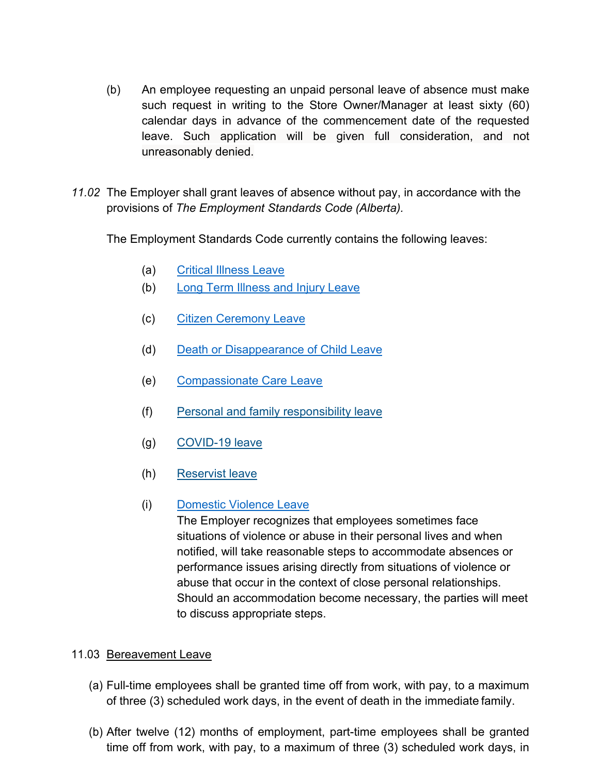- (b) An employee requesting an unpaid personal leave of absence must make such request in writing to the Store Owner/Manager at least sixty (60) calendar days in advance of the commencement date of the requested leave. Such application will be given full consideration, and not unreasonably denied.
- *11.02* The Employer shall grant leaves of absence without pay, in accordance with the provisions of *The Employment Standards Code (Alberta).*

The Employment Standards Code currently contains the following leaves:

- (a) Critical Illness Leave
- (b) Long Term Illness and Injury Leave
- (c) Citizen Ceremony Leave
- (d) Death or Disappearance of Child Leave
- (e) Compassionate Care Leave
- (f) Personal and family responsibility leave
- (g) COVID-19 leave
- (h) Reservist leave
- (i) Domestic Violence Leave

The Employer recognizes that employees sometimes face situations of violence or abuse in their personal lives and when notified, will take reasonable steps to accommodate absences or performance issues arising directly from situations of violence or abuse that occur in the context of close personal relationships.  Should an accommodation become necessary, the parties will meet to discuss appropriate steps.

## 11.03 Bereavement Leave

- (a) Full-time employees shall be granted time off from work, with pay, to a maximum of three (3) scheduled work days, in the event of death in the immediate family.
- (b) After twelve (12) months of employment, part-time employees shall be granted time off from work, with pay, to a maximum of three (3) scheduled work days, in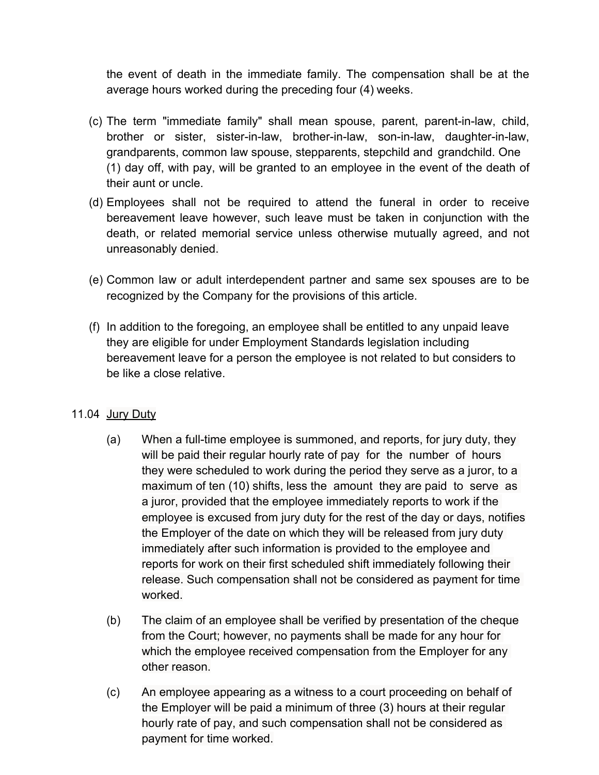the event of death in the immediate family. The compensation shall be at the average hours worked during the preceding four (4) weeks.

- (c) The term "immediate family" shall mean spouse, parent, parent-in-law, child, brother or sister, sister-in-law, brother-in-law, son-in-law, daughter-in-law, grandparents, common law spouse, stepparents, stepchild and grandchild. One (1) day off, with pay, will be granted to an employee in the event of the death of their aunt or uncle.
- (d) Employees shall not be required to attend the funeral in order to receive bereavement leave however, such leave must be taken in conjunction with the death, or related memorial service unless otherwise mutually agreed, and not unreasonably denied.
- (e) Common law or adult interdependent partner and same sex spouses are to be recognized by the Company for the provisions of this article.
- (f) In addition to the foregoing, an employee shall be entitled to any unpaid leave they are eligible for under Employment Standards legislation including bereavement leave for a person the employee is not related to but considers to be like a close relative.

## 11.04 Jury Duty

- (a) When a full-time employee is summoned, and reports, for jury duty, they will be paid their regular hourly rate of pay for the number of hours they were scheduled to work during the period they serve as a juror, to a maximum of ten (10) shifts, less the amount they are paid to serve as a juror, provided that the employee immediately reports to work if the employee is excused from jury duty for the rest of the day or days, notifies the Employer of the date on which they will be released from jury duty immediately after such information is provided to the employee and reports for work on their first scheduled shift immediately following their release. Such compensation shall not be considered as payment for time worked.
- (b) The claim of an employee shall be verified by presentation of the cheque from the Court; however, no payments shall be made for any hour for which the employee received compensation from the Employer for any other reason.
- (c) An employee appearing as a witness to a court proceeding on behalf of the Employer will be paid a minimum of three (3) hours at their regular hourly rate of pay, and such compensation shall not be considered as payment for time worked.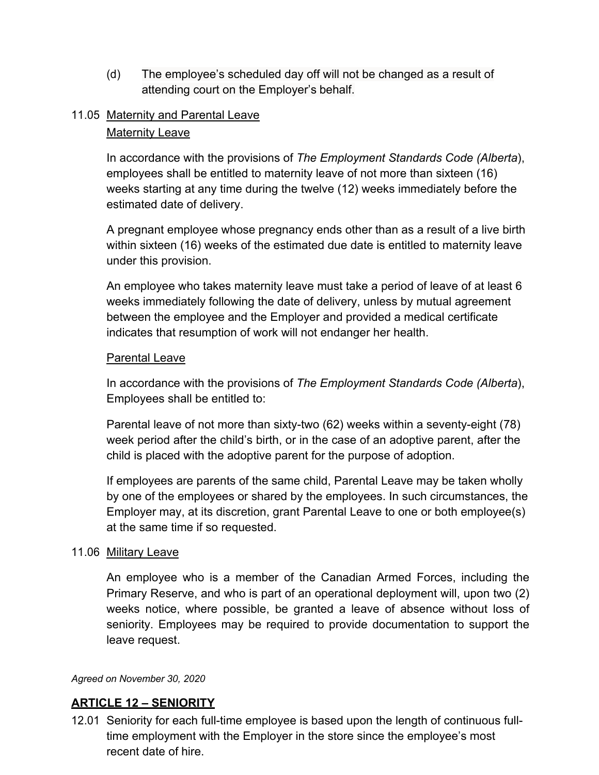(d) The employee's scheduled day off will not be changed as a result of attending court on the Employer's behalf.

## 11.05 Maternity and Parental Leave

#### Maternity Leave

In accordance with the provisions of *The Employment Standards Code (Alberta*), employees shall be entitled to maternity leave of not more than sixteen (16) weeks starting at any time during the twelve (12) weeks immediately before the estimated date of delivery.

A pregnant employee whose pregnancy ends other than as a result of a live birth within sixteen (16) weeks of the estimated due date is entitled to maternity leave under this provision.

An employee who takes maternity leave must take a period of leave of at least 6 weeks immediately following the date of delivery, unless by mutual agreement between the employee and the Employer and provided a medical certificate indicates that resumption of work will not endanger her health.

#### Parental Leave

In accordance with the provisions of *The Employment Standards Code (Alberta*), Employees shall be entitled to:

Parental leave of not more than sixty-two (62) weeks within a seventy-eight (78) week period after the child's birth, or in the case of an adoptive parent, after the child is placed with the adoptive parent for the purpose of adoption.

If employees are parents of the same child, Parental Leave may be taken wholly by one of the employees or shared by the employees. In such circumstances, the Employer may, at its discretion, grant Parental Leave to one or both employee(s) at the same time if so requested.

#### 11.06 Military Leave

An employee who is a member of the Canadian Armed Forces, including the Primary Reserve, and who is part of an operational deployment will, upon two (2) weeks notice, where possible, be granted a leave of absence without loss of seniority. Employees may be required to provide documentation to support the leave request.

#### *Agreed on November 30, 2020*

#### **ARTICLE 12 – SENIORITY**

12.01 Seniority for each full-time employee is based upon the length of continuous fulltime employment with the Employer in the store since the employee's most recent date of hire.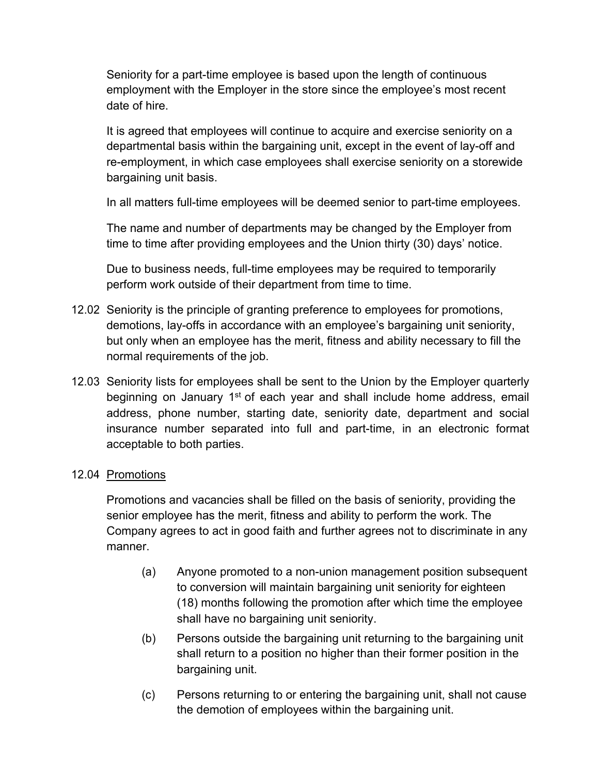Seniority for a part-time employee is based upon the length of continuous employment with the Employer in the store since the employee's most recent date of hire.

It is agreed that employees will continue to acquire and exercise seniority on a departmental basis within the bargaining unit, except in the event of lay-off and re-employment, in which case employees shall exercise seniority on a storewide bargaining unit basis.

In all matters full-time employees will be deemed senior to part-time employees.

The name and number of departments may be changed by the Employer from time to time after providing employees and the Union thirty (30) days' notice.

Due to business needs, full-time employees may be required to temporarily perform work outside of their department from time to time.

- 12.02 Seniority is the principle of granting preference to employees for promotions, demotions, lay-offs in accordance with an employee's bargaining unit seniority, but only when an employee has the merit, fitness and ability necessary to fill the normal requirements of the job.
- 12.03 Seniority lists for employees shall be sent to the Union by the Employer quarterly beginning on January 1<sup>st</sup> of each year and shall include home address, email address, phone number, starting date, seniority date, department and social insurance number separated into full and part-time, in an electronic format acceptable to both parties.

## 12.04 Promotions

Promotions and vacancies shall be filled on the basis of seniority, providing the senior employee has the merit, fitness and ability to perform the work. The Company agrees to act in good faith and further agrees not to discriminate in any manner.

- (a) Anyone promoted to a non-union management position subsequent to conversion will maintain bargaining unit seniority for eighteen (18) months following the promotion after which time the employee shall have no bargaining unit seniority.
- (b) Persons outside the bargaining unit returning to the bargaining unit shall return to a position no higher than their former position in the bargaining unit.
- (c) Persons returning to or entering the bargaining unit, shall not cause the demotion of employees within the bargaining unit.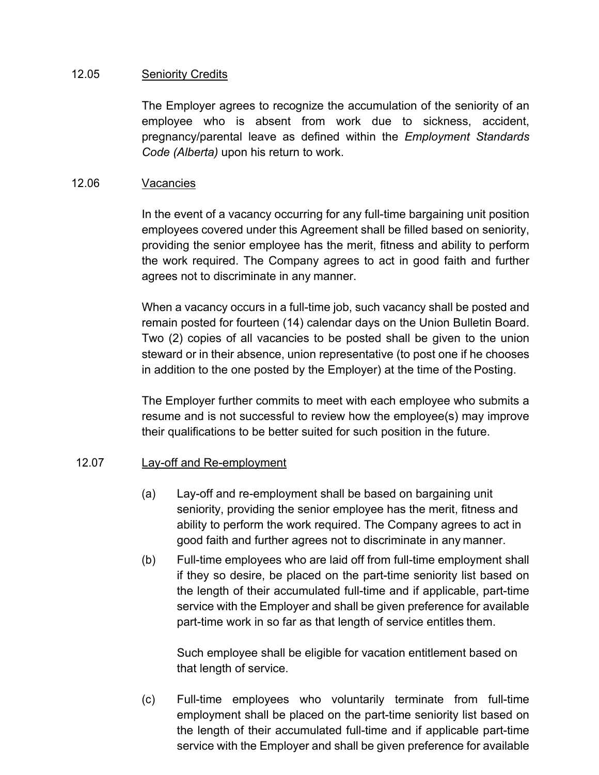## 12.05 **Seniority Credits**

The Employer agrees to recognize the accumulation of the seniority of an employee who is absent from work due to sickness, accident, pregnancy/parental leave as defined within the *Employment Standards Code (Alberta)* upon his return to work.

## 12.06 Vacancies

In the event of a vacancy occurring for any full-time bargaining unit position employees covered under this Agreement shall be filled based on seniority, providing the senior employee has the merit, fitness and ability to perform the work required. The Company agrees to act in good faith and further agrees not to discriminate in any manner.

When a vacancy occurs in a full-time job, such vacancy shall be posted and remain posted for fourteen (14) calendar days on the Union Bulletin Board. Two (2) copies of all vacancies to be posted shall be given to the union steward or in their absence, union representative (to post one if he chooses in addition to the one posted by the Employer) at the time of the Posting.

The Employer further commits to meet with each employee who submits a resume and is not successful to review how the employee(s) may improve their qualifications to be better suited for such position in the future.

## 12.07 Lay-off and Re-employment

- (a) Lay-off and re-employment shall be based on bargaining unit seniority, providing the senior employee has the merit, fitness and ability to perform the work required. The Company agrees to act in good faith and further agrees not to discriminate in any manner.
- (b) Full-time employees who are laid off from full-time employment shall if they so desire, be placed on the part-time seniority list based on the length of their accumulated full-time and if applicable, part-time service with the Employer and shall be given preference for available part-time work in so far as that length of service entitles them.

Such employee shall be eligible for vacation entitlement based on that length of service.

(c) Full-time employees who voluntarily terminate from full-time employment shall be placed on the part-time seniority list based on the length of their accumulated full-time and if applicable part-time service with the Employer and shall be given preference for available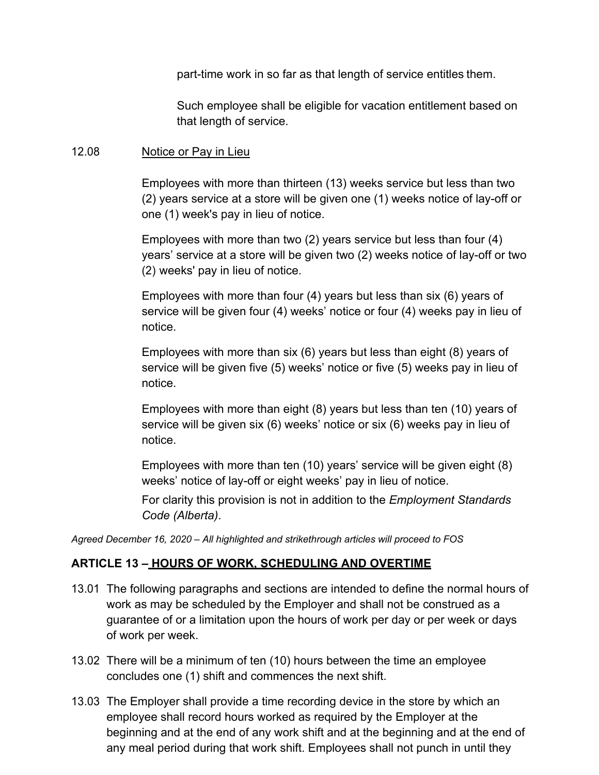part-time work in so far as that length of service entitles them.

Such employee shall be eligible for vacation entitlement based on that length of service.

#### 12.08 Notice or Pay in Lieu

Employees with more than thirteen (13) weeks service but less than two (2) years service at a store will be given one (1) weeks notice of lay-off or one (1) week's pay in lieu of notice.

Employees with more than two (2) years service but less than four (4) years' service at a store will be given two (2) weeks notice of lay-off or two (2) weeks' pay in lieu of notice.

Employees with more than four (4) years but less than six (6) years of service will be given four (4) weeks' notice or four (4) weeks pay in lieu of notice.

Employees with more than six (6) years but less than eight (8) years of service will be given five (5) weeks' notice or five (5) weeks pay in lieu of notice.

Employees with more than eight (8) years but less than ten (10) years of service will be given six (6) weeks' notice or six (6) weeks pay in lieu of notice.

Employees with more than ten (10) years' service will be given eight (8) weeks' notice of lay-off or eight weeks' pay in lieu of notice.

For clarity this provision is not in addition to the *Employment Standards Code (Alberta)*.

*Agreed December 16, 2020 – All highlighted and strikethrough articles will proceed to FOS*

## **ARTICLE 13 – HOURS OF WORK, SCHEDULING AND OVERTIME**

- 13.01 The following paragraphs and sections are intended to define the normal hours of work as may be scheduled by the Employer and shall not be construed as a guarantee of or a limitation upon the hours of work per day or per week or days of work per week.
- 13.02 There will be a minimum of ten (10) hours between the time an employee concludes one (1) shift and commences the next shift.
- 13.03 The Employer shall provide a time recording device in the store by which an employee shall record hours worked as required by the Employer at the beginning and at the end of any work shift and at the beginning and at the end of any meal period during that work shift. Employees shall not punch in until they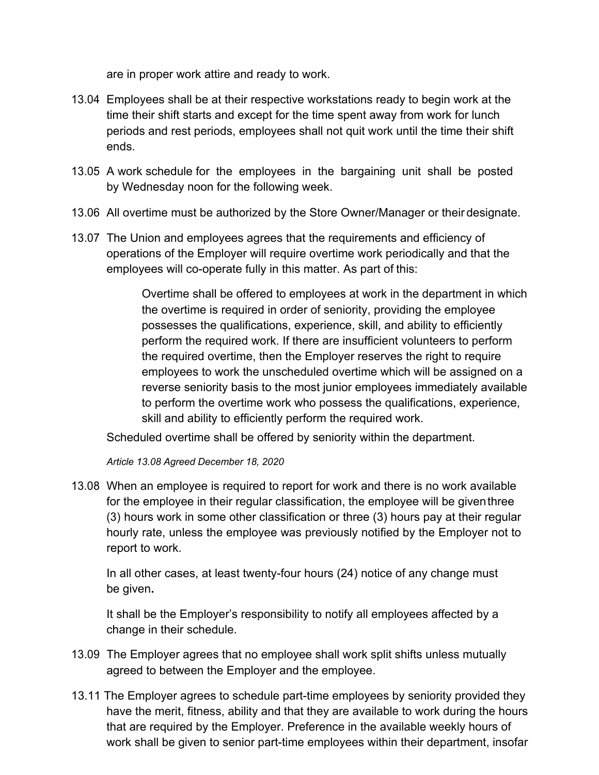are in proper work attire and ready to work.

- 13.04 Employees shall be at their respective workstations ready to begin work at the time their shift starts and except for the time spent away from work for lunch periods and rest periods, employees shall not quit work until the time their shift ends.
- 13.05 A work schedule for the employees in the bargaining unit shall be posted by Wednesday noon for the following week.
- 13.06 All overtime must be authorized by the Store Owner/Manager or their designate.
- 13.07 The Union and employees agrees that the requirements and efficiency of operations of the Employer will require overtime work periodically and that the employees will co-operate fully in this matter. As part of this:

Overtime shall be offered to employees at work in the department in which the overtime is required in order of seniority, providing the employee possesses the qualifications, experience, skill, and ability to efficiently perform the required work. If there are insufficient volunteers to perform the required overtime, then the Employer reserves the right to require employees to work the unscheduled overtime which will be assigned on a reverse seniority basis to the most junior employees immediately available to perform the overtime work who possess the qualifications, experience, skill and ability to efficiently perform the required work.

Scheduled overtime shall be offered by seniority within the department.

*Article 13.08 Agreed December 18, 2020*

13.08 When an employee is required to report for work and there is no work available for the employee in their regular classification, the employee will be giventhree (3) hours work in some other classification or three (3) hours pay at their regular hourly rate, unless the employee was previously notified by the Employer not to report to work.

In all other cases, at least twenty-four hours (24) notice of any change must be given**.**

It shall be the Employer's responsibility to notify all employees affected by a change in their schedule.

- 13.09 The Employer agrees that no employee shall work split shifts unless mutually agreed to between the Employer and the employee.
- 13.11 The Employer agrees to schedule part-time employees by seniority provided they have the merit, fitness, ability and that they are available to work during the hours that are required by the Employer. Preference in the available weekly hours of work shall be given to senior part-time employees within their department, insofar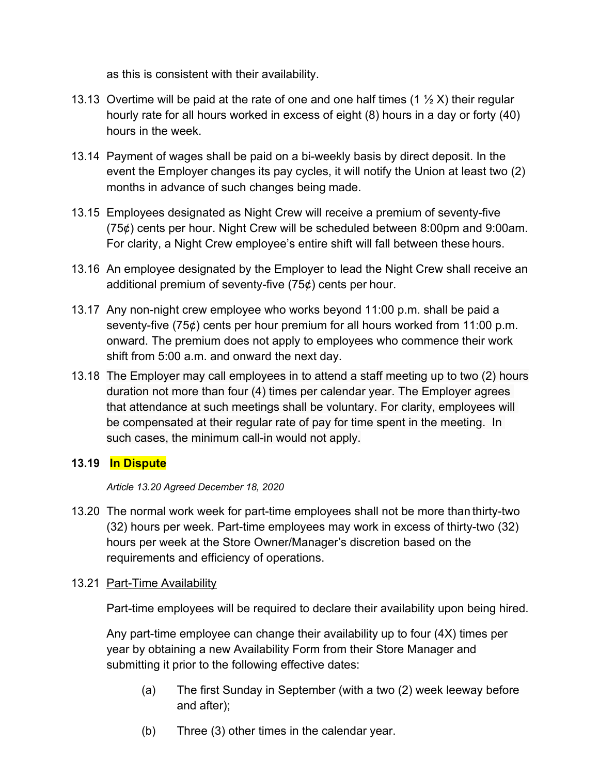as this is consistent with their availability.

- 13.13 Overtime will be paid at the rate of one and one half times (1  $\frac{1}{2}$  X) their regular hourly rate for all hours worked in excess of eight (8) hours in a day or forty (40) hours in the week.
- 13.14 Payment of wages shall be paid on a bi-weekly basis by direct deposit. In the event the Employer changes its pay cycles, it will notify the Union at least two (2) months in advance of such changes being made.
- 13.15 Employees designated as Night Crew will receive a premium of seventy-five (75¢) cents per hour. Night Crew will be scheduled between 8:00pm and 9:00am. For clarity, a Night Crew employee's entire shift will fall between these hours.
- 13.16 An employee designated by the Employer to lead the Night Crew shall receive an additional premium of seventy-five (75¢) cents per hour.
- 13.17 Any non-night crew employee who works beyond 11:00 p.m. shall be paid a seventy-five (75¢) cents per hour premium for all hours worked from 11:00 p.m. onward. The premium does not apply to employees who commence their work shift from 5:00 a.m. and onward the next day.
- 13.18 The Employer may call employees in to attend a staff meeting up to two (2) hours duration not more than four (4) times per calendar year. The Employer agrees that attendance at such meetings shall be voluntary. For clarity, employees will be compensated at their regular rate of pay for time spent in the meeting. In such cases, the minimum call-in would not apply.

## **13.19 In Dispute**

*Article 13.20 Agreed December 18, 2020*

13.20 The normal work week for part-time employees shall not be more than thirty-two (32) hours per week. Part-time employees may work in excess of thirty-two (32) hours per week at the Store Owner/Manager's discretion based on the requirements and efficiency of operations.

## 13.21 Part-Time Availability

Part-time employees will be required to declare their availability upon being hired.

Any part-time employee can change their availability up to four (4X) times per year by obtaining a new Availability Form from their Store Manager and submitting it prior to the following effective dates:

- (a) The first Sunday in September (with a two (2) week leeway before and after);
- (b) Three (3) other times in the calendar year.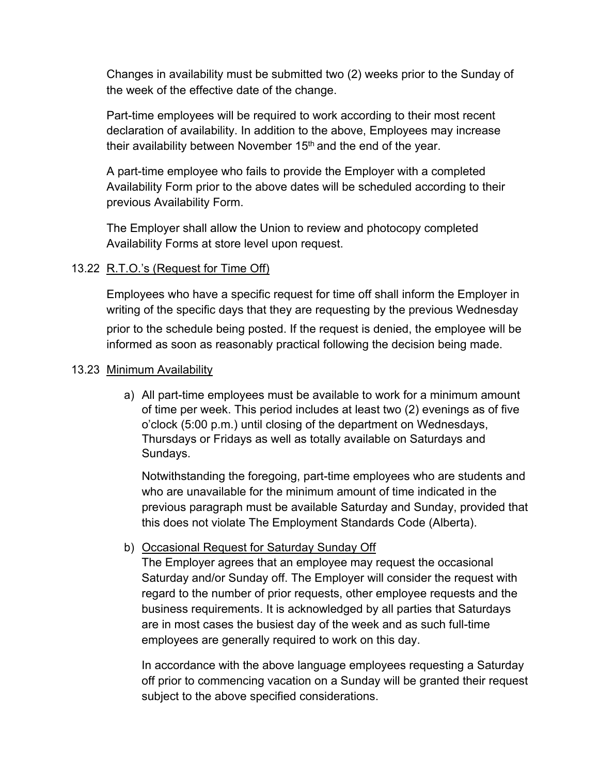Changes in availability must be submitted two (2) weeks prior to the Sunday of the week of the effective date of the change.

Part-time employees will be required to work according to their most recent declaration of availability. In addition to the above, Employees may increase their availability between November  $15<sup>th</sup>$  and the end of the year.

A part-time employee who fails to provide the Employer with a completed Availability Form prior to the above dates will be scheduled according to their previous Availability Form.

The Employer shall allow the Union to review and photocopy completed Availability Forms at store level upon request.

## 13.22 R.T.O.'s (Request for Time Off)

Employees who have a specific request for time off shall inform the Employer in writing of the specific days that they are requesting by the previous Wednesday prior to the schedule being posted. If the request is denied, the employee will be informed as soon as reasonably practical following the decision being made.

## 13.23 Minimum Availability

a) All part-time employees must be available to work for a minimum amount of time per week. This period includes at least two (2) evenings as of five o'clock (5:00 p.m.) until closing of the department on Wednesdays, Thursdays or Fridays as well as totally available on Saturdays and Sundays.

Notwithstanding the foregoing, part-time employees who are students and who are unavailable for the minimum amount of time indicated in the previous paragraph must be available Saturday and Sunday, provided that this does not violate The Employment Standards Code (Alberta).

## b) Occasional Request for Saturday Sunday Off

The Employer agrees that an employee may request the occasional Saturday and/or Sunday off. The Employer will consider the request with regard to the number of prior requests, other employee requests and the business requirements. It is acknowledged by all parties that Saturdays are in most cases the busiest day of the week and as such full-time employees are generally required to work on this day.

In accordance with the above language employees requesting a Saturday off prior to commencing vacation on a Sunday will be granted their request subject to the above specified considerations.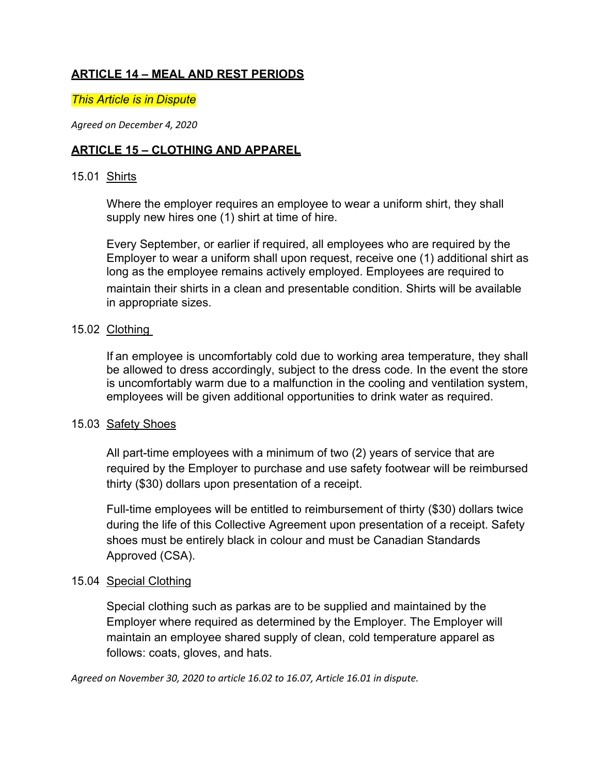## **ARTICLE 14 – MEAL AND REST PERIODS**

*This Article is in Dispute*

*Agreed on December 4, 2020*

## **ARTICLE 15 – CLOTHING AND APPAREL**

#### 15.01 Shirts

Where the employer requires an employee to wear a uniform shirt, they shall supply new hires one (1) shirt at time of hire.

Every September, or earlier if required, all employees who are required by the Employer to wear a uniform shall upon request, receive one (1) additional shirt as long as the employee remains actively employed. Employees are required to maintain their shirts in a clean and presentable condition. Shirts will be available in appropriate sizes.

## 15.02 Clothing

If an employee is uncomfortably cold due to working area temperature, they shall be allowed to dress accordingly, subject to the dress code. In the event the store is uncomfortably warm due to a malfunction in the cooling and ventilation system, employees will be given additional opportunities to drink water as required.  

## 15.03 Safety Shoes

All part-time employees with a minimum of two (2) years of service that are required by the Employer to purchase and use safety footwear will be reimbursed thirty (\$30) dollars upon presentation of a receipt.

Full-time employees will be entitled to reimbursement of thirty (\$30) dollars twice during the life of this Collective Agreement upon presentation of a receipt. Safety shoes must be entirely black in colour and must be Canadian Standards Approved (CSA).

## 15.04 Special Clothing

Special clothing such as parkas are to be supplied and maintained by the Employer where required as determined by the Employer. The Employer will maintain an employee shared supply of clean, cold temperature apparel as follows: coats, gloves, and hats.

*Agreed on November 30, 2020 to article 16.02 to 16.07, Article 16.01 in dispute.*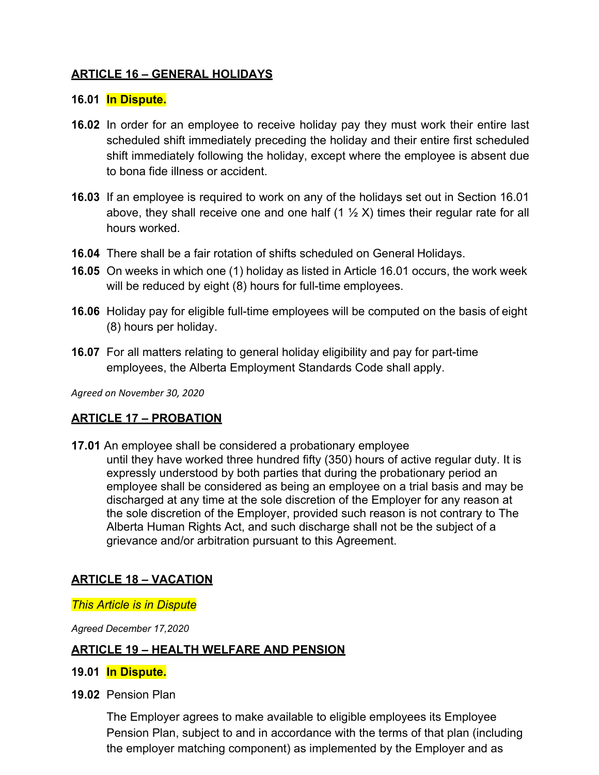## **ARTICLE 16 – GENERAL HOLIDAYS**

## **16.01 In Dispute.**

- **16.02** In order for an employee to receive holiday pay they must work their entire last scheduled shift immediately preceding the holiday and their entire first scheduled shift immediately following the holiday, except where the employee is absent due to bona fide illness or accident.
- **16.03** If an employee is required to work on any of the holidays set out in Section 16.01 above, they shall receive one and one half  $(1 \frac{1}{2} X)$  times their regular rate for all hours worked.
- **16.04** There shall be a fair rotation of shifts scheduled on General Holidays.
- **16.05** On weeks in which one (1) holiday as listed in Article 16.01 occurs, the work week will be reduced by eight (8) hours for full-time employees.
- **16.06** Holiday pay for eligible full-time employees will be computed on the basis of eight (8) hours per holiday.
- **16.07** For all matters relating to general holiday eligibility and pay for part-time employees, the Alberta Employment Standards Code shall apply.

*Agreed on November 30, 2020*

## **ARTICLE 17 – PROBATION**

**17.01** An employee shall be considered a probationary employee until they have worked three hundred fifty (350) hours of active regular duty. It is expressly understood by both parties that during the probationary period an employee shall be considered as being an employee on a trial basis and may be discharged at any time at the sole discretion of the Employer for any reason at the sole discretion of the Employer, provided such reason is not contrary to The Alberta Human Rights Act, and such discharge shall not be the subject of a grievance and/or arbitration pursuant to this Agreement.

## **ARTICLE 18 – VACATION**

## *This Article is in Dispute*

*Agreed December 17,2020*

## **ARTICLE 19 – HEALTH WELFARE AND PENSION**

## **19.01 In Dispute.**

**19.02** Pension Plan

The Employer agrees to make available to eligible employees its Employee Pension Plan, subject to and in accordance with the terms of that plan (including the employer matching component) as implemented by the Employer and as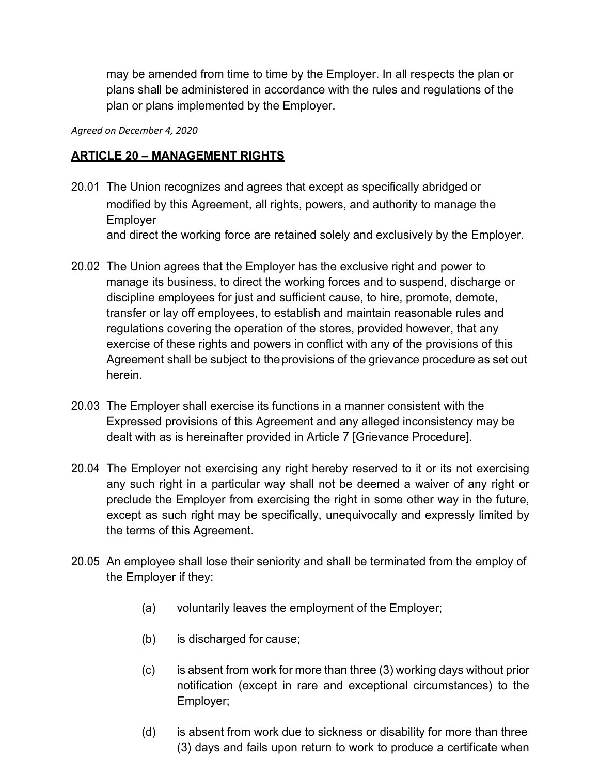may be amended from time to time by the Employer. In all respects the plan or plans shall be administered in accordance with the rules and regulations of the plan or plans implemented by the Employer.

*Agreed on December 4, 2020*

## **ARTICLE 20 – MANAGEMENT RIGHTS**

- 20.01 The Union recognizes and agrees that except as specifically abridged or modified by this Agreement, all rights, powers, and authority to manage the Employer and direct the working force are retained solely and exclusively by the Employer.
- 20.02 The Union agrees that the Employer has the exclusive right and power to manage its business, to direct the working forces and to suspend, discharge or discipline employees for just and sufficient cause, to hire, promote, demote, transfer or lay off employees, to establish and maintain reasonable rules and regulations covering the operation of the stores, provided however, that any exercise of these rights and powers in conflict with any of the provisions of this Agreement shall be subject to the provisions of the grievance procedure as set out herein.
- 20.03 The Employer shall exercise its functions in a manner consistent with the Expressed provisions of this Agreement and any alleged inconsistency may be dealt with as is hereinafter provided in Article 7 [Grievance Procedure].
- 20.04 The Employer not exercising any right hereby reserved to it or its not exercising any such right in a particular way shall not be deemed a waiver of any right or preclude the Employer from exercising the right in some other way in the future, except as such right may be specifically, unequivocally and expressly limited by the terms of this Agreement.
- 20.05 An employee shall lose their seniority and shall be terminated from the employ of the Employer if they:
	- (a) voluntarily leaves the employment of the Employer;
	- (b) is discharged for cause;
	- (c) is absent from work for more than three (3) working days without prior notification (except in rare and exceptional circumstances) to the Employer;
	- (d) is absent from work due to sickness or disability for more than three (3) days and fails upon return to work to produce a certificate when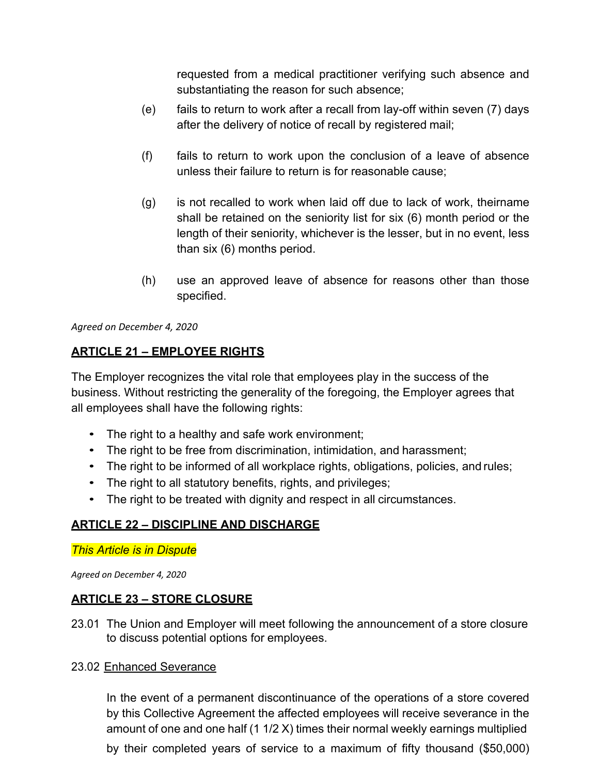requested from a medical practitioner verifying such absence and substantiating the reason for such absence;

- (e) fails to return to work after a recall from lay-off within seven (7) days after the delivery of notice of recall by registered mail;
- (f) fails to return to work upon the conclusion of a leave of absence unless their failure to return is for reasonable cause;
- (g) is not recalled to work when laid off due to lack of work, theirname shall be retained on the seniority list for six (6) month period or the length of their seniority, whichever is the lesser, but in no event, less than six (6) months period.
- (h) use an approved leave of absence for reasons other than those specified.

*Agreed on December 4, 2020*

## **ARTICLE 21 – EMPLOYEE RIGHTS**

The Employer recognizes the vital role that employees play in the success of the business. Without restricting the generality of the foregoing, the Employer agrees that all employees shall have the following rights:

- The right to a healthy and safe work environment;
- The right to be free from discrimination, intimidation, and harassment;
- The right to be informed of all workplace rights, obligations, policies, and rules;
- The right to all statutory benefits, rights, and privileges;
- The right to be treated with dignity and respect in all circumstances.

## **ARTICLE 22 – DISCIPLINE AND DISCHARGE**

*This Article is in Dispute*

*Agreed on December 4, 2020*

### **ARTICLE 23 – STORE CLOSURE**

23.01 The Union and Employer will meet following the announcement of a store closure to discuss potential options for employees.

#### 23.02 Enhanced Severance

In the event of a permanent discontinuance of the operations of a store covered by this Collective Agreement the affected employees will receive severance in the amount of one and one half (1 1/2 X) times their normal weekly earnings multiplied by their completed years of service to a maximum of fifty thousand (\$50,000)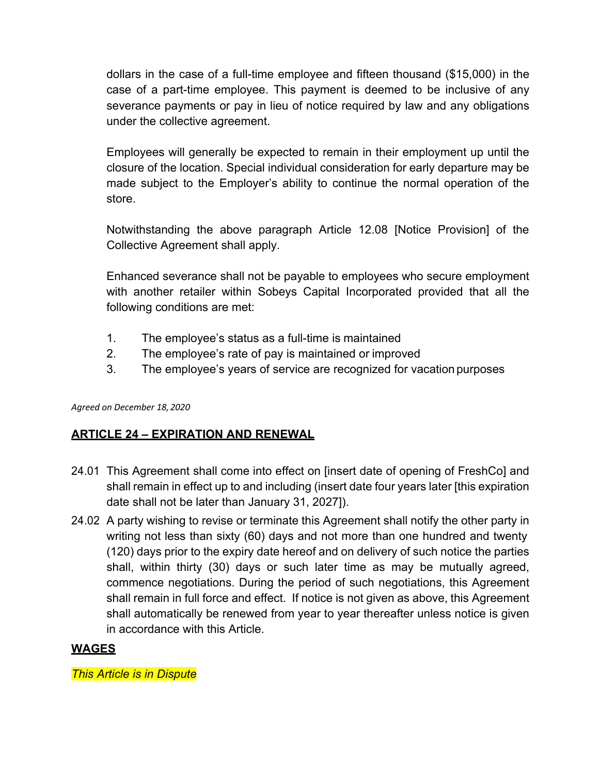dollars in the case of a full-time employee and fifteen thousand (\$15,000) in the case of a part-time employee. This payment is deemed to be inclusive of any severance payments or pay in lieu of notice required by law and any obligations under the collective agreement.

Employees will generally be expected to remain in their employment up until the closure of the location. Special individual consideration for early departure may be made subject to the Employer's ability to continue the normal operation of the store.

Notwithstanding the above paragraph Article 12.08 [Notice Provision] of the Collective Agreement shall apply.

Enhanced severance shall not be payable to employees who secure employment with another retailer within Sobeys Capital Incorporated provided that all the following conditions are met:

- 1. The employee's status as a full-time is maintained
- 2. The employee's rate of pay is maintained or improved
- 3. The employee's years of service are recognized for vacation purposes

*Agreed on December 18, 2020*

### **ARTICLE 24 – EXPIRATION AND RENEWAL**

- 24.01 This Agreement shall come into effect on [insert date of opening of FreshCo] and shall remain in effect up to and including (insert date four years later [this expiration date shall not be later than January 31, 2027]).
- 24.02 A party wishing to revise or terminate this Agreement shall notify the other party in writing not less than sixty (60) days and not more than one hundred and twenty (120) days prior to the expiry date hereof and on delivery of such notice the parties shall, within thirty (30) days or such later time as may be mutually agreed, commence negotiations. During the period of such negotiations, this Agreement shall remain in full force and effect. If notice is not given as above, this Agreement shall automatically be renewed from year to year thereafter unless notice is given in accordance with this Article.

# **WAGES**

*This Article is in Dispute*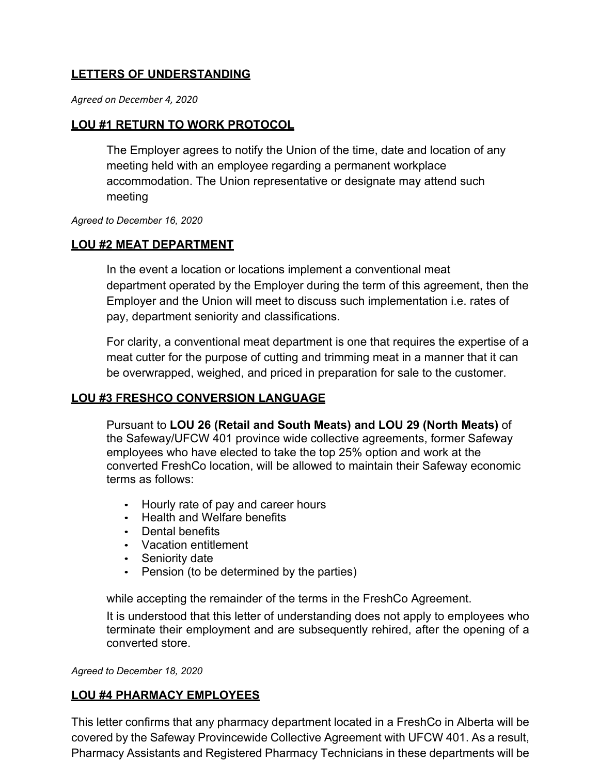# **LETTERS OF UNDERSTANDING**

*Agreed on December 4, 2020*

## **LOU #1 RETURN TO WORK PROTOCOL**

The Employer agrees to notify the Union of the time, date and location of any meeting held with an employee regarding a permanent workplace accommodation. The Union representative or designate may attend such meeting

*Agreed to December 16, 2020*

### **LOU #2 MEAT DEPARTMENT**

In the event a location or locations implement a conventional meat department operated by the Employer during the term of this agreement, then the Employer and the Union will meet to discuss such implementation i.e. rates of pay, department seniority and classifications.

For clarity, a conventional meat department is one that requires the expertise of a meat cutter for the purpose of cutting and trimming meat in a manner that it can be overwrapped, weighed, and priced in preparation for sale to the customer.

### **LOU #3 FRESHCO CONVERSION LANGUAGE**

Pursuant to **LOU 26 (Retail and South Meats) and LOU 29 (North Meats)** of the Safeway/UFCW 401 province wide collective agreements, former Safeway employees who have elected to take the top 25% option and work at the converted FreshCo location, will be allowed to maintain their Safeway economic terms as follows:

- Hourly rate of pay and career hours
- Health and Welfare benefits
- Dental benefits
- Vacation entitlement
- Seniority date
- Pension (to be determined by the parties)

while accepting the remainder of the terms in the FreshCo Agreement.

It is understood that this letter of understanding does not apply to employees who terminate their employment and are subsequently rehired, after the opening of a converted store.

*Agreed to December 18, 2020*

### **LOU #4 PHARMACY EMPLOYEES**

This letter confirms that any pharmacy department located in a FreshCo in Alberta will be covered by the Safeway Provincewide Collective Agreement with UFCW 401. As a result, Pharmacy Assistants and Registered Pharmacy Technicians in these departments will be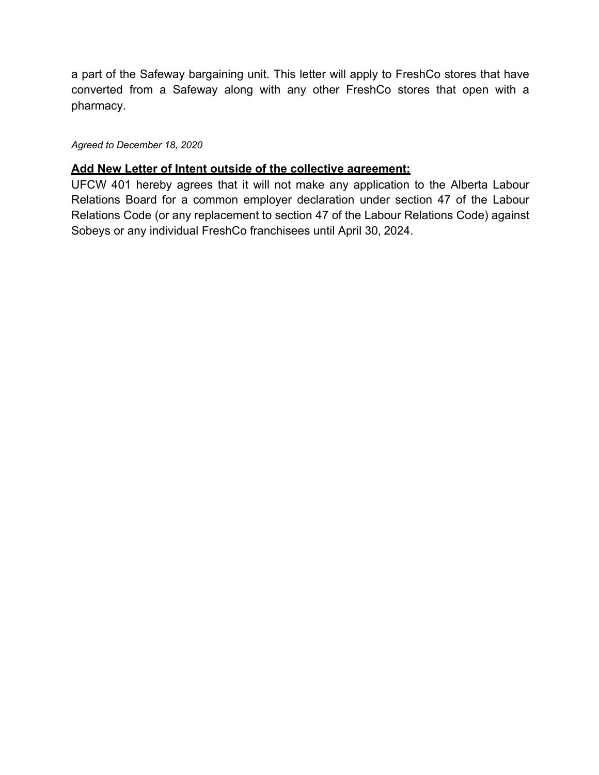a part of the Safeway bargaining unit. This letter will apply to FreshCo stores that have converted from a Safeway along with any other FreshCo stores that open with a pharmacy.

*Agreed to December 18, 2020*

## **Add New Letter of Intent outside of the collective agreement:**

UFCW 401 hereby agrees that it will not make any application to the Alberta Labour Relations Board for a common employer declaration under section 47 of the Labour Relations Code (or any replacement to section 47 of the Labour Relations Code) against Sobeys or any individual FreshCo franchisees until April 30, 2024.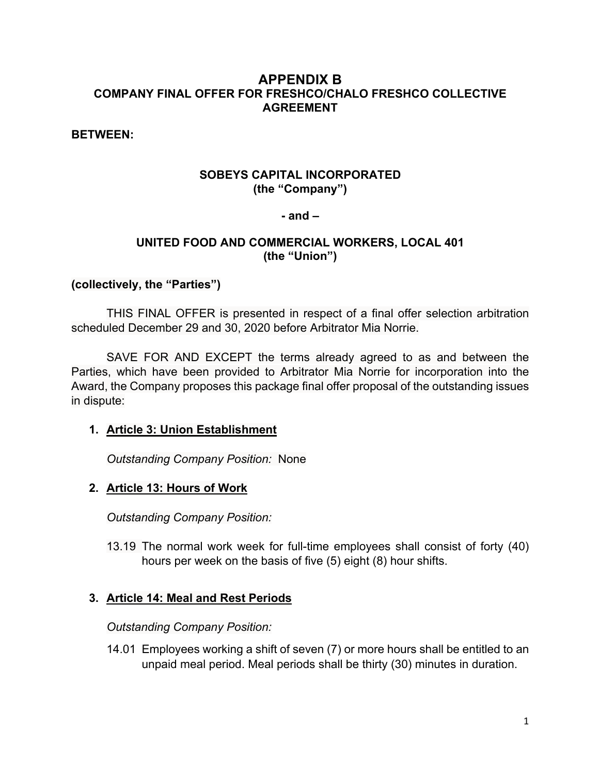## **APPENDIX B COMPANY FINAL OFFER FOR FRESHCO/CHALO FRESHCO COLLECTIVE AGREEMENT**

**BETWEEN:**

## **SOBEYS CAPITAL INCORPORATED (the "Company")**

#### **- and –**

## **UNITED FOOD AND COMMERCIAL WORKERS, LOCAL 401 (the "Union")**

#### **(collectively, the "Parties")**

THIS FINAL OFFER is presented in respect of a final offer selection arbitration scheduled December 29 and 30, 2020 before Arbitrator Mia Norrie.

SAVE FOR AND EXCEPT the terms already agreed to as and between the Parties, which have been provided to Arbitrator Mia Norrie for incorporation into the Award, the Company proposes this package final offer proposal of the outstanding issues in dispute:

### **1. Article 3: Union Establishment**

*Outstanding Company Position:* None

### **2. Article 13: Hours of Work**

*Outstanding Company Position:* 

13.19 The normal work week for full-time employees shall consist of forty (40) hours per week on the basis of five (5) eight (8) hour shifts.

### **3. Article 14: Meal and Rest Periods**

*Outstanding Company Position:* 

14.01 Employees working a shift of seven (7) or more hours shall be entitled to an unpaid meal period. Meal periods shall be thirty (30) minutes in duration.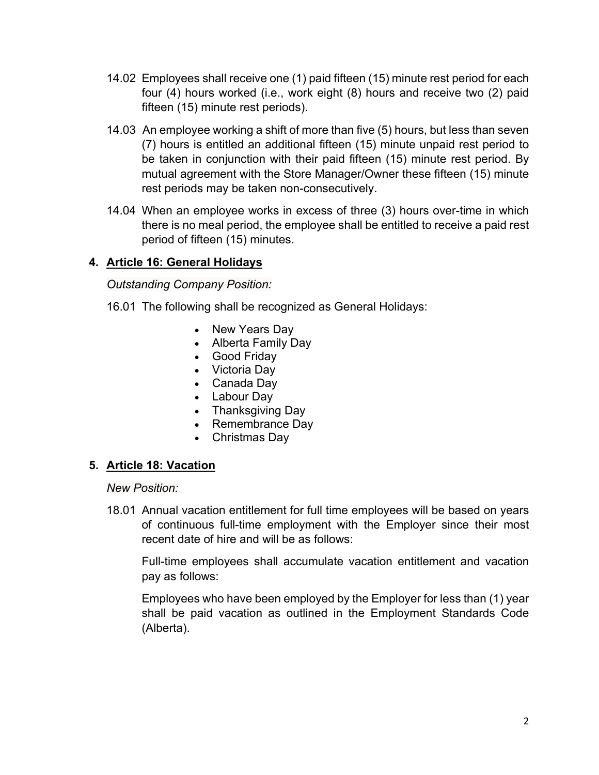- 14.02 Employees shall receive one (1) paid fifteen (15) minute rest period for each four (4) hours worked (i.e., work eight (8) hours and receive two (2) paid fifteen (15) minute rest periods).
- 14.03 An employee working a shift of more than five (5) hours, but less than seven (7) hours is entitled an additional fifteen (15) minute unpaid rest period to be taken in conjunction with their paid fifteen (15) minute rest period. By mutual agreement with the Store Manager/Owner these fifteen (15) minute rest periods may be taken non-consecutively.
- 14.04 When an employee works in excess of three (3) hours over-time in which there is no meal period, the employee shall be entitled to receive a paid rest period of fifteen (15) minutes.

# **4. Article 16: General Holidays**

*Outstanding Company Position:* 

- 16.01 The following shall be recognized as General Holidays:
	- New Years Day
	- Alberta Family Day
	- Good Friday
	- Victoria Day
	- Canada Day
	- Labour Day
	- Thanksgiving Day
	- Remembrance Day
	- Christmas Day

### **5. Article 18: Vacation**

*New Position:*

18.01 Annual vacation entitlement for full time employees will be based on years of continuous full-time employment with the Employer since their most recent date of hire and will be as follows:

Full-time employees shall accumulate vacation entitlement and vacation pay as follows:

Employees who have been employed by the Employer for less than (1) year shall be paid vacation as outlined in the Employment Standards Code (Alberta).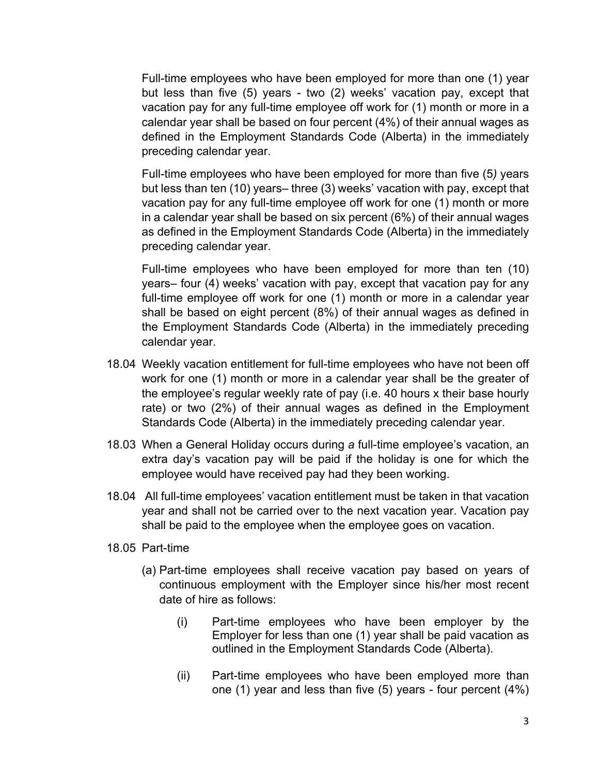Full-time employees who have been employed for more than one (1) year but less than five (5) years - two (2) weeks' vacation pay, except that vacation pay for any full-time employee off work for (1) month or more in a calendar year shall be based on four percent (4%) of their annual wages as defined in the Employment Standards Code (Alberta) in the immediately preceding calendar year.

Full-time employees who have been employed for more than five (5*)* years but less than ten (10) years– three (3) weeks' vacation with pay, except that vacation pay for any full-time employee off work for one (1) month or more in a calendar year shall be based on six percent (6%) of their annual wages as defined in the Employment Standards Code (Alberta) in the immediately preceding calendar year.

Full-time employees who have been employed for more than ten (10) years– four (4) weeks' vacation with pay, except that vacation pay for any full-time employee off work for one (1) month or more in a calendar year shall be based on eight percent (8%) of their annual wages as defined in the Employment Standards Code (Alberta) in the immediately preceding calendar year.

- 18.04 Weekly vacation entitlement for full-time employees who have not been off work for one (1) month or more in a calendar year shall be the greater of the employee's regular weekly rate of pay (i.e. 40 hours x their base hourly rate) or two (2%) of their annual wages as defined in the Employment Standards Code (Alberta) in the immediately preceding calendar year.
- 18.03 When a General Holiday occurs during *a* full-time employee's vacation, an extra day's vacation pay will be paid if the holiday is one for which the employee would have received pay had they been working.
- 18.04 All full-time employees' vacation entitlement must be taken in that vacation year and shall not be carried over to the next vacation year. Vacation pay shall be paid to the employee when the employee goes on vacation.
- 18.05 Part-time
	- (a) Part-time employees shall receive vacation pay based on years of continuous employment with the Employer since his/her most recent date of hire as follows:
		- (i) Part-time employees who have been employer by the Employer for less than one (1) year shall be paid vacation as outlined in the Employment Standards Code (Alberta).
		- (ii) Part-time employees who have been employed more than one (1) year and less than five (5) years - four percent (4%)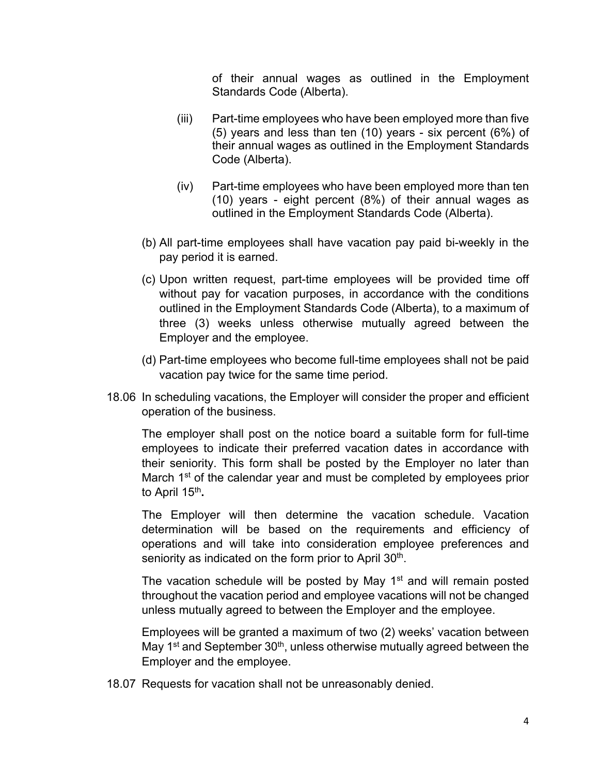of their annual wages as outlined in the Employment Standards Code (Alberta).

- (iii) Part-time employees who have been employed more than five (5) years and less than ten (10) years - six percent (6%) of their annual wages as outlined in the Employment Standards Code (Alberta).
- (iv) Part-time employees who have been employed more than ten (10) years - eight percent (8%) of their annual wages as outlined in the Employment Standards Code (Alberta).
- (b) All part-time employees shall have vacation pay paid bi-weekly in the pay period it is earned.
- (c) Upon written request, part-time employees will be provided time off without pay for vacation purposes, in accordance with the conditions outlined in the Employment Standards Code (Alberta), to a maximum of three (3) weeks unless otherwise mutually agreed between the Employer and the employee.
- (d) Part-time employees who become full-time employees shall not be paid vacation pay twice for the same time period.
- 18.06 In scheduling vacations, the Employer will consider the proper and efficient operation of the business.

The employer shall post on the notice board a suitable form for full-time employees to indicate their preferred vacation dates in accordance with their seniority. This form shall be posted by the Employer no later than March 1<sup>st</sup> of the calendar year and must be completed by employees prior to April 15th**.**

The Employer will then determine the vacation schedule. Vacation determination will be based on the requirements and efficiency of operations and will take into consideration employee preferences and seniority as indicated on the form prior to April 30<sup>th</sup>.

The vacation schedule will be posted by May 1<sup>st</sup> and will remain posted throughout the vacation period and employee vacations will not be changed unless mutually agreed to between the Employer and the employee.

Employees will be granted a maximum of two (2) weeks' vacation between May  $1<sup>st</sup>$  and September  $30<sup>th</sup>$ , unless otherwise mutually agreed between the Employer and the employee.

18.07 Requests for vacation shall not be unreasonably denied.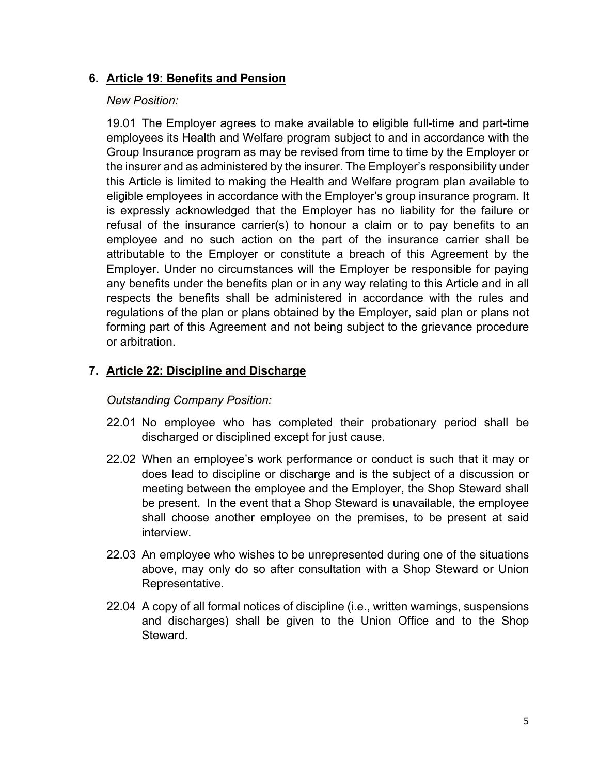## **6. Article 19: Benefits and Pension**

## *New Position:*

19.01 The Employer agrees to make available to eligible full-time and part-time employees its Health and Welfare program subject to and in accordance with the Group Insurance program as may be revised from time to time by the Employer or the insurer and as administered by the insurer. The Employer's responsibility under this Article is limited to making the Health and Welfare program plan available to eligible employees in accordance with the Employer's group insurance program. It is expressly acknowledged that the Employer has no liability for the failure or refusal of the insurance carrier(s) to honour a claim or to pay benefits to an employee and no such action on the part of the insurance carrier shall be attributable to the Employer or constitute a breach of this Agreement by the Employer. Under no circumstances will the Employer be responsible for paying any benefits under the benefits plan or in any way relating to this Article and in all respects the benefits shall be administered in accordance with the rules and regulations of the plan or plans obtained by the Employer, said plan or plans not forming part of this Agreement and not being subject to the grievance procedure or arbitration.

# **7. Article 22: Discipline and Discharge**

## *Outstanding Company Position:*

- 22.01 No employee who has completed their probationary period shall be discharged or disciplined except for just cause.
- 22.02 When an employee's work performance or conduct is such that it may or does lead to discipline or discharge and is the subject of a discussion or meeting between the employee and the Employer, the Shop Steward shall be present. In the event that a Shop Steward is unavailable, the employee shall choose another employee on the premises, to be present at said interview.
- 22.03 An employee who wishes to be unrepresented during one of the situations above, may only do so after consultation with a Shop Steward or Union Representative.
- 22.04 A copy of all formal notices of discipline (i.e., written warnings, suspensions and discharges) shall be given to the Union Office and to the Shop Steward.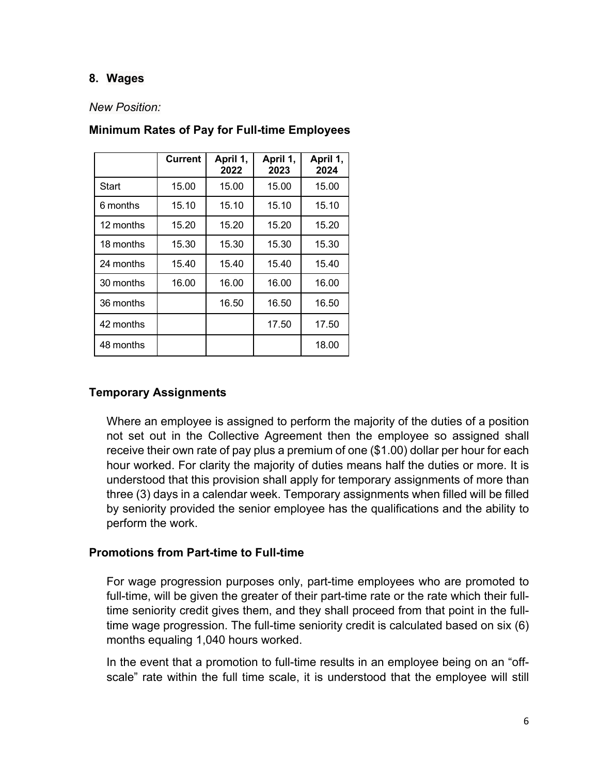## **8. Wages**

#### *New Position:*

|           | <b>Current</b> | April 1,<br>2022 | April 1,<br>2023 | April 1,<br>2024 |
|-----------|----------------|------------------|------------------|------------------|
| Start     | 15.00          | 15.00            | 15.00            | 15.00            |
| 6 months  | 15.10          | 15.10            | 15.10            | 15.10            |
| 12 months | 15.20          | 15.20            | 15.20            | 15.20            |
| 18 months | 15.30          | 15.30            | 15.30            | 15.30            |
| 24 months | 15.40          | 15.40            | 15.40            | 15.40            |
| 30 months | 16.00          | 16.00            | 16.00            | 16.00            |
| 36 months |                | 16.50            | 16.50            | 16.50            |
| 42 months |                |                  | 17.50            | 17.50            |
| 48 months |                |                  |                  | 18.00            |

# **Minimum Rates of Pay for Full-time Employees**

## **Temporary Assignments**

Where an employee is assigned to perform the majority of the duties of a position not set out in the Collective Agreement then the employee so assigned shall receive their own rate of pay plus a premium of one (\$1.00) dollar per hour for each hour worked. For clarity the majority of duties means half the duties or more. It is understood that this provision shall apply for temporary assignments of more than three (3) days in a calendar week. Temporary assignments when filled will be filled by seniority provided the senior employee has the qualifications and the ability to perform the work.

### **Promotions from Part-time to Full-time**

For wage progression purposes only, part-time employees who are promoted to full-time, will be given the greater of their part-time rate or the rate which their fulltime seniority credit gives them, and they shall proceed from that point in the fulltime wage progression. The full-time seniority credit is calculated based on six (6) months equaling 1,040 hours worked.

In the event that a promotion to full-time results in an employee being on an "offscale" rate within the full time scale, it is understood that the employee will still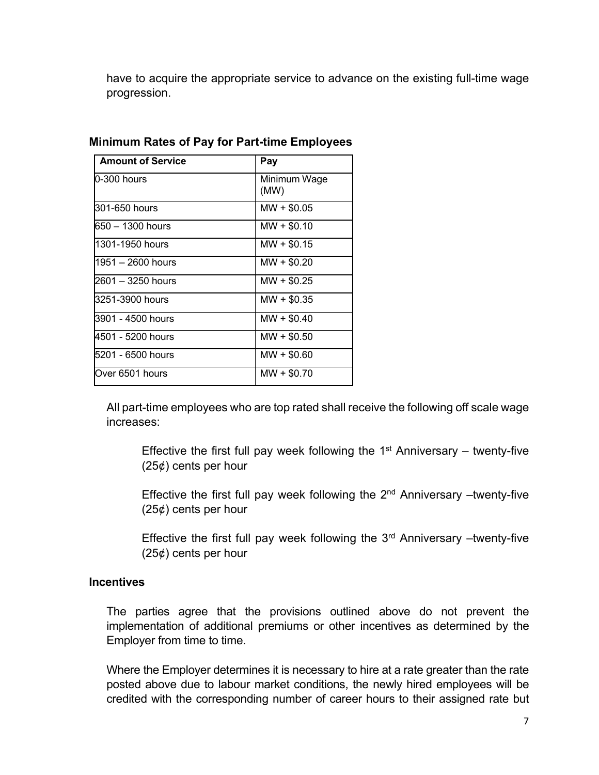have to acquire the appropriate service to advance on the existing full-time wage progression.

| <b>Amount of Service</b> | Pay                  |  |  |
|--------------------------|----------------------|--|--|
| 0-300 hours              | Minimum Wage<br>(MW) |  |  |
| 301-650 hours            | $MW + $0.05$         |  |  |
| 650 – 1300 hours         | $MW + $0.10$         |  |  |
| 1301-1950 hours          | $MW + $0.15$         |  |  |
| 1951 – 2600 hours        | $MW + $0.20$         |  |  |
| 2601 – 3250 hours        | $MW + $0.25$         |  |  |
| 3251-3900 hours          | $MW + $0.35$         |  |  |
| 3901 - 4500 hours        | $MW + $0.40$         |  |  |
| 4501 - 5200 hours        | $MW + $0.50$         |  |  |
| 5201 - 6500 hours        | $MW + $0.60$         |  |  |
| Over 6501 hours          | $MW + $0.70$         |  |  |

### **Minimum Rates of Pay for Part-time Employees**

All part-time employees who are top rated shall receive the following off scale wage increases:

Effective the first full pay week following the  $1<sup>st</sup>$  Anniversary – twenty-five  $(25¢)$  cents per hour

Effective the first full pay week following the  $2<sup>nd</sup>$  Anniversary –twenty-five  $(25¢)$  cents per hour

Effective the first full pay week following the  $3<sup>rd</sup>$  Anniversary –twenty-five  $(25¢)$  cents per hour

### **Incentives**

The parties agree that the provisions outlined above do not prevent the implementation of additional premiums or other incentives as determined by the Employer from time to time.

Where the Employer determines it is necessary to hire at a rate greater than the rate posted above due to labour market conditions, the newly hired employees will be credited with the corresponding number of career hours to their assigned rate but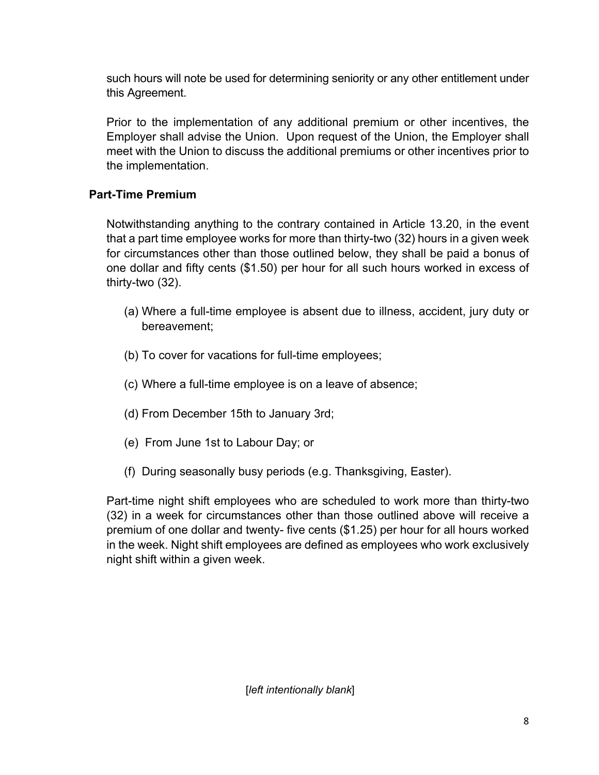such hours will note be used for determining seniority or any other entitlement under this Agreement.

Prior to the implementation of any additional premium or other incentives, the Employer shall advise the Union. Upon request of the Union, the Employer shall meet with the Union to discuss the additional premiums or other incentives prior to the implementation.

# **Part-Time Premium**

Notwithstanding anything to the contrary contained in Article 13.20, in the event that a part time employee works for more than thirty-two (32) hours in a given week for circumstances other than those outlined below, they shall be paid a bonus of one dollar and fifty cents (\$1.50) per hour for all such hours worked in excess of thirty-two (32).

- (a) Where a full-time employee is absent due to illness, accident, jury duty or bereavement;
- (b) To cover for vacations for full-time employees;
- (c) Where a full-time employee is on a leave of absence;
- (d) From December 15th to January 3rd;
- (e) From June 1st to Labour Day; or
- (f) During seasonally busy periods (e.g. Thanksgiving, Easter).

Part-time night shift employees who are scheduled to work more than thirty-two (32) in a week for circumstances other than those outlined above will receive a premium of one dollar and twenty- five cents (\$1.25) per hour for all hours worked in the week. Night shift employees are defined as employees who work exclusively night shift within a given week.